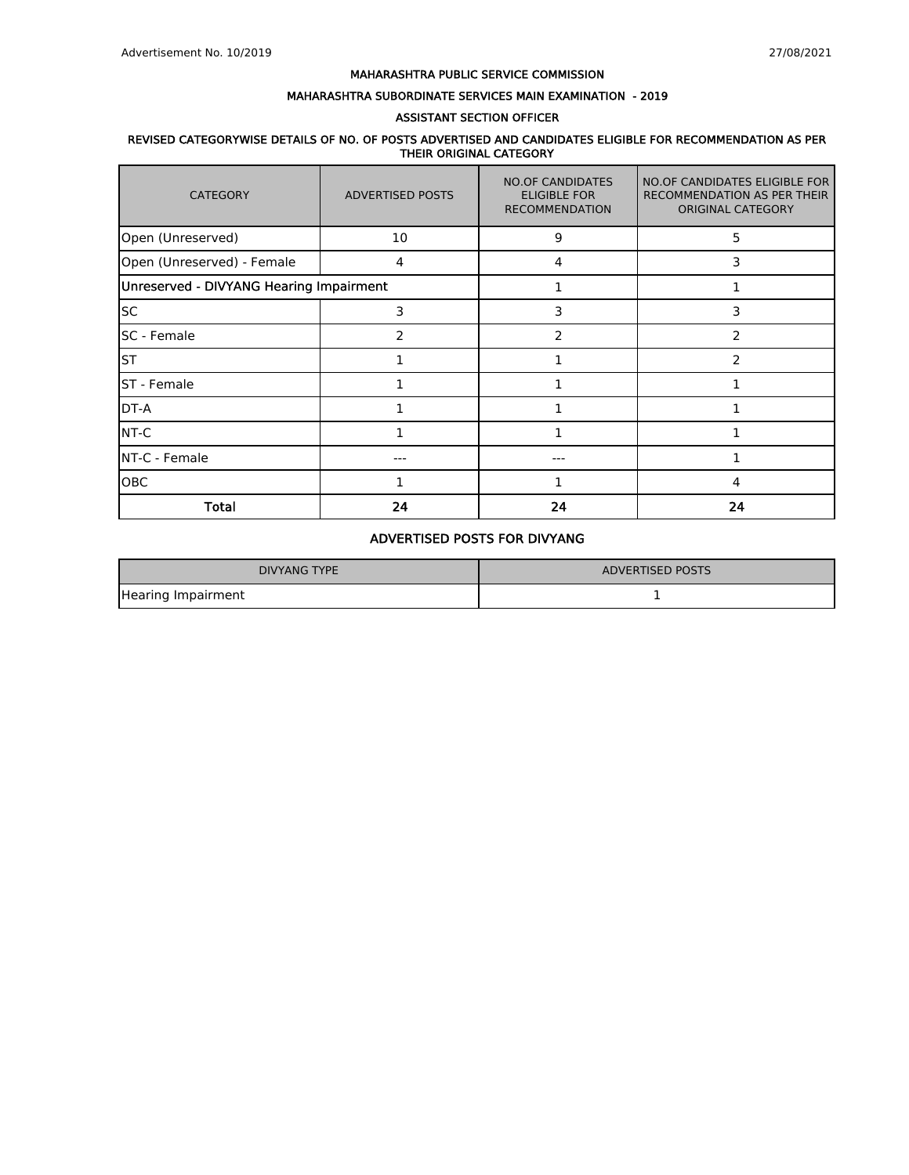## MAHARASHTRA SUBORDINATE SERVICES MAIN EXAMINATION - 2019

### ASSISTANT SECTION OFFICER

## REVISED CATEGORYWISE DETAILS OF NO. OF POSTS ADVERTISED AND CANDIDATES ELIGIBLE FOR RECOMMENDATION AS PER THEIR ORIGINAL CATEGORY

| <b>CATEGORY</b>                         | <b>ADVERTISED POSTS</b> | <b>NO.OF CANDIDATES</b><br><b>ELIGIBLE FOR</b><br><b>RECOMMENDATION</b> | NO.OF CANDIDATES ELIGIBLE FOR<br>RECOMMENDATION AS PER THEIR<br><b>ORIGINAL CATEGORY</b> |
|-----------------------------------------|-------------------------|-------------------------------------------------------------------------|------------------------------------------------------------------------------------------|
| Open (Unreserved)                       | 10                      | 9                                                                       | 5                                                                                        |
| Open (Unreserved) - Female              | 4                       | 4                                                                       | 3                                                                                        |
| Unreserved - DIVYANG Hearing Impairment |                         |                                                                         |                                                                                          |
| <b>SC</b>                               | 3                       | 3                                                                       | 3                                                                                        |
| <b>SC</b> - Female                      | 2                       | 2                                                                       | $\overline{2}$                                                                           |
| <b>ST</b>                               |                         |                                                                         | $\overline{2}$                                                                           |
| <b>ST</b> - Female                      | 1                       |                                                                         |                                                                                          |
| DT-A                                    |                         |                                                                         |                                                                                          |
| NT-C                                    | 1                       |                                                                         |                                                                                          |
| NT-C - Female                           | --                      |                                                                         |                                                                                          |
| OBC                                     |                         |                                                                         | 4                                                                                        |
| <b>Total</b>                            | 24                      | 24                                                                      | 24                                                                                       |

# ADVERTISED POSTS FOR DIVYANG

| DIVYANG TYPE       | ADVERTISED POSTS |
|--------------------|------------------|
| Hearing Impairment |                  |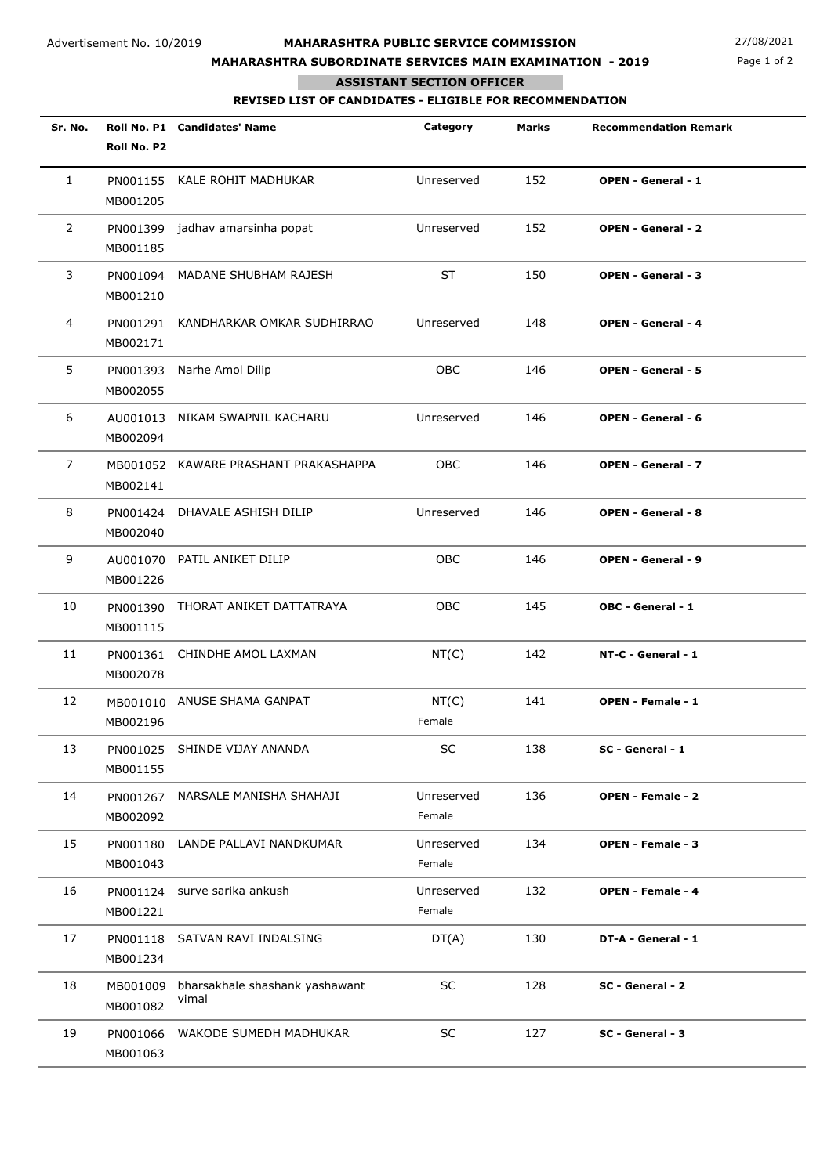# **MAHARASHTRA SUBORDINATE SERVICES MAIN EXAMINATION - 2019**

Page 1 of 2

## **ASSISTANT SECTION OFFICER**

п

**REVISED LIST OF CANDIDATES - ELIGIBLE FOR RECOMMENDATION**

| Sr. No.        | Roll No. P2          | Roll No. P1 Candidates' Name            | Category             | <b>Marks</b> | <b>Recommendation Remark</b> |
|----------------|----------------------|-----------------------------------------|----------------------|--------------|------------------------------|
| $\mathbf{1}$   | MB001205             | PN001155 KALE ROHIT MADHUKAR            | Unreserved           | 152          | <b>OPEN - General - 1</b>    |
| $\overline{2}$ | MB001185             | PN001399 jadhav amarsinha popat         | Unreserved           | 152          | <b>OPEN - General - 2</b>    |
| 3              | PN001094<br>MB001210 | MADANE SHUBHAM RAJESH                   | ST                   | 150          | <b>OPEN - General - 3</b>    |
| 4              | PN001291<br>MB002171 | KANDHARKAR OMKAR SUDHIRRAO              | Unreserved           | 148          | <b>OPEN - General - 4</b>    |
| 5              | PN001393<br>MB002055 | Narhe Amol Dilip                        | <b>OBC</b>           | 146          | <b>OPEN - General - 5</b>    |
| 6              | AU001013<br>MB002094 | NIKAM SWAPNIL KACHARU                   | Unreserved           | 146          | <b>OPEN - General - 6</b>    |
| 7              | MB002141             | MB001052 KAWARE PRASHANT PRAKASHAPPA    | OBC                  | 146          | <b>OPEN - General - 7</b>    |
| 8              | MB002040             | PN001424 DHAVALE ASHISH DILIP           | Unreserved           | 146          | <b>OPEN - General - 8</b>    |
| 9              | MB001226             | AU001070 PATIL ANIKET DILIP             | <b>OBC</b>           | 146          | <b>OPEN - General - 9</b>    |
| 10             | PN001390<br>MB001115 | THORAT ANIKET DATTATRAYA                | OBC                  | 145          | OBC - General - 1            |
| 11             | PN001361<br>MB002078 | CHINDHE AMOL LAXMAN                     | NT(C)                | 142          | NT-C - General - 1           |
| 12             | MB002196             | MB001010 ANUSE SHAMA GANPAT             | NT(C)<br>Female      | 141          | <b>OPEN - Female - 1</b>     |
| 13             | MB001155             | PN001025 SHINDE VIJAY ANANDA            | SC                   | 138          | SC - General - 1             |
| 14             | PN001267<br>MB002092 | NARSALE MANISHA SHAHAJI                 | Unreserved<br>Female | 136          | <b>OPEN - Female - 2</b>     |
| 15             | PN001180<br>MB001043 | LANDE PALLAVI NANDKUMAR                 | Unreserved<br>Female | 134          | <b>OPEN - Female - 3</b>     |
| 16             | MB001221             | PN001124 surve sarika ankush            | Unreserved<br>Female | 132          | <b>OPEN - Female - 4</b>     |
| 17             | MB001234             | PN001118 SATVAN RAVI INDALSING          | DT(A)                | 130          | DT-A - General - 1           |
| 18             | MB001009<br>MB001082 | bharsakhale shashank yashawant<br>vimal | $\sf SC$             | 128          | SC - General - 2             |
| 19             | PN001066<br>MB001063 | WAKODE SUMEDH MADHUKAR                  | SC                   | 127          | SC - General - 3             |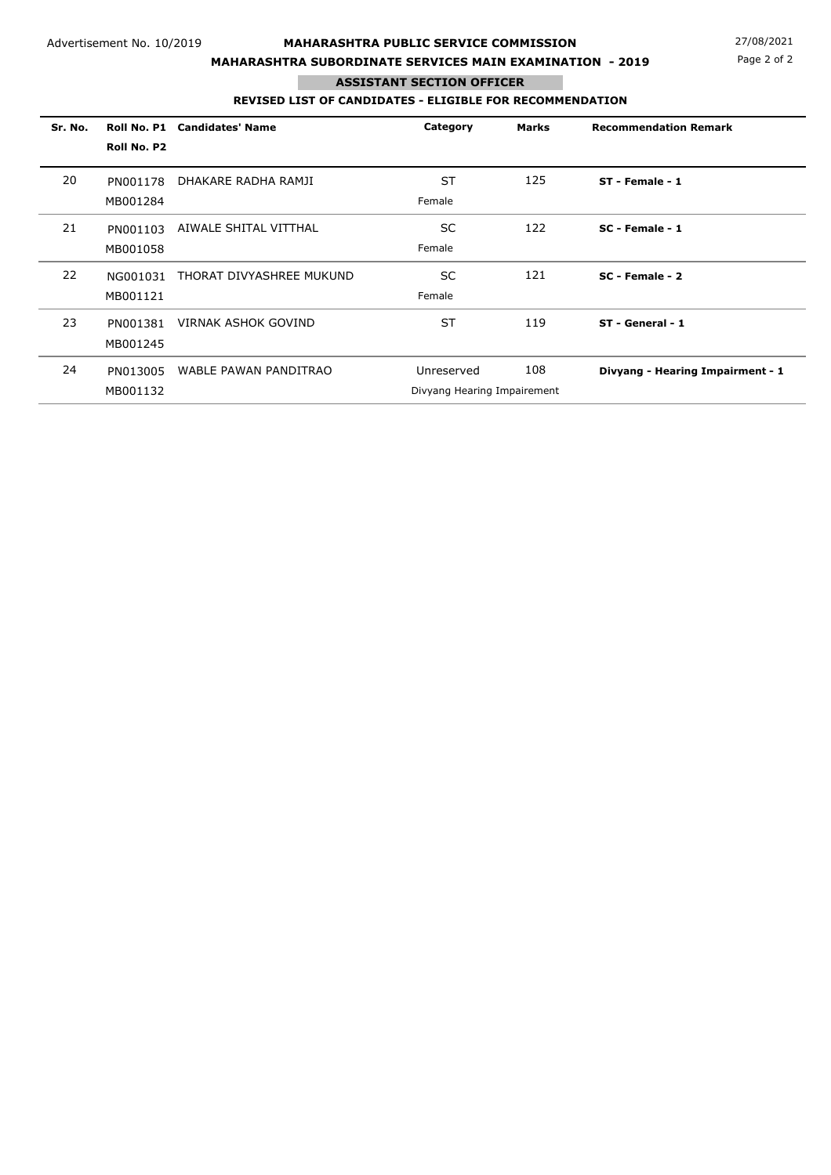# **MAHARASHTRA SUBORDINATE SERVICES MAIN EXAMINATION - 2019**

Page 2 of 2

# **ASSISTANT SECTION OFFICER**

п

## **REVISED LIST OF CANDIDATES - ELIGIBLE FOR RECOMMENDATION**

| Sr. No. | Roll No. P1 | <b>Candidates' Name</b>    | Category                    | <b>Marks</b> | <b>Recommendation Remark</b>     |
|---------|-------------|----------------------------|-----------------------------|--------------|----------------------------------|
|         | Roll No. P2 |                            |                             |              |                                  |
| 20      | PN001178    | DHAKARE RADHA RAMJI        | <b>ST</b>                   | 125          | ST - Female - 1                  |
|         | MB001284    |                            | Female                      |              |                                  |
| 21      | PN001103    | AIWALE SHITAL VITTHAL      | <b>SC</b>                   | 122          | SC - Female - 1                  |
|         | MB001058    |                            | Female                      |              |                                  |
| 22      | NG001031    | THORAT DIVYASHREE MUKUND   | SC.                         | 121          | $SC - Female - 2$                |
|         | MB001121    |                            | Female                      |              |                                  |
| 23      | PN001381    | <b>VIRNAK ASHOK GOVIND</b> | <b>ST</b>                   | 119          | ST - General - 1                 |
|         | MB001245    |                            |                             |              |                                  |
| 24      | PN013005    | WABLE PAWAN PANDITRAO      | Unreserved                  | 108          | Divyang - Hearing Impairment - 1 |
|         | MB001132    |                            | Divyang Hearing Impairement |              |                                  |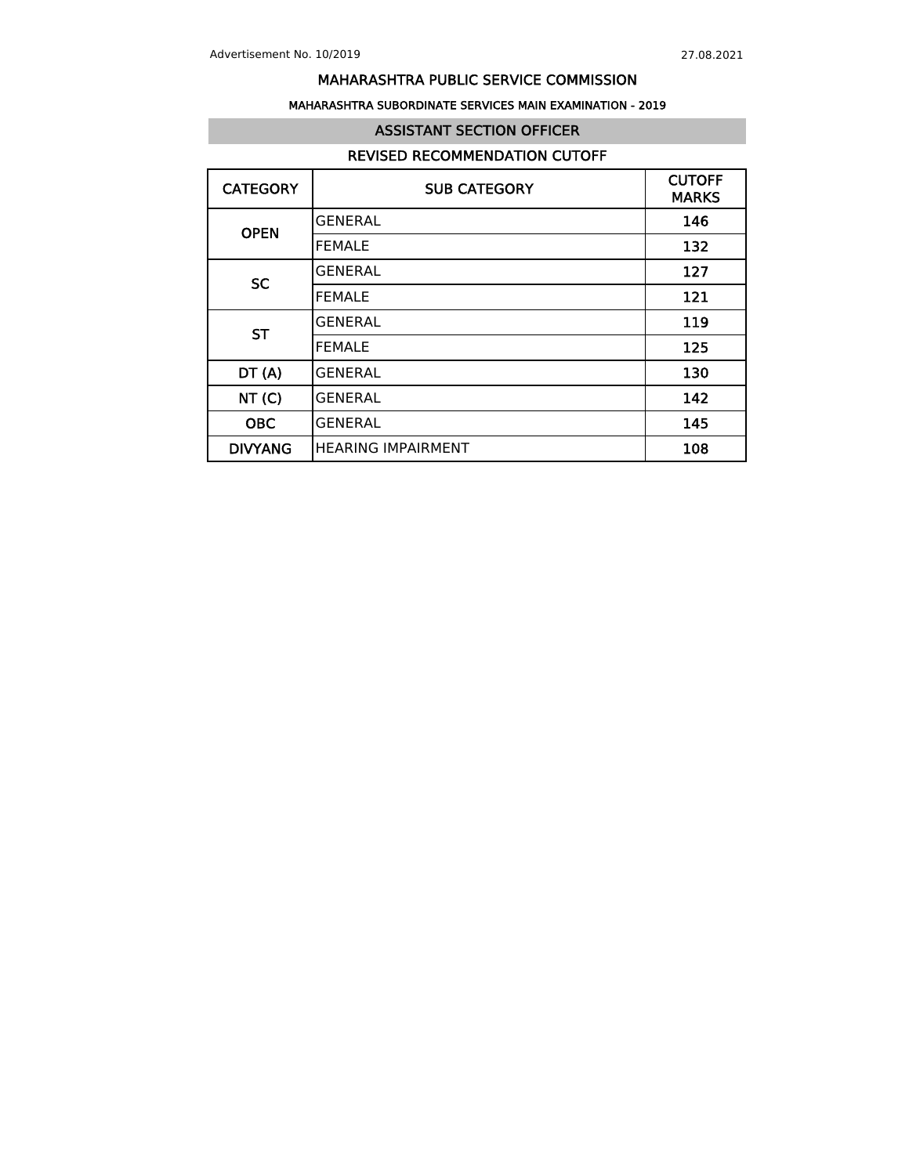## MAHARASHTRA SUBORDINATE SERVICES MAIN EXAMINATION - 2019

## ASSISTANT SECTION OFFICER

# REVISED RECOMMENDATION CUTOFF

| <b>CATEGORY</b> | <b>SUB CATEGORY</b>       | <b>CUTOFF</b><br><b>MARKS</b> |
|-----------------|---------------------------|-------------------------------|
| <b>OPEN</b>     | <b>GENERAL</b>            | 146                           |
|                 | <b>FEMALE</b>             | 132                           |
| <b>SC</b>       | <b>GENERAL</b>            | 127                           |
|                 | <b>FEMALE</b>             | 121                           |
| <b>ST</b>       | <b>GENERAL</b>            | 119                           |
|                 | <b>FEMALE</b>             | 125                           |
| DT(A)           | <b>GENERAL</b>            | 130                           |
| NT(C)           | <b>GENERAL</b>            | 142                           |
| <b>OBC</b>      | <b>GENERAL</b>            | 145                           |
| <b>DIVYANG</b>  | <b>HEARING IMPAIRMENT</b> | 108                           |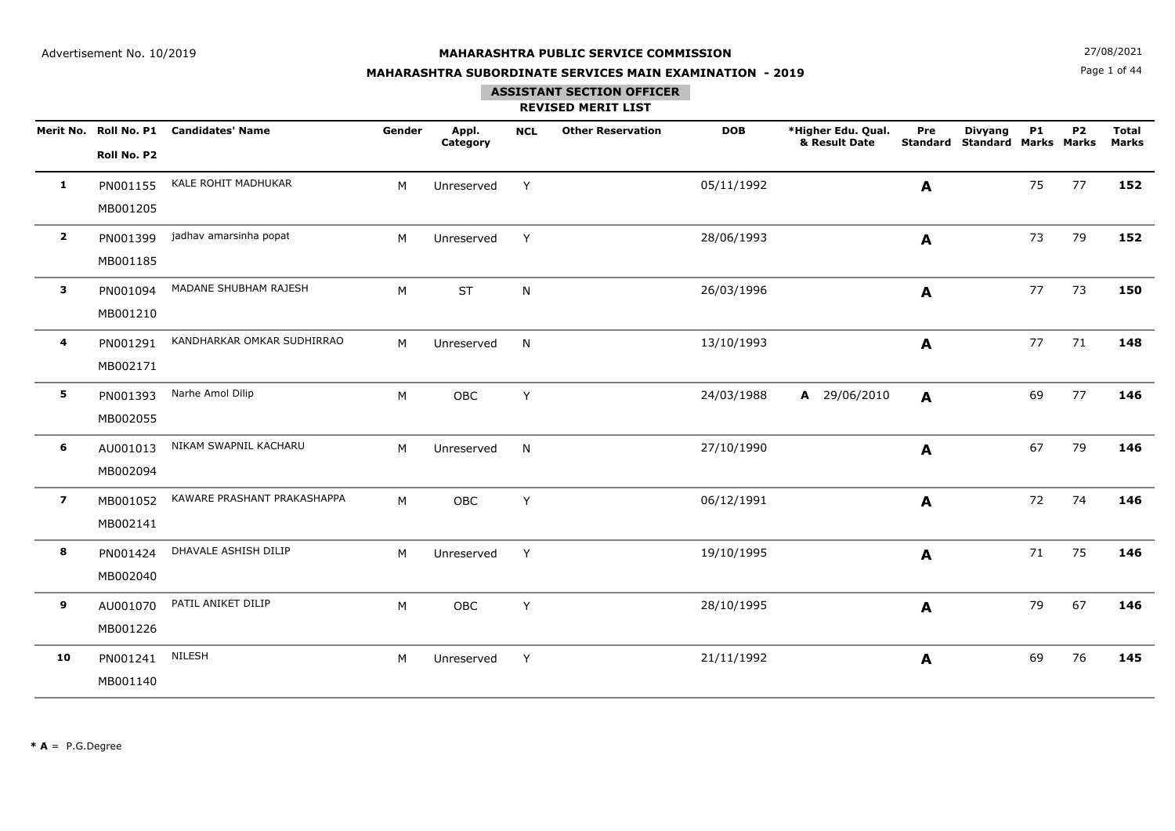Page 1 of 44**N**  $27/08/2021$ 

## **MAHARASHTRA SUBORDINATE SERVICES MAIN EXAMINATION - 2019**

# **ASSISTANT SECTION OFFICER**

|                         | Roll No. P2          | Merit No. Roll No. P1 Candidates' Name | Gender | Appl.<br>Category | <b>NCL</b> | <b>Other Reservation</b> | <b>DOB</b> | *Higher Edu. Qual.<br>& Result Date | Pre<br><b>Standard</b> | <b>Divyang</b><br><b>Standard Marks Marks</b> | <b>P1</b> | <b>P2</b> | <b>Total</b><br><b>Marks</b> |
|-------------------------|----------------------|----------------------------------------|--------|-------------------|------------|--------------------------|------------|-------------------------------------|------------------------|-----------------------------------------------|-----------|-----------|------------------------------|
| 1                       | PN001155<br>MB001205 | KALE ROHIT MADHUKAR                    | М      | Unreserved        | Y          |                          | 05/11/1992 |                                     | A                      |                                               | 75        | 77        | 152                          |
| $\overline{2}$          | PN001399<br>MB001185 | jadhav amarsinha popat                 | М      | Unreserved        | Y          |                          | 28/06/1993 |                                     | A                      |                                               | 73        | 79        | 152                          |
| 3                       | PN001094<br>MB001210 | MADANE SHUBHAM RAJESH                  | M      | <b>ST</b>         | N          |                          | 26/03/1996 |                                     | A                      |                                               | 77        | 73        | 150                          |
| 4                       | PN001291<br>MB002171 | KANDHARKAR OMKAR SUDHIRRAO             | M      | Unreserved        | N          |                          | 13/10/1993 |                                     | A                      |                                               | 77        | 71        | 148                          |
| 5                       | PN001393<br>MB002055 | Narhe Amol Dilip                       | M      | <b>OBC</b>        | Y          |                          | 24/03/1988 | A 29/06/2010                        | A                      |                                               | 69        | 77        | 146                          |
| 6                       | AU001013<br>MB002094 | NIKAM SWAPNIL KACHARU                  | M      | Unreserved        | N          |                          | 27/10/1990 |                                     | A                      |                                               | 67        | 79        | 146                          |
| $\overline{\mathbf{z}}$ | MB001052<br>MB002141 | KAWARE PRASHANT PRAKASHAPPA            | M      | OBC               | Y          |                          | 06/12/1991 |                                     | A                      |                                               | 72        | 74        | 146                          |
| 8                       | PN001424<br>MB002040 | DHAVALE ASHISH DILIP                   | M      | Unreserved        | Y          |                          | 19/10/1995 |                                     | $\mathbf{A}$           |                                               | 71        | 75        | 146                          |
| 9                       | AU001070<br>MB001226 | PATIL ANIKET DILIP                     | М      | OBC               | Y          |                          | 28/10/1995 |                                     | A                      |                                               | 79        | 67        | 146                          |
| 10                      | PN001241<br>MB001140 | NILESH                                 | М      | Unreserved        | Y          |                          | 21/11/1992 |                                     | A                      |                                               | 69        | 76        | 145                          |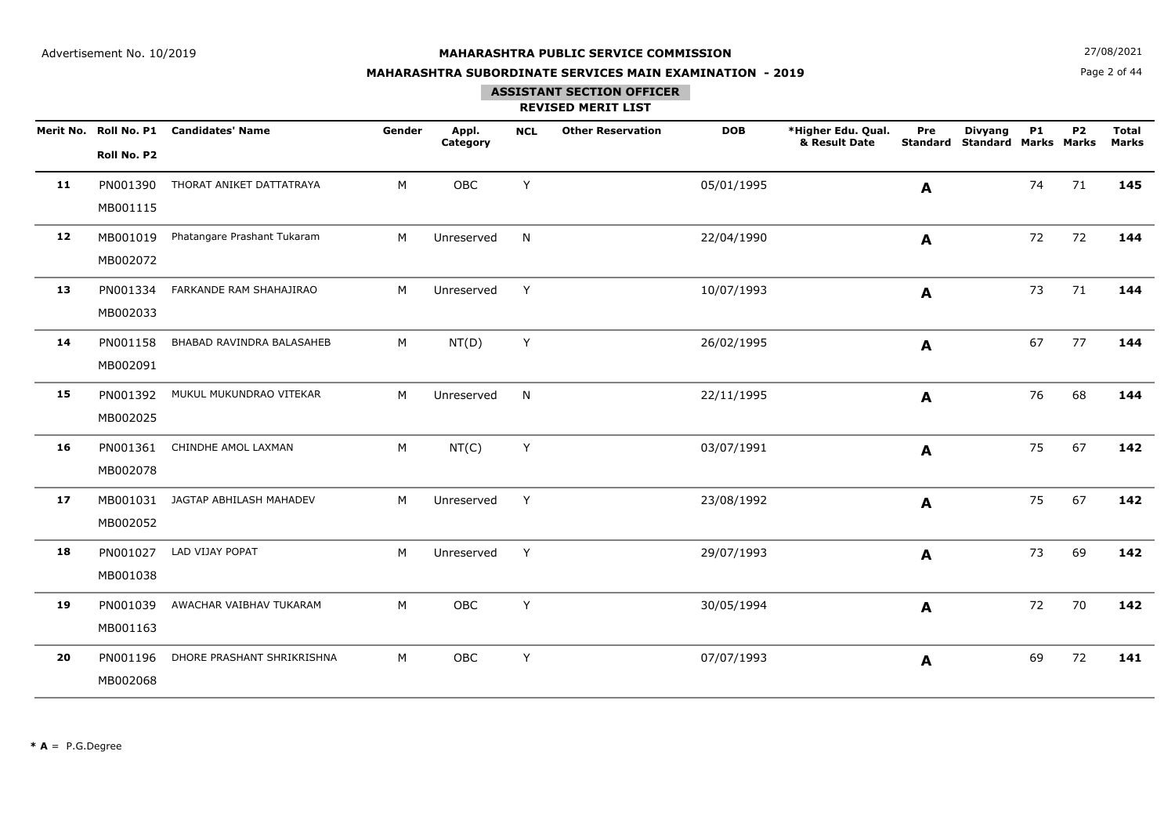**N**  $27/08/2021$ 

## **MAHARASHTRA SUBORDINATE SERVICES MAIN EXAMINATION - 2019**

Page 2 of 44

## **ASSISTANT SECTION OFFICER**

|    | Roll No. P2          | Merit No. Roll No. P1 Candidates' Name | Gender | Appl.<br>Category | <b>NCL</b> | <b>Other Reservation</b> | <b>DOB</b> | *Higher Edu. Qual.<br>& Result Date | Pre<br><b>Standard</b> | <b>Divyang</b><br><b>Standard Marks Marks</b> | <b>P1</b> | <b>P2</b> | <b>Total</b><br><b>Marks</b> |
|----|----------------------|----------------------------------------|--------|-------------------|------------|--------------------------|------------|-------------------------------------|------------------------|-----------------------------------------------|-----------|-----------|------------------------------|
| 11 | PN001390<br>MB001115 | THORAT ANIKET DATTATRAYA               | M      | OBC               | Y          |                          | 05/01/1995 |                                     | A                      |                                               | 74        | 71        | 145                          |
| 12 | MB001019<br>MB002072 | Phatangare Prashant Tukaram            | M      | Unreserved        | N          |                          | 22/04/1990 |                                     | A                      |                                               | 72        | 72        | 144                          |
| 13 | PN001334<br>MB002033 | FARKANDE RAM SHAHAJIRAO                | M      | Unreserved        | Y          |                          | 10/07/1993 |                                     | A                      |                                               | 73        | 71        | 144                          |
| 14 | PN001158<br>MB002091 | BHABAD RAVINDRA BALASAHEB              | M      | NT(D)             | Y          |                          | 26/02/1995 |                                     | A                      |                                               | 67        | 77        | 144                          |
| 15 | PN001392<br>MB002025 | MUKUL MUKUNDRAO VITEKAR                | M      | Unreserved        | N          |                          | 22/11/1995 |                                     | A                      |                                               | 76        | 68        | 144                          |
| 16 | PN001361<br>MB002078 | CHINDHE AMOL LAXMAN                    | M      | NT(C)             | Y          |                          | 03/07/1991 |                                     | A                      |                                               | 75        | 67        | 142                          |
| 17 | MB002052             | MB001031 JAGTAP ABHILASH MAHADEV       | M      | Unreserved        | Y          |                          | 23/08/1992 |                                     | $\mathbf{A}$           |                                               | 75        | 67        | 142                          |
| 18 | PN001027<br>MB001038 | LAD VIJAY POPAT                        | M      | Unreserved        | Y          |                          | 29/07/1993 |                                     | $\mathbf{A}$           |                                               | 73        | 69        | 142                          |
| 19 | PN001039<br>MB001163 | AWACHAR VAIBHAV TUKARAM                | M      | OBC               | Y          |                          | 30/05/1994 |                                     | A                      |                                               | 72        | 70        | 142                          |
| 20 | PN001196<br>MB002068 | DHORE PRASHANT SHRIKRISHNA             | M      | OBC               | Y          |                          | 07/07/1993 |                                     | A                      |                                               | 69        | 72        | 141                          |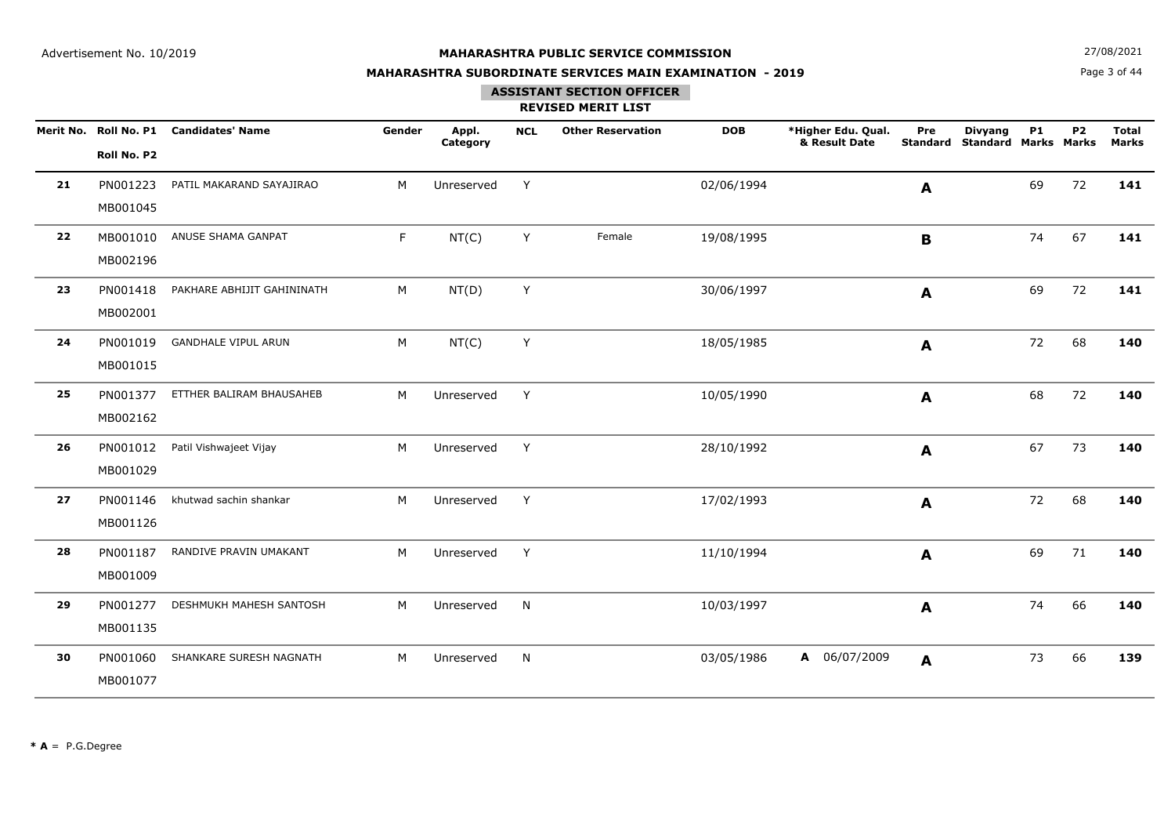**N**  $27/08/2021$ 

## **MAHARASHTRA SUBORDINATE SERVICES MAIN EXAMINATION - 2019**

Page 3 of 44

## **ASSISTANT SECTION OFFICER**

|    |             | Merit No. Roll No. P1 Candidates' Name | Gender | Appl.<br>Category | <b>NCL</b> | <b>Other Reservation</b> | <b>DOB</b> | *Higher Edu. Qual.<br>& Result Date | Pre<br>Standard | <b>Divyang</b><br><b>Standard Marks Marks</b> | <b>P1</b> | P <sub>2</sub> | <b>Total</b><br>Marks |
|----|-------------|----------------------------------------|--------|-------------------|------------|--------------------------|------------|-------------------------------------|-----------------|-----------------------------------------------|-----------|----------------|-----------------------|
|    | Roll No. P2 |                                        |        |                   |            |                          |            |                                     |                 |                                               |           |                |                       |
| 21 | PN001223    | PATIL MAKARAND SAYAJIRAO               | M      | Unreserved        | Y          |                          | 02/06/1994 |                                     | A               |                                               | 69        | 72             | 141                   |
|    | MB001045    |                                        |        |                   |            |                          |            |                                     |                 |                                               |           |                |                       |
| 22 | MB001010    | ANUSE SHAMA GANPAT                     | F.     | NT(C)             | Y          | Female                   | 19/08/1995 |                                     | B               |                                               | 74        | 67             | 141                   |
|    | MB002196    |                                        |        |                   |            |                          |            |                                     |                 |                                               |           |                |                       |
| 23 | PN001418    | PAKHARE ABHIJIT GAHININATH             | М      | NT(D)             | Y          |                          | 30/06/1997 |                                     | A               |                                               | 69        | 72             | 141                   |
|    | MB002001    |                                        |        |                   |            |                          |            |                                     |                 |                                               |           |                |                       |
| 24 | PN001019    | <b>GANDHALE VIPUL ARUN</b>             | M      | NT(C)             | Y          |                          | 18/05/1985 |                                     | A               |                                               | 72        | 68             | 140                   |
|    | MB001015    |                                        |        |                   |            |                          |            |                                     |                 |                                               |           |                |                       |
| 25 | PN001377    | ETTHER BALIRAM BHAUSAHEB               | M      | Unreserved        | Y          |                          | 10/05/1990 |                                     | A               |                                               | 68        | 72             | 140                   |
|    | MB002162    |                                        |        |                   |            |                          |            |                                     |                 |                                               |           |                |                       |
| 26 | PN001012    | Patil Vishwajeet Vijay                 | M      | Unreserved        | Y          |                          | 28/10/1992 |                                     | A               |                                               | 67        | 73             | 140                   |
|    | MB001029    |                                        |        |                   |            |                          |            |                                     |                 |                                               |           |                |                       |
| 27 | PN001146    | khutwad sachin shankar                 | M      | Unreserved        | Y          |                          | 17/02/1993 |                                     | A               |                                               | 72        | 68             | 140                   |
|    | MB001126    |                                        |        |                   |            |                          |            |                                     |                 |                                               |           |                |                       |
| 28 | PN001187    | RANDIVE PRAVIN UMAKANT                 | M      | Unreserved        | Y          |                          | 11/10/1994 |                                     | A               |                                               | 69        | 71             | 140                   |
|    | MB001009    |                                        |        |                   |            |                          |            |                                     |                 |                                               |           |                |                       |
| 29 | PN001277    | DESHMUKH MAHESH SANTOSH                | М      | Unreserved        | N          |                          | 10/03/1997 |                                     | A               |                                               | 74        | 66             | 140                   |
|    | MB001135    |                                        |        |                   |            |                          |            |                                     |                 |                                               |           |                |                       |
| 30 | PN001060    | SHANKARE SURESH NAGNATH                | M      | Unreserved        | N          |                          | 03/05/1986 | A 06/07/2009                        | $\mathbf{A}$    |                                               | 73        | 66             | 139                   |
|    | MB001077    |                                        |        |                   |            |                          |            |                                     |                 |                                               |           |                |                       |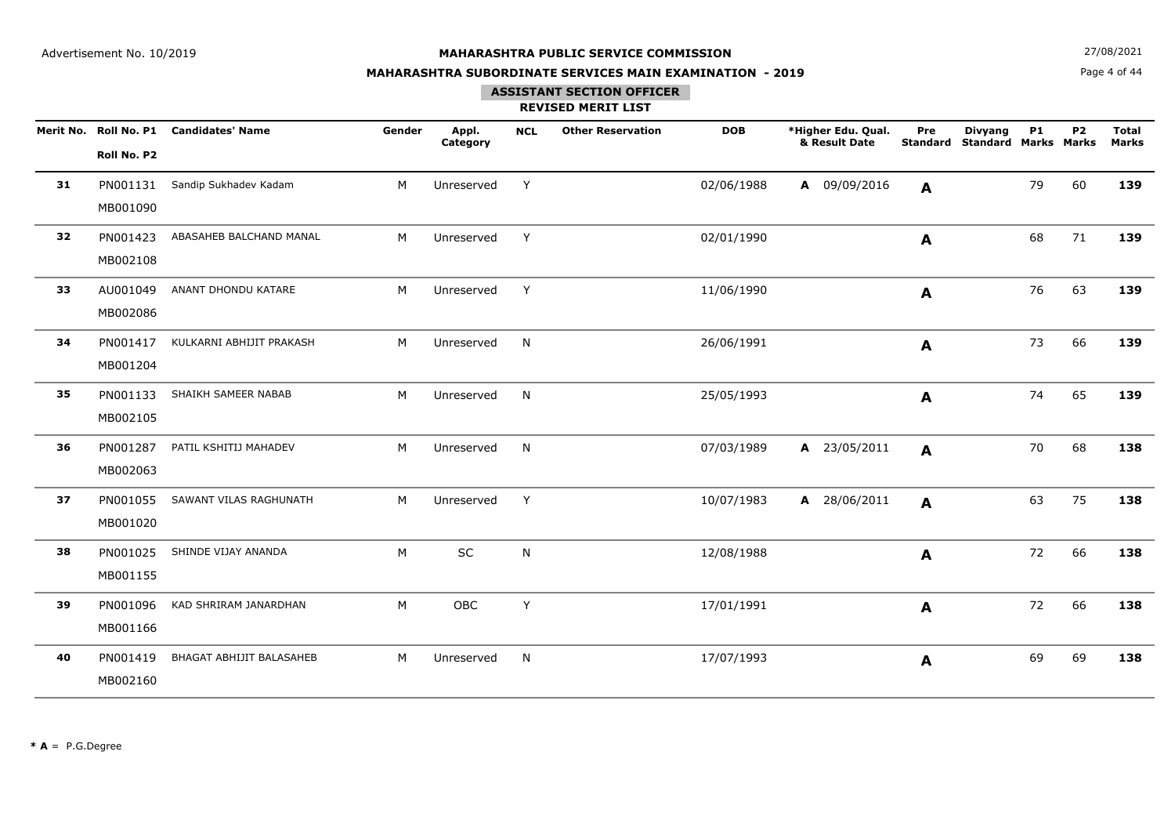**N**  $27/08/2021$ 

## **MAHARASHTRA SUBORDINATE SERVICES MAIN EXAMINATION - 2019**

# Page 4 of 44

### **ASSISTANT SECTION OFFICER**

|    |             | Merit No. Roll No. P1 Candidates' Name | Gender | Appl.<br>Category | <b>NCL</b> | <b>Other Reservation</b> | <b>DOB</b> | *Higher Edu. Qual.<br>& Result Date | Pre          | <b>Divyang</b><br><b>Standard Standard Marks Marks</b> | <b>P1</b> | P <sub>2</sub> | <b>Total</b><br><b>Marks</b> |
|----|-------------|----------------------------------------|--------|-------------------|------------|--------------------------|------------|-------------------------------------|--------------|--------------------------------------------------------|-----------|----------------|------------------------------|
|    | Roll No. P2 |                                        |        |                   |            |                          |            |                                     |              |                                                        |           |                |                              |
| 31 | PN001131    | Sandip Sukhadev Kadam                  | M      | Unreserved        | Y          |                          | 02/06/1988 | A 09/09/2016                        | A            |                                                        | 79        | 60             | 139                          |
|    | MB001090    |                                        |        |                   |            |                          |            |                                     |              |                                                        |           |                |                              |
| 32 | PN001423    | ABASAHEB BALCHAND MANAL                | M      | Unreserved        | Y          |                          | 02/01/1990 |                                     | A            |                                                        | 68        | 71             | 139                          |
|    | MB002108    |                                        |        |                   |            |                          |            |                                     |              |                                                        |           |                |                              |
| 33 | AU001049    | ANANT DHONDU KATARE                    | M      | Unreserved        | Y          |                          | 11/06/1990 |                                     | A            |                                                        | 76        | 63             | 139                          |
|    | MB002086    |                                        |        |                   |            |                          |            |                                     |              |                                                        |           |                |                              |
| 34 | PN001417    | KULKARNI ABHIJIT PRAKASH               | М      | Unreserved        | N          |                          | 26/06/1991 |                                     | A            |                                                        | 73        | 66             | 139                          |
|    | MB001204    |                                        |        |                   |            |                          |            |                                     |              |                                                        |           |                |                              |
| 35 | PN001133    | SHAIKH SAMEER NABAB                    | M      | Unreserved        | N.         |                          | 25/05/1993 |                                     | A            |                                                        | 74        | 65             | 139                          |
|    | MB002105    |                                        |        |                   |            |                          |            |                                     |              |                                                        |           |                |                              |
| 36 | PN001287    | PATIL KSHITIJ MAHADEV                  | M      | Unreserved        | N          |                          | 07/03/1989 | A 23/05/2011                        | $\mathbf{A}$ |                                                        | 70        | 68             | 138                          |
|    | MB002063    |                                        |        |                   |            |                          |            |                                     |              |                                                        |           |                |                              |
| 37 | PN001055    | SAWANT VILAS RAGHUNATH                 | M      | Unreserved        | Y          |                          | 10/07/1983 | A 28/06/2011                        | A            |                                                        | 63        | 75             | 138                          |
|    | MB001020    |                                        |        |                   |            |                          |            |                                     |              |                                                        |           |                |                              |
| 38 | PN001025    | SHINDE VIJAY ANANDA                    | M      | SC                | N          |                          | 12/08/1988 |                                     | A            |                                                        | 72        | 66             | 138                          |
|    | MB001155    |                                        |        |                   |            |                          |            |                                     |              |                                                        |           |                |                              |
| 39 | PN001096    | KAD SHRIRAM JANARDHAN                  | M      | OBC               | Y          |                          | 17/01/1991 |                                     | A            |                                                        | 72        | 66             | 138                          |
|    | MB001166    |                                        |        |                   |            |                          |            |                                     |              |                                                        |           |                |                              |
| 40 | PN001419    | BHAGAT ABHIJIT BALASAHEB               | M      | Unreserved        | N          |                          | 17/07/1993 |                                     | A            |                                                        | 69        | 69             | 138                          |
|    | MB002160    |                                        |        |                   |            |                          |            |                                     |              |                                                        |           |                |                              |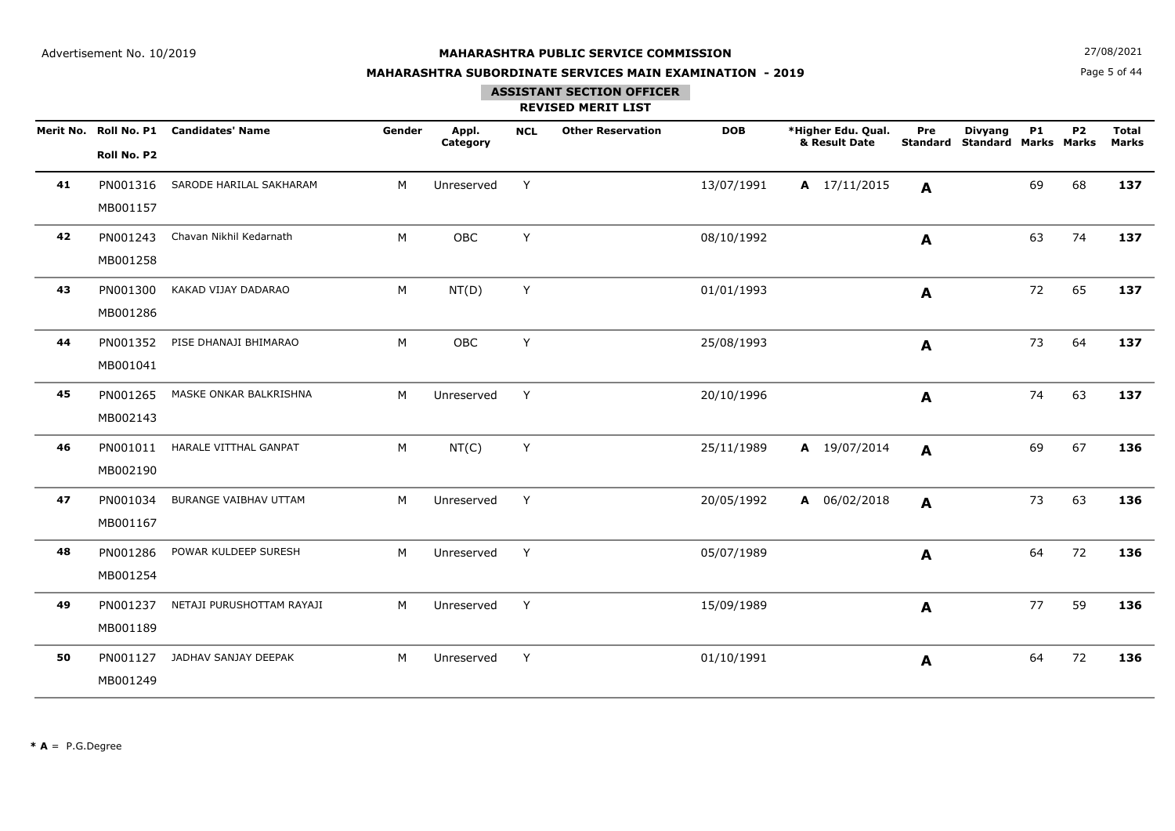**N**  $27/08/2021$ 

## **MAHARASHTRA SUBORDINATE SERVICES MAIN EXAMINATION - 2019**

# Page 5 of 44

## **ASSISTANT SECTION OFFICER**

|    | Roll No. P2          | Merit No. Roll No. P1 Candidates' Name | Gender | Appl.<br>Category | <b>NCL</b> | <b>Other Reservation</b> | <b>DOB</b> | *Higher Edu. Qual.<br>& Result Date | Pre          | <b>Divyang</b><br><b>Standard Standard Marks Marks</b> | <b>P1</b> | P <sub>2</sub> | <b>Total</b><br><b>Marks</b> |
|----|----------------------|----------------------------------------|--------|-------------------|------------|--------------------------|------------|-------------------------------------|--------------|--------------------------------------------------------|-----------|----------------|------------------------------|
| 41 | PN001316<br>MB001157 | SARODE HARILAL SAKHARAM                | M      | Unreserved        | Y          |                          | 13/07/1991 | $A$ 17/11/2015                      | A            |                                                        | 69        | 68             | 137                          |
| 42 | PN001243<br>MB001258 | Chavan Nikhil Kedarnath                | M      | OBC               | Y          |                          | 08/10/1992 |                                     | A            |                                                        | 63        | 74             | 137                          |
| 43 | PN001300<br>MB001286 | KAKAD VIJAY DADARAO                    | M      | NT(D)             | Y          |                          | 01/01/1993 |                                     | $\mathbf{A}$ |                                                        | 72        | 65             | 137                          |
| 44 | PN001352<br>MB001041 | PISE DHANAJI BHIMARAO                  | M      | OBC               | Y          |                          | 25/08/1993 |                                     | A            |                                                        | 73        | 64             | 137                          |
| 45 | PN001265<br>MB002143 | MASKE ONKAR BALKRISHNA                 | M      | Unreserved        | Y          |                          | 20/10/1996 |                                     | $\mathbf{A}$ |                                                        | 74        | 63             | 137                          |
| 46 | PN001011<br>MB002190 | HARALE VITTHAL GANPAT                  | M      | NT(C)             | Y          |                          | 25/11/1989 | A 19/07/2014                        | $\mathbf{A}$ |                                                        | 69        | 67             | 136                          |
| 47 | PN001034<br>MB001167 | BURANGE VAIBHAV UTTAM                  | М      | Unreserved        | Y          |                          | 20/05/1992 | A 06/02/2018                        | $\mathbf{A}$ |                                                        | 73        | 63             | 136                          |
| 48 | PN001286<br>MB001254 | POWAR KULDEEP SURESH                   | M      | Unreserved        | Y          |                          | 05/07/1989 |                                     | A            |                                                        | 64        | 72             | 136                          |
| 49 | PN001237<br>MB001189 | NETAJI PURUSHOTTAM RAYAJI              | М      | Unreserved        | Y          |                          | 15/09/1989 |                                     | A            |                                                        | 77        | 59             | 136                          |
| 50 | PN001127<br>MB001249 | JADHAV SANJAY DEEPAK                   | M      | Unreserved        | Y          |                          | 01/10/1991 |                                     | $\mathbf{A}$ |                                                        | 64        | 72             | 136                          |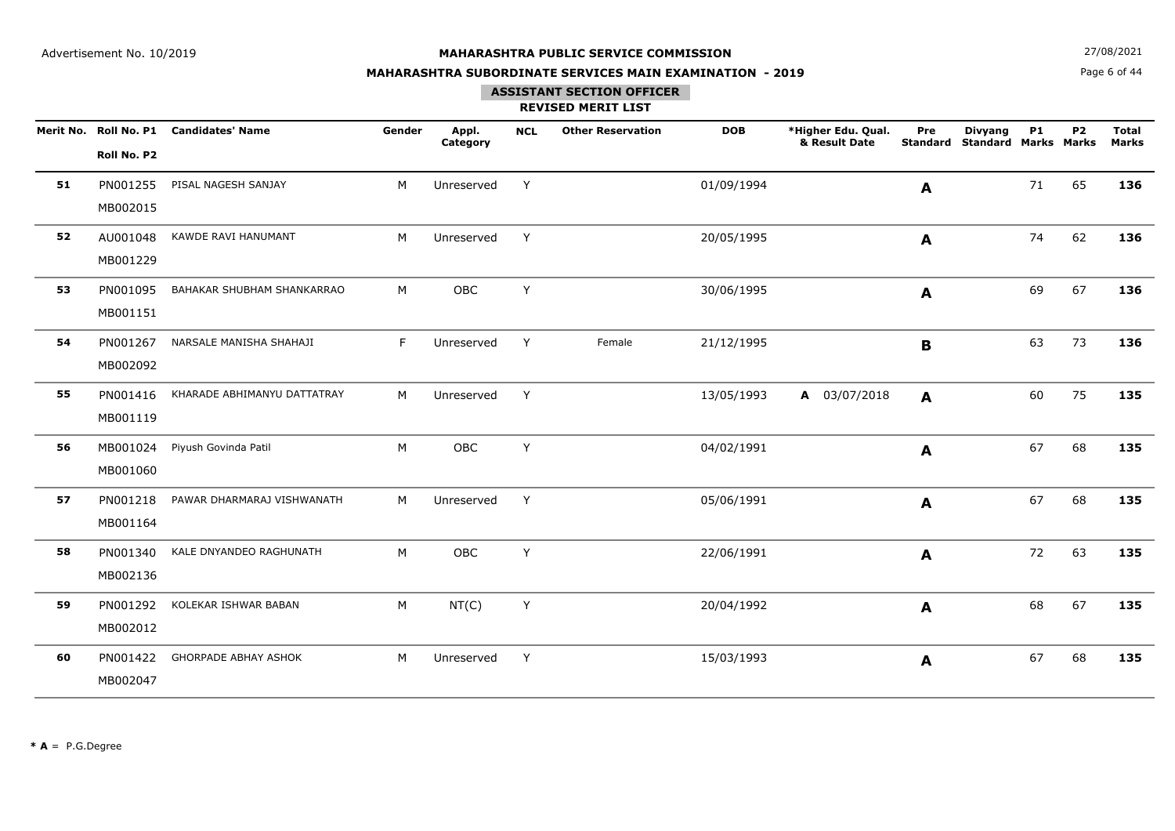**N**  $27/08/2021$ 

## **MAHARASHTRA SUBORDINATE SERVICES MAIN EXAMINATION - 2019**

Page 6 of 44

### **ASSISTANT SECTION OFFICER**

|    | Roll No. P2          | Merit No. Roll No. P1 Candidates' Name | Gender | Appl.<br>Category | <b>NCL</b> | <b>Other Reservation</b> | <b>DOB</b> | *Higher Edu. Qual.<br>& Result Date | Pre<br><b>Standard</b> | <b>Divyang</b><br><b>Standard Marks Marks</b> | <b>P1</b> | <b>P2</b> | <b>Total</b><br><b>Marks</b> |
|----|----------------------|----------------------------------------|--------|-------------------|------------|--------------------------|------------|-------------------------------------|------------------------|-----------------------------------------------|-----------|-----------|------------------------------|
| 51 | PN001255<br>MB002015 | PISAL NAGESH SANJAY                    | M      | Unreserved        | Y          |                          | 01/09/1994 |                                     | A                      |                                               | 71        | 65        | 136                          |
| 52 | AU001048<br>MB001229 | KAWDE RAVI HANUMANT                    | M      | Unreserved        | Y          |                          | 20/05/1995 |                                     | A                      |                                               | 74        | 62        | 136                          |
| 53 | PN001095<br>MB001151 | BAHAKAR SHUBHAM SHANKARRAO             | M      | OBC               | Y          |                          | 30/06/1995 |                                     | A                      |                                               | 69        | 67        | 136                          |
| 54 | PN001267<br>MB002092 | NARSALE MANISHA SHAHAJI                | F      | Unreserved        | Y          | Female                   | 21/12/1995 |                                     | B                      |                                               | 63        | 73        | 136                          |
| 55 | PN001416<br>MB001119 | KHARADE ABHIMANYU DATTATRAY            | M      | Unreserved        | Y          |                          | 13/05/1993 | A 03/07/2018                        | $\mathbf{A}$           |                                               | 60        | 75        | 135                          |
| 56 | MB001024<br>MB001060 | Piyush Govinda Patil                   | M      | OBC               | Y          |                          | 04/02/1991 |                                     | A                      |                                               | 67        | 68        | 135                          |
| 57 | PN001218<br>MB001164 | PAWAR DHARMARAJ VISHWANATH             | M      | Unreserved        | Y          |                          | 05/06/1991 |                                     | $\mathbf{A}$           |                                               | 67        | 68        | 135                          |
| 58 | PN001340<br>MB002136 | KALE DNYANDEO RAGHUNATH                | M      | <b>OBC</b>        | Y          |                          | 22/06/1991 |                                     | A                      |                                               | 72        | 63        | 135                          |
| 59 | PN001292<br>MB002012 | KOLEKAR ISHWAR BABAN                   | M      | NT(C)             | Y          |                          | 20/04/1992 |                                     | A                      |                                               | 68        | 67        | 135                          |
| 60 | PN001422<br>MB002047 | <b>GHORPADE ABHAY ASHOK</b>            | M      | Unreserved        | Y          |                          | 15/03/1993 |                                     | A                      |                                               | 67        | 68        | 135                          |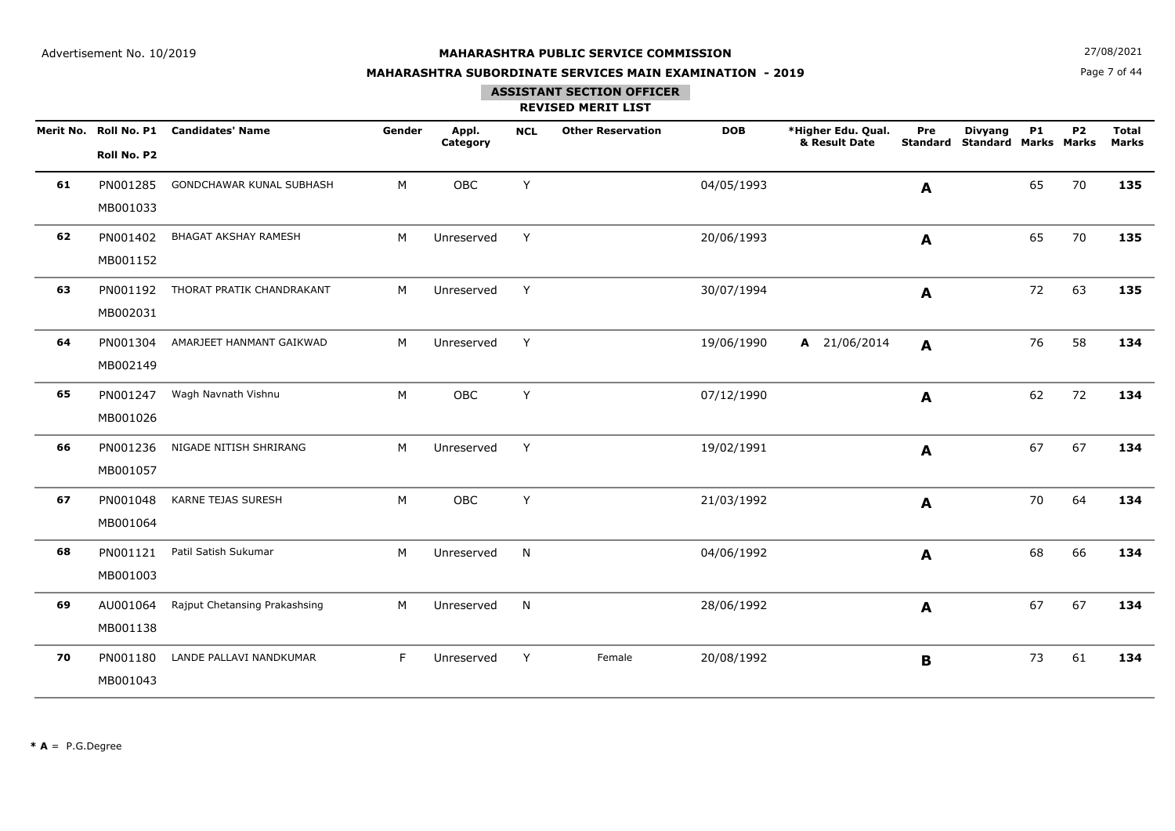**N**  $27/08/2021$ 

## **MAHARASHTRA SUBORDINATE SERVICES MAIN EXAMINATION - 2019**

Page 7 of 44

# **ASSISTANT SECTION OFFICER**

|    |             | Merit No. Roll No. P1 Candidates' Name | Gender | Appl.<br>Category | <b>NCL</b> | <b>Other Reservation</b> | <b>DOB</b> | *Higher Edu. Qual.<br>& Result Date | Pre          | <b>Divyang</b><br><b>Standard Standard Marks Marks</b> | <b>P1</b> | P <sub>2</sub> | <b>Total</b><br><b>Marks</b> |
|----|-------------|----------------------------------------|--------|-------------------|------------|--------------------------|------------|-------------------------------------|--------------|--------------------------------------------------------|-----------|----------------|------------------------------|
|    | Roll No. P2 |                                        |        |                   |            |                          |            |                                     |              |                                                        |           |                |                              |
| 61 | PN001285    | GONDCHAWAR KUNAL SUBHASH               | М      | OBC               | Y          |                          | 04/05/1993 |                                     | A            |                                                        | 65        | 70             | 135                          |
|    | MB001033    |                                        |        |                   |            |                          |            |                                     |              |                                                        |           |                |                              |
| 62 | PN001402    | <b>BHAGAT AKSHAY RAMESH</b>            | M      | Unreserved        | Y          |                          | 20/06/1993 |                                     | A            |                                                        | 65        | 70             | 135                          |
|    | MB001152    |                                        |        |                   |            |                          |            |                                     |              |                                                        |           |                |                              |
| 63 | PN001192    | THORAT PRATIK CHANDRAKANT              | M      | Unreserved        | Y          |                          | 30/07/1994 |                                     | A            |                                                        | 72        | 63             | 135                          |
|    | MB002031    |                                        |        |                   |            |                          |            |                                     |              |                                                        |           |                |                              |
| 64 | PN001304    | AMARJEET HANMANT GAIKWAD               | M      | Unreserved        | Y          |                          | 19/06/1990 | A 21/06/2014                        | A            |                                                        | 76        | 58             | 134                          |
|    | MB002149    |                                        |        |                   |            |                          |            |                                     |              |                                                        |           |                |                              |
| 65 | PN001247    | Wagh Navnath Vishnu                    | M      | OBC               | Y          |                          | 07/12/1990 |                                     | A            |                                                        | 62        | 72             | 134                          |
|    | MB001026    |                                        |        |                   |            |                          |            |                                     |              |                                                        |           |                |                              |
| 66 | PN001236    | NIGADE NITISH SHRIRANG                 | M      | Unreserved        | Y          |                          | 19/02/1991 |                                     | A            |                                                        | 67        | 67             | 134                          |
|    | MB001057    |                                        |        |                   |            |                          |            |                                     |              |                                                        |           |                |                              |
| 67 | PN001048    | KARNE TEJAS SURESH                     | М      | OBC               | Y          |                          | 21/03/1992 |                                     | A            |                                                        | 70        | 64             | 134                          |
|    | MB001064    |                                        |        |                   |            |                          |            |                                     |              |                                                        |           |                |                              |
| 68 | PN001121    | Patil Satish Sukumar                   | М      | Unreserved        | N          |                          | 04/06/1992 |                                     | A            |                                                        | 68        | 66             | 134                          |
|    | MB001003    |                                        |        |                   |            |                          |            |                                     |              |                                                        |           |                |                              |
| 69 | AU001064    | Rajput Chetansing Prakashsing          | M      | Unreserved        | N          |                          | 28/06/1992 |                                     | $\mathbf{A}$ |                                                        | 67        | 67             | 134                          |
|    | MB001138    |                                        |        |                   |            |                          |            |                                     |              |                                                        |           |                |                              |
| 70 | PN001180    | LANDE PALLAVI NANDKUMAR                | F      | Unreserved        | Y          | Female                   | 20/08/1992 |                                     | $\mathbf B$  |                                                        | 73        | 61             | 134                          |
|    | MB001043    |                                        |        |                   |            |                          |            |                                     |              |                                                        |           |                |                              |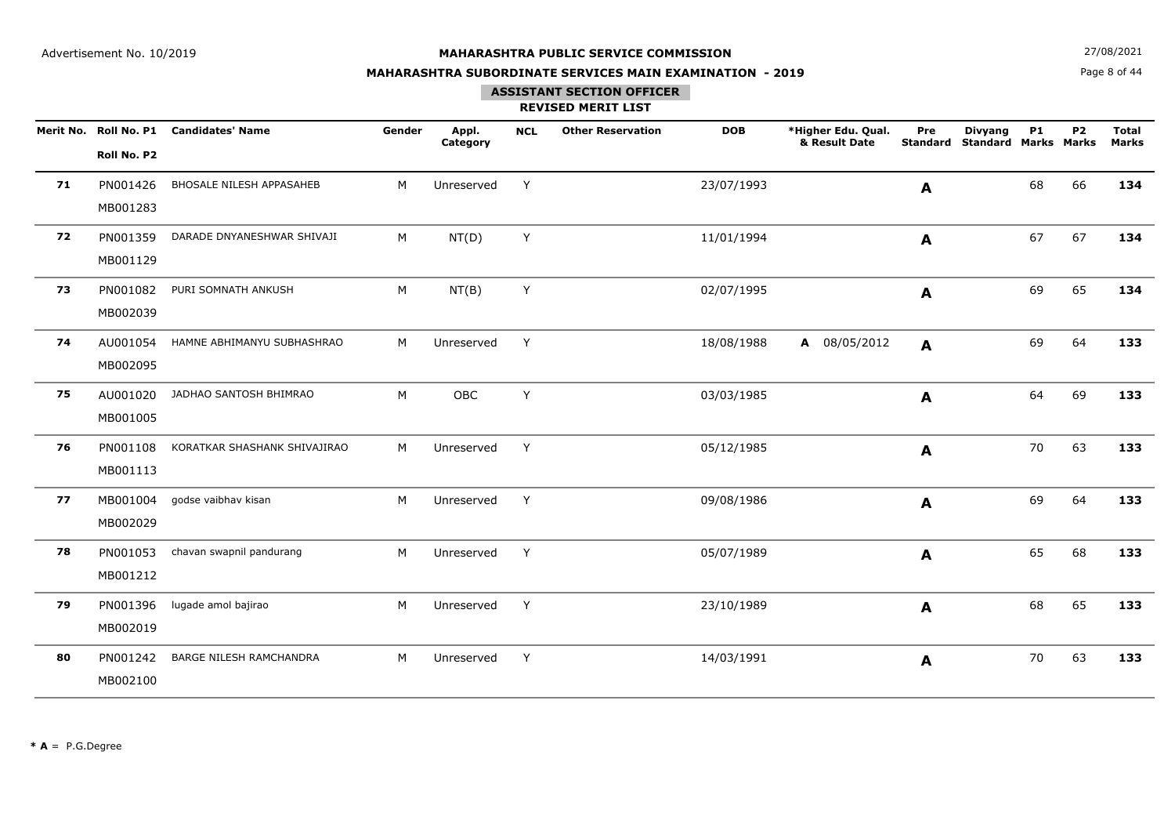**N**  $27/08/2021$ 

## **MAHARASHTRA SUBORDINATE SERVICES MAIN EXAMINATION - 2019**

# Page 8 of 44

## **ASSISTANT SECTION OFFICER**

|    | Roll No. P2          | Merit No. Roll No. P1 Candidates' Name | Gender | Appl.<br>Category | <b>NCL</b> | <b>Other Reservation</b> | <b>DOB</b> | *Higher Edu. Qual.<br>& Result Date | Pre<br><b>Standard</b> | <b>Divyang</b><br><b>Standard Marks Marks</b> | <b>P1</b> | P <sub>2</sub> | <b>Total</b><br><b>Marks</b> |
|----|----------------------|----------------------------------------|--------|-------------------|------------|--------------------------|------------|-------------------------------------|------------------------|-----------------------------------------------|-----------|----------------|------------------------------|
| 71 | PN001426<br>MB001283 | <b>BHOSALE NILESH APPASAHEB</b>        | M      | Unreserved        | Y          |                          | 23/07/1993 |                                     | A                      |                                               | 68        | 66             | 134                          |
| 72 | PN001359<br>MB001129 | DARADE DNYANESHWAR SHIVAJI             | M      | NT(D)             | Y          |                          | 11/01/1994 |                                     | A                      |                                               | 67        | 67             | 134                          |
| 73 | PN001082<br>MB002039 | PURI SOMNATH ANKUSH                    | м      | NT(B)             | Y          |                          | 02/07/1995 |                                     | A                      |                                               | 69        | 65             | 134                          |
| 74 | AU001054<br>MB002095 | HAMNE ABHIMANYU SUBHASHRAO             | M      | Unreserved        | Y          |                          | 18/08/1988 | A 08/05/2012                        | A                      |                                               | 69        | 64             | 133                          |
| 75 | AU001020<br>MB001005 | JADHAO SANTOSH BHIMRAO                 | M      | OBC               | Y          |                          | 03/03/1985 |                                     | A                      |                                               | 64        | 69             | 133                          |
| 76 | PN001108<br>MB001113 | KORATKAR SHASHANK SHIVAJIRAO           | M      | Unreserved        | Y          |                          | 05/12/1985 |                                     | A                      |                                               | 70        | 63             | 133                          |
| 77 | MB001004<br>MB002029 | godse vaibhav kisan                    | M      | Unreserved        | Y          |                          | 09/08/1986 |                                     | A                      |                                               | 69        | 64             | 133                          |
| 78 | PN001053<br>MB001212 | chavan swapnil pandurang               | M      | Unreserved        | Y          |                          | 05/07/1989 |                                     | $\mathbf{A}$           |                                               | 65        | 68             | 133                          |
| 79 | PN001396<br>MB002019 | lugade amol bajirao                    | M      | Unreserved        | Y          |                          | 23/10/1989 |                                     | A                      |                                               | 68        | 65             | 133                          |
| 80 | PN001242<br>MB002100 | BARGE NILESH RAMCHANDRA                | M      | Unreserved        | Y          |                          | 14/03/1991 |                                     | A                      |                                               | 70        | 63             | 133                          |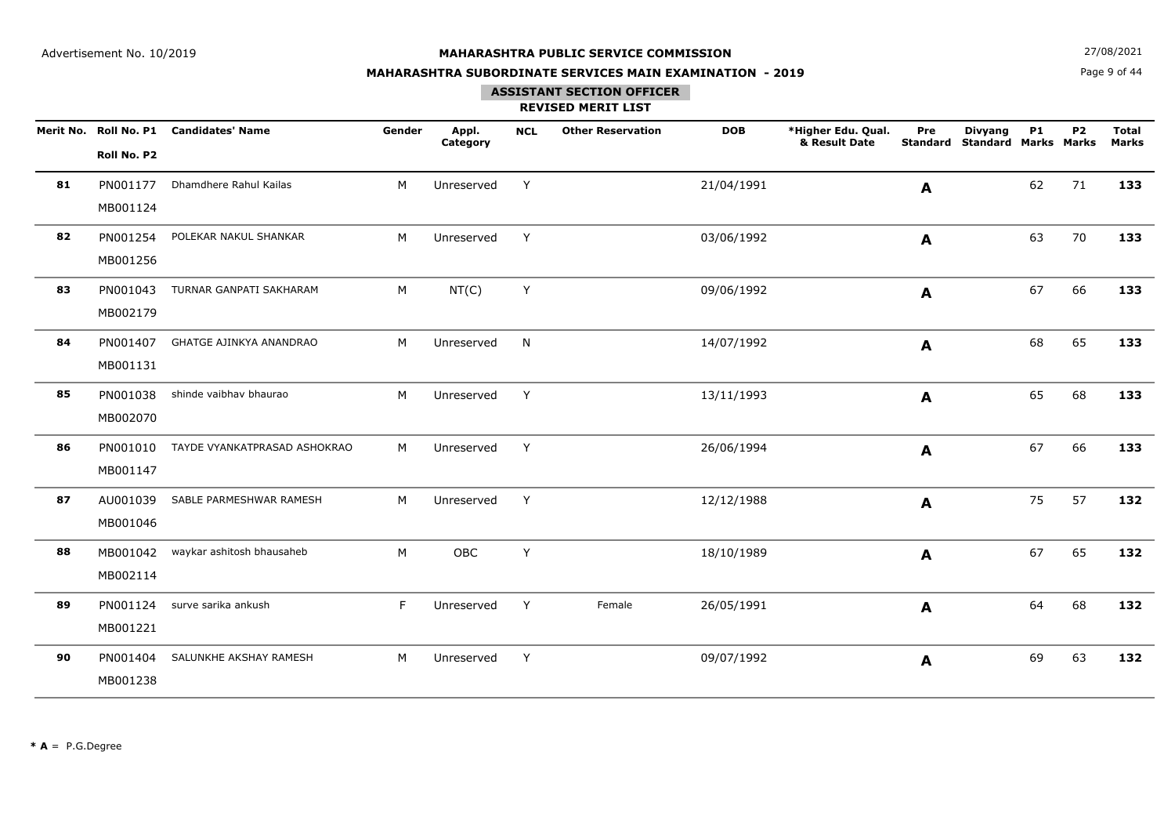**N**  $27/08/2021$ 

## **MAHARASHTRA SUBORDINATE SERVICES MAIN EXAMINATION - 2019**

Page 9 of 44

## **ASSISTANT SECTION OFFICER**

|    | Roll No. P2          | Merit No. Roll No. P1 Candidates' Name | Gender | Appl.<br>Category | <b>NCL</b> | <b>Other Reservation</b> | <b>DOB</b> | *Higher Edu. Qual.<br>& Result Date | Pre<br><b>Standard</b> | <b>Divyang</b><br><b>Standard Marks Marks</b> | <b>P1</b> | P <sub>2</sub> | <b>Total</b><br><b>Marks</b> |
|----|----------------------|----------------------------------------|--------|-------------------|------------|--------------------------|------------|-------------------------------------|------------------------|-----------------------------------------------|-----------|----------------|------------------------------|
| 81 | PN001177<br>MB001124 | Dhamdhere Rahul Kailas                 | M      | Unreserved        | Y          |                          | 21/04/1991 |                                     | A                      |                                               | 62        | 71             | 133                          |
| 82 | PN001254<br>MB001256 | POLEKAR NAKUL SHANKAR                  | M      | Unreserved        | Y          |                          | 03/06/1992 |                                     | A                      |                                               | 63        | 70             | 133                          |
| 83 | PN001043<br>MB002179 | TURNAR GANPATI SAKHARAM                | M      | NT(C)             | Y          |                          | 09/06/1992 |                                     | A                      |                                               | 67        | 66             | 133                          |
| 84 | PN001407<br>MB001131 | GHATGE AJINKYA ANANDRAO                | M      | Unreserved        | N          |                          | 14/07/1992 |                                     | A                      |                                               | 68        | 65             | 133                          |
| 85 | PN001038<br>MB002070 | shinde vaibhav bhaurao                 | M      | Unreserved        | Y          |                          | 13/11/1993 |                                     | $\mathbf{A}$           |                                               | 65        | 68             | 133                          |
| 86 | PN001010<br>MB001147 | TAYDE VYANKATPRASAD ASHOKRAO           | M      | Unreserved        | Y          |                          | 26/06/1994 |                                     | A                      |                                               | 67        | 66             | 133                          |
| 87 | AU001039<br>MB001046 | SABLE PARMESHWAR RAMESH                | M      | Unreserved        | Y          |                          | 12/12/1988 |                                     | A                      |                                               | 75        | 57             | 132                          |
| 88 | MB001042<br>MB002114 | waykar ashitosh bhausaheb              | M      | OBC               | Y          |                          | 18/10/1989 |                                     | A                      |                                               | 67        | 65             | 132                          |
| 89 | PN001124<br>MB001221 | surve sarika ankush                    | F      | Unreserved        | Y          | Female                   | 26/05/1991 |                                     | A                      |                                               | 64        | 68             | 132                          |
| 90 | PN001404<br>MB001238 | SALUNKHE AKSHAY RAMESH                 | M      | Unreserved        | Y          |                          | 09/07/1992 |                                     | A                      |                                               | 69        | 63             | 132                          |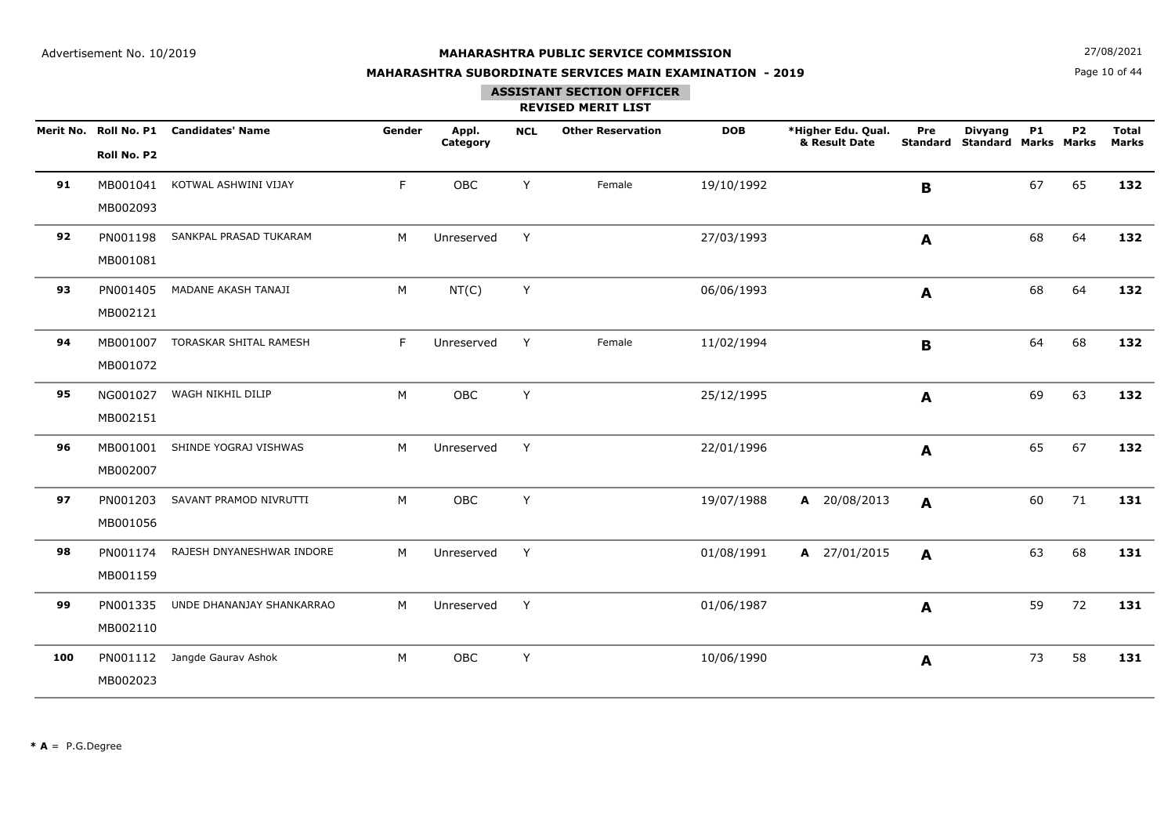**N**  $27/08/2021$ 

## **MAHARASHTRA SUBORDINATE SERVICES MAIN EXAMINATION - 2019**

Page 10 of 44

## **ASSISTANT SECTION OFFICER**

|     | Roll No. P2          | Merit No. Roll No. P1 Candidates' Name | Gender | Appl.<br>Category | <b>NCL</b> | <b>Other Reservation</b> | <b>DOB</b> | *Higher Edu. Qual.<br>& Result Date | Pre<br><b>Standard</b> | <b>Divyang</b><br><b>Standard Marks Marks</b> | <b>P1</b> | <b>P2</b> | <b>Total</b><br><b>Marks</b> |
|-----|----------------------|----------------------------------------|--------|-------------------|------------|--------------------------|------------|-------------------------------------|------------------------|-----------------------------------------------|-----------|-----------|------------------------------|
| 91  | MB001041<br>MB002093 | KOTWAL ASHWINI VIJAY                   | F.     | OBC               | Y          | Female                   | 19/10/1992 |                                     | B                      |                                               | 67        | 65        | 132                          |
| 92  | PN001198<br>MB001081 | SANKPAL PRASAD TUKARAM                 | M      | Unreserved        | Y          |                          | 27/03/1993 |                                     | A                      |                                               | 68        | 64        | 132                          |
| 93  | PN001405<br>MB002121 | MADANE AKASH TANAJI                    | M      | NT(C)             | Y          |                          | 06/06/1993 |                                     | A                      |                                               | 68        | 64        | 132                          |
| 94  | MB001072             | MB001007 TORASKAR SHITAL RAMESH        | F.     | Unreserved        | Y          | Female                   | 11/02/1994 |                                     | В                      |                                               | 64        | 68        | 132                          |
| 95  | NG001027<br>MB002151 | WAGH NIKHIL DILIP                      | M      | OBC               | Y          |                          | 25/12/1995 |                                     | A                      |                                               | 69        | 63        | 132                          |
| 96  | MB001001<br>MB002007 | SHINDE YOGRAJ VISHWAS                  | M      | Unreserved        | Y          |                          | 22/01/1996 |                                     | A                      |                                               | 65        | 67        | 132                          |
| 97  | PN001203<br>MB001056 | SAVANT PRAMOD NIVRUTTI                 | M      | OBC               | Y          |                          | 19/07/1988 | A 20/08/2013                        | $\mathbf{A}$           |                                               | 60        | 71        | 131                          |
| 98  | PN001174<br>MB001159 | RAJESH DNYANESHWAR INDORE              | M      | Unreserved        | Y          |                          | 01/08/1991 | A 27/01/2015                        | A                      |                                               | 63        | 68        | 131                          |
| 99  | PN001335<br>MB002110 | UNDE DHANANJAY SHANKARRAO              | M      | Unreserved        | Y          |                          | 01/06/1987 |                                     | A                      |                                               | 59        | 72        | 131                          |
| 100 | MB002023             | PN001112 Jangde Gaurav Ashok           | M      | OBC               | Υ          |                          | 10/06/1990 |                                     | A                      |                                               | 73        | 58        | 131                          |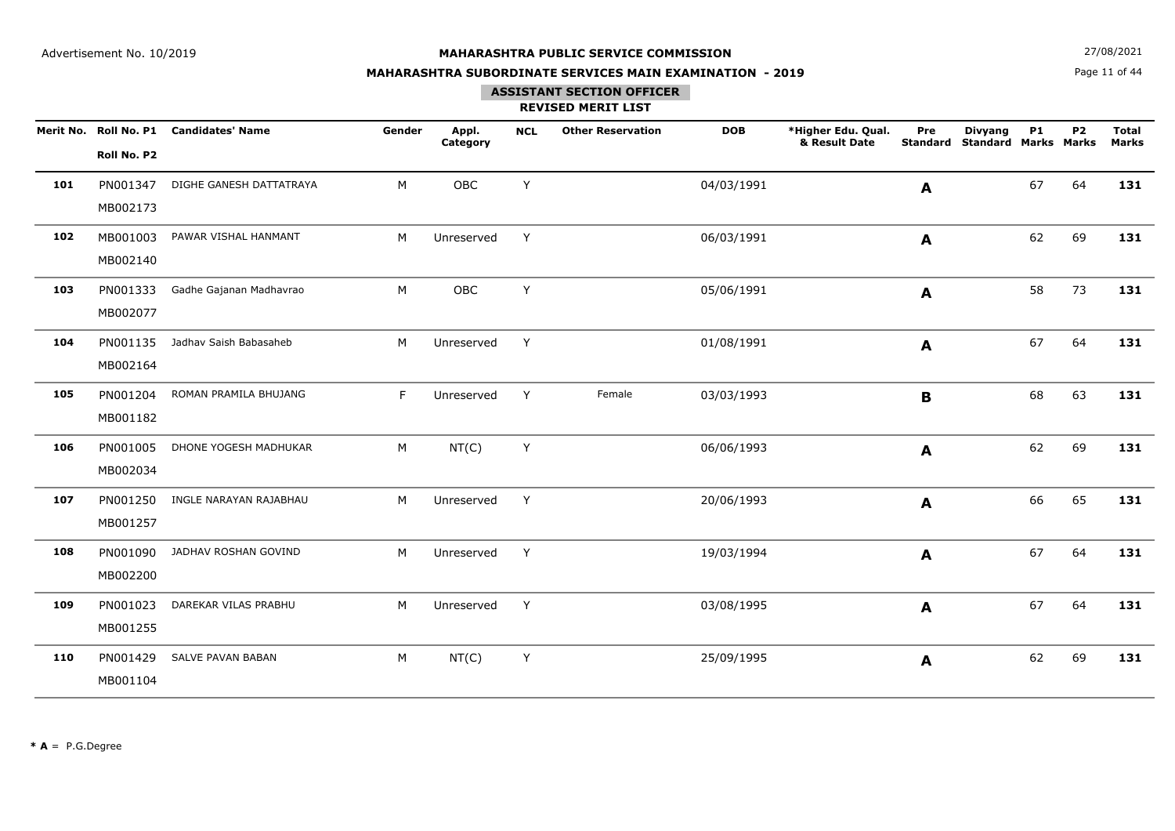**N**  $27/08/2021$ 

## **MAHARASHTRA SUBORDINATE SERVICES MAIN EXAMINATION - 2019**

Page 11 of 44

## **ASSISTANT SECTION OFFICER**

|     |             | Merit No. Roll No. P1 Candidates' Name | Gender | Appl.<br>Category | <b>NCL</b> | <b>Other Reservation</b> | <b>DOB</b> | *Higher Edu. Qual.<br>& Result Date | Pre<br>Standard | <b>Divyang</b><br><b>Standard Marks Marks</b> | <b>P1</b> | P <sub>2</sub> | <b>Total</b><br><b>Marks</b> |
|-----|-------------|----------------------------------------|--------|-------------------|------------|--------------------------|------------|-------------------------------------|-----------------|-----------------------------------------------|-----------|----------------|------------------------------|
|     | Roll No. P2 |                                        |        |                   |            |                          |            |                                     |                 |                                               |           |                |                              |
| 101 | PN001347    | DIGHE GANESH DATTATRAYA                | M      | OBC               | Y          |                          | 04/03/1991 |                                     | A               |                                               | 67        | 64             | 131                          |
|     | MB002173    |                                        |        |                   |            |                          |            |                                     |                 |                                               |           |                |                              |
| 102 | MB001003    | PAWAR VISHAL HANMANT                   | M      | Unreserved        | Y          |                          | 06/03/1991 |                                     | A               |                                               | 62        | 69             | 131                          |
|     | MB002140    |                                        |        |                   |            |                          |            |                                     |                 |                                               |           |                |                              |
| 103 | PN001333    | Gadhe Gajanan Madhavrao                | M      | OBC               | Y          |                          | 05/06/1991 |                                     | A               |                                               | 58        | 73             | 131                          |
|     | MB002077    |                                        |        |                   |            |                          |            |                                     |                 |                                               |           |                |                              |
| 104 | PN001135    | Jadhav Saish Babasaheb                 | M      | Unreserved        | Y          |                          | 01/08/1991 |                                     | A               |                                               | 67        | 64             | 131                          |
|     | MB002164    |                                        |        |                   |            |                          |            |                                     |                 |                                               |           |                |                              |
| 105 | PN001204    | ROMAN PRAMILA BHUJANG                  | F      | Unreserved        | Y          | Female                   | 03/03/1993 |                                     | B               |                                               | 68        | 63             | 131                          |
|     | MB001182    |                                        |        |                   |            |                          |            |                                     |                 |                                               |           |                |                              |
| 106 | PN001005    | DHONE YOGESH MADHUKAR                  | M      | NT(C)             | Υ          |                          | 06/06/1993 |                                     | A               |                                               | 62        | 69             | 131                          |
|     | MB002034    |                                        |        |                   |            |                          |            |                                     |                 |                                               |           |                |                              |
| 107 | PN001250    | INGLE NARAYAN RAJABHAU                 | М      | Unreserved        | Y          |                          | 20/06/1993 |                                     | A               |                                               | 66        | 65             | 131                          |
|     | MB001257    |                                        |        |                   |            |                          |            |                                     |                 |                                               |           |                |                              |
| 108 | PN001090    | JADHAV ROSHAN GOVIND                   | M      | Unreserved        | Y          |                          | 19/03/1994 |                                     | A               |                                               | 67        | 64             | 131                          |
|     | MB002200    |                                        |        |                   |            |                          |            |                                     |                 |                                               |           |                |                              |
| 109 | PN001023    | DAREKAR VILAS PRABHU                   | M      | Unreserved        | Y          |                          | 03/08/1995 |                                     | A               |                                               | 67        | 64             | 131                          |
|     | MB001255    |                                        |        |                   |            |                          |            |                                     |                 |                                               |           |                |                              |
| 110 | PN001429    | SALVE PAVAN BABAN                      | М      | NT(C)             | Υ          |                          | 25/09/1995 |                                     | $\mathbf{A}$    |                                               | 62        | 69             | 131                          |
|     | MB001104    |                                        |        |                   |            |                          |            |                                     |                 |                                               |           |                |                              |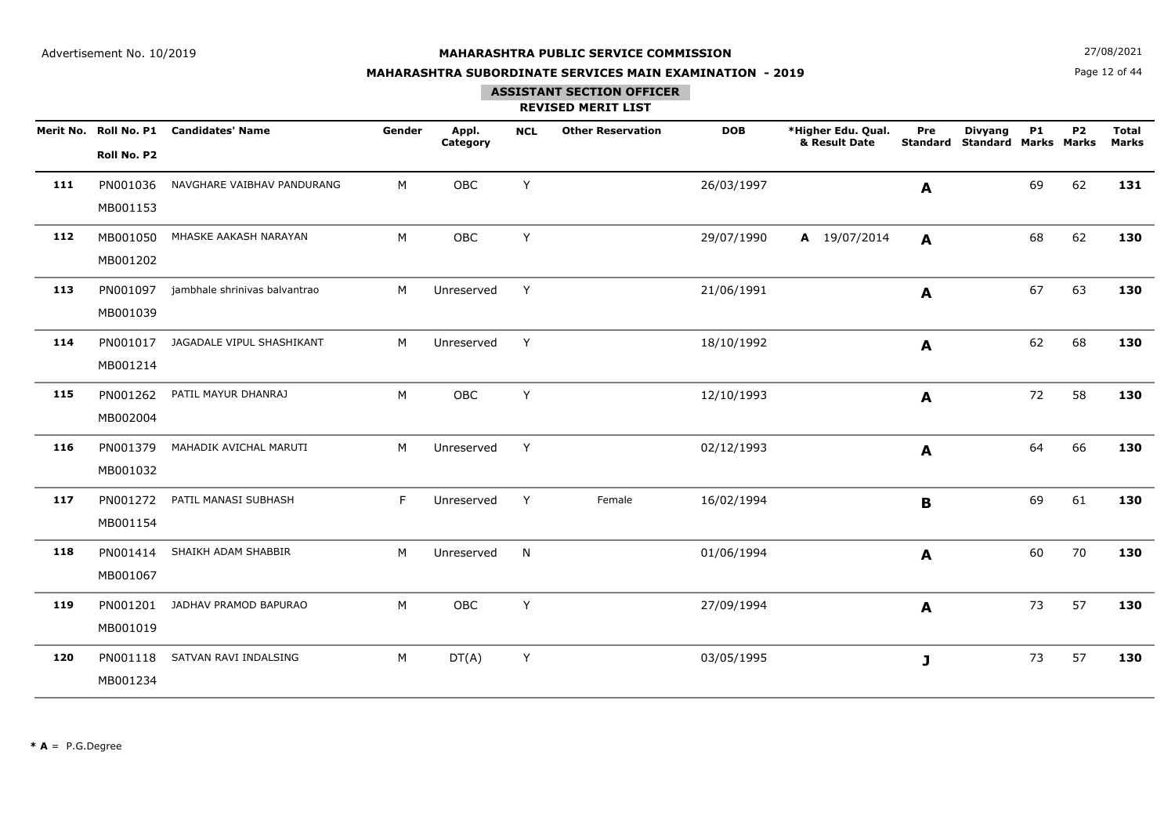**N**  $27/08/2021$ 

## **MAHARASHTRA SUBORDINATE SERVICES MAIN EXAMINATION - 2019**

Page 12 of 44

# **ASSISTANT SECTION OFFICER**

|     | Roll No. P2          | Merit No. Roll No. P1 Candidates' Name | Gender | Appl.<br>Category | <b>NCL</b> | <b>Other Reservation</b> | <b>DOB</b> | *Higher Edu. Qual.<br>& Result Date | Pre<br><b>Standard</b> | <b>Divyang</b><br><b>Standard Marks Marks</b> | <b>P1</b> | <b>P2</b> | <b>Total</b><br><b>Marks</b> |
|-----|----------------------|----------------------------------------|--------|-------------------|------------|--------------------------|------------|-------------------------------------|------------------------|-----------------------------------------------|-----------|-----------|------------------------------|
| 111 | PN001036<br>MB001153 | NAVGHARE VAIBHAV PANDURANG             | M      | OBC               | Y          |                          | 26/03/1997 |                                     | A                      |                                               | 69        | 62        | 131                          |
| 112 | MB001050<br>MB001202 | MHASKE AAKASH NARAYAN                  | M      | OBC               | Y          |                          | 29/07/1990 | A 19/07/2014                        | A                      |                                               | 68        | 62        | 130                          |
| 113 | PN001097<br>MB001039 | jambhale shrinivas balvantrao          | M      | Unreserved        | Y          |                          | 21/06/1991 |                                     | A                      |                                               | 67        | 63        | 130                          |
| 114 | PN001017<br>MB001214 | JAGADALE VIPUL SHASHIKANT              | M      | Unreserved        | Y          |                          | 18/10/1992 |                                     | A                      |                                               | 62        | 68        | 130                          |
| 115 | PN001262<br>MB002004 | PATIL MAYUR DHANRAJ                    | M      | OBC               | Y          |                          | 12/10/1993 |                                     | $\mathbf{A}$           |                                               | 72        | 58        | 130                          |
| 116 | PN001379<br>MB001032 | MAHADIK AVICHAL MARUTI                 | M      | Unreserved        | Y          |                          | 02/12/1993 |                                     | A                      |                                               | 64        | 66        | 130                          |
| 117 | PN001272<br>MB001154 | PATIL MANASI SUBHASH                   | F      | Unreserved        | Y          | Female                   | 16/02/1994 |                                     | $\mathbf B$            |                                               | 69        | 61        | 130                          |
| 118 | PN001414<br>MB001067 | SHAIKH ADAM SHABBIR                    | M      | Unreserved        | N          |                          | 01/06/1994 |                                     | A                      |                                               | 60        | 70        | 130                          |
| 119 | PN001201<br>MB001019 | JADHAV PRAMOD BAPURAO                  | M      | OBC               | Y          |                          | 27/09/1994 |                                     | A                      |                                               | 73        | 57        | 130                          |
| 120 | PN001118<br>MB001234 | SATVAN RAVI INDALSING                  | M      | DT(A)             | Y          |                          | 03/05/1995 |                                     | $\mathbf{J}$           |                                               | 73        | 57        | 130                          |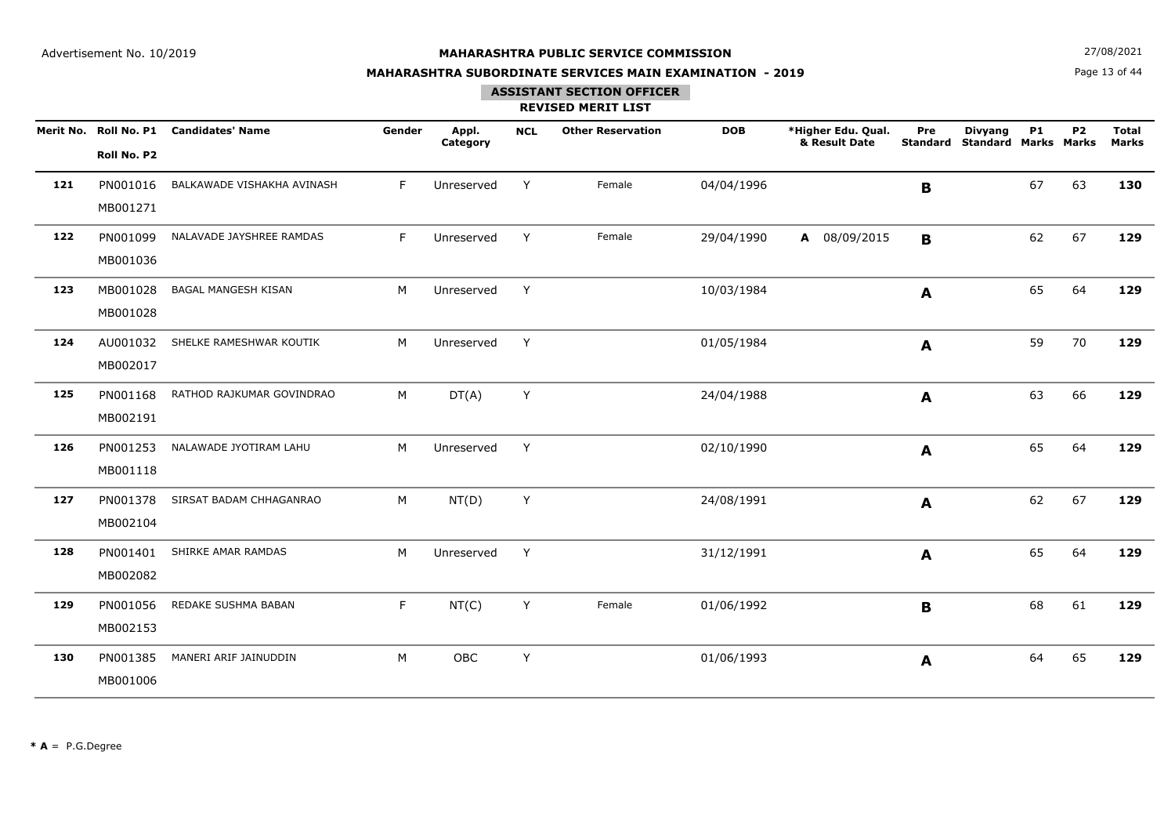**N**  $27/08/2021$ 

## **MAHARASHTRA SUBORDINATE SERVICES MAIN EXAMINATION - 2019**

Page 13 of 44

## **ASSISTANT SECTION OFFICER**

|     | Roll No. P2          | Merit No. Roll No. P1 Candidates' Name | Gender | Appl.<br>Category | <b>NCL</b> | <b>Other Reservation</b> | <b>DOB</b> | *Higher Edu. Qual.<br>& Result Date | Pre<br><b>Standard</b> | <b>Divyang</b><br><b>Standard Marks Marks</b> | <b>P1</b> | <b>P2</b> | <b>Total</b><br><b>Marks</b> |
|-----|----------------------|----------------------------------------|--------|-------------------|------------|--------------------------|------------|-------------------------------------|------------------------|-----------------------------------------------|-----------|-----------|------------------------------|
| 121 | PN001016<br>MB001271 | BALKAWADE VISHAKHA AVINASH             | F      | Unreserved        | Y          | Female                   | 04/04/1996 |                                     | B                      |                                               | 67        | 63        | 130                          |
| 122 | PN001099<br>MB001036 | NALAVADE JAYSHREE RAMDAS               | F.     | Unreserved        | Y          | Female                   | 29/04/1990 | A 08/09/2015                        | $\mathbf B$            |                                               | 62        | 67        | 129                          |
| 123 | MB001028<br>MB001028 | <b>BAGAL MANGESH KISAN</b>             | M      | Unreserved        | Y          |                          | 10/03/1984 |                                     | A                      |                                               | 65        | 64        | 129                          |
| 124 | AU001032<br>MB002017 | SHELKE RAMESHWAR KOUTIK                | M      | Unreserved        | Y          |                          | 01/05/1984 |                                     | A                      |                                               | 59        | 70        | 129                          |
| 125 | PN001168<br>MB002191 | RATHOD RAJKUMAR GOVINDRAO              | M      | DT(A)             | Y          |                          | 24/04/1988 |                                     | A                      |                                               | 63        | 66        | 129                          |
| 126 | PN001253<br>MB001118 | NALAWADE JYOTIRAM LAHU                 | M      | Unreserved        | Y          |                          | 02/10/1990 |                                     | A                      |                                               | 65        | 64        | 129                          |
| 127 | PN001378<br>MB002104 | SIRSAT BADAM CHHAGANRAO                | M      | NT(D)             | Y          |                          | 24/08/1991 |                                     | $\mathbf{A}$           |                                               | 62        | 67        | 129                          |
| 128 | PN001401<br>MB002082 | SHIRKE AMAR RAMDAS                     | M      | Unreserved        | Y          |                          | 31/12/1991 |                                     | $\mathbf{A}$           |                                               | 65        | 64        | 129                          |
| 129 | PN001056<br>MB002153 | REDAKE SUSHMA BABAN                    | F      | NT(C)             | Y          | Female                   | 01/06/1992 |                                     | B                      |                                               | 68        | 61        | 129                          |
| 130 | PN001385<br>MB001006 | MANERI ARIF JAINUDDIN                  | M      | OBC               | Y          |                          | 01/06/1993 |                                     | A                      |                                               | 64        | 65        | 129                          |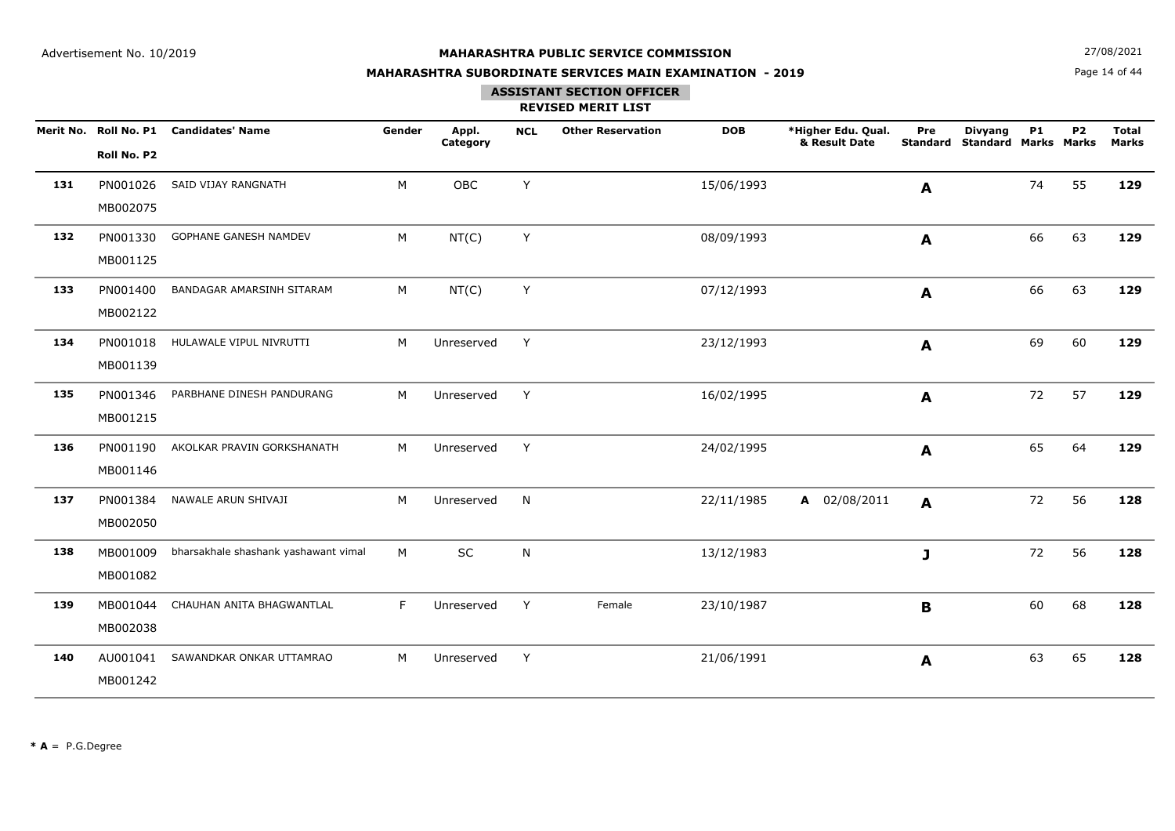**N**  $27/08/2021$ 

## **MAHARASHTRA SUBORDINATE SERVICES MAIN EXAMINATION - 2019**

Page 14 of 44

## **ASSISTANT SECTION OFFICER**

|     | Roll No. P2          | Merit No. Roll No. P1 Candidates' Name | Gender | Appl.<br>Category | <b>NCL</b>   | <b>Other Reservation</b> | <b>DOB</b> | *Higher Edu. Qual.<br>& Result Date | Pre<br><b>Standard</b> | <b>Divyang</b><br><b>Standard Marks Marks</b> | <b>P1</b> | P <sub>2</sub> | <b>Total</b><br><b>Marks</b> |
|-----|----------------------|----------------------------------------|--------|-------------------|--------------|--------------------------|------------|-------------------------------------|------------------------|-----------------------------------------------|-----------|----------------|------------------------------|
| 131 | PN001026<br>MB002075 | SAID VIJAY RANGNATH                    | M      | OBC               | Y            |                          | 15/06/1993 |                                     | A                      |                                               | 74        | 55             | 129                          |
| 132 | PN001330<br>MB001125 | <b>GOPHANE GANESH NAMDEV</b>           | M      | NT(C)             | Y            |                          | 08/09/1993 |                                     | A                      |                                               | 66        | 63             | 129                          |
| 133 | PN001400<br>MB002122 | BANDAGAR AMARSINH SITARAM              | M      | NT(C)             | Y            |                          | 07/12/1993 |                                     | A                      |                                               | 66        | 63             | 129                          |
| 134 | PN001018<br>MB001139 | HULAWALE VIPUL NIVRUTTI                | M      | Unreserved        | Y            |                          | 23/12/1993 |                                     | A                      |                                               | 69        | 60             | 129                          |
| 135 | PN001346<br>MB001215 | PARBHANE DINESH PANDURANG              | M      | Unreserved        | Y            |                          | 16/02/1995 |                                     | A                      |                                               | 72        | 57             | 129                          |
| 136 | PN001190<br>MB001146 | AKOLKAR PRAVIN GORKSHANATH             | M      | Unreserved        | Y            |                          | 24/02/1995 |                                     | A                      |                                               | 65        | 64             | 129                          |
| 137 | PN001384<br>MB002050 | NAWALE ARUN SHIVAJI                    | M      | Unreserved        | $\mathsf{N}$ |                          | 22/11/1985 | A 02/08/2011                        | A                      |                                               | 72        | 56             | 128                          |
| 138 | MB001009<br>MB001082 | bharsakhale shashank yashawant vimal   | M      | <b>SC</b>         | N            |                          | 13/12/1983 |                                     | J                      |                                               | 72        | 56             | 128                          |
| 139 | MB001044<br>MB002038 | CHAUHAN ANITA BHAGWANTLAL              | F      | Unreserved        | Y            | Female                   | 23/10/1987 |                                     | B                      |                                               | 60        | 68             | 128                          |
| 140 | AU001041<br>MB001242 | SAWANDKAR ONKAR UTTAMRAO               | M      | Unreserved        | Y            |                          | 21/06/1991 |                                     | $\mathbf{A}$           |                                               | 63        | 65             | 128                          |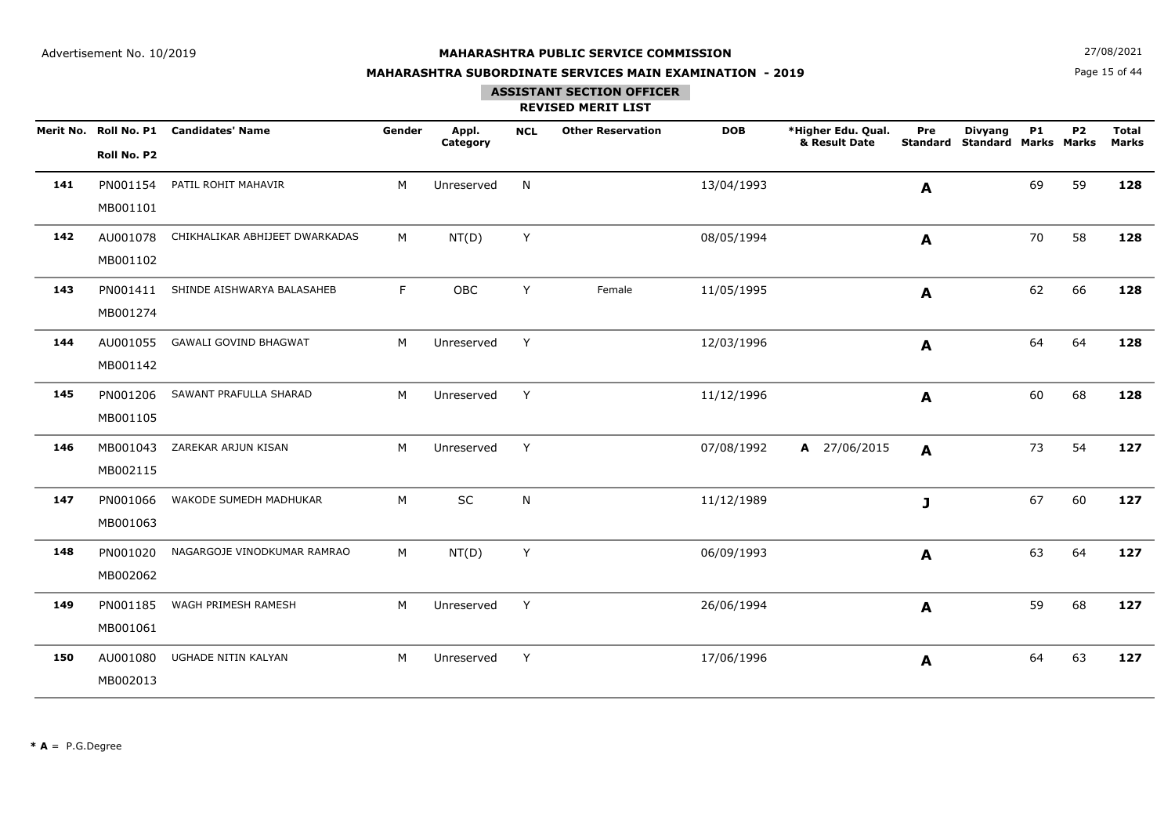**N**  $27/08/2021$ 

## **MAHARASHTRA SUBORDINATE SERVICES MAIN EXAMINATION - 2019**

Page 15 of 44

### **ASSISTANT SECTION OFFICER**

|     | Roll No. P2          | Merit No. Roll No. P1 Candidates' Name | Gender | Appl.<br>Category | <b>NCL</b> | <b>Other Reservation</b> | <b>DOB</b> | *Higher Edu. Qual.<br>& Result Date | Pre<br><b>Standard</b> | <b>Divyang</b><br><b>Standard Marks Marks</b> | <b>P1</b> | P <sub>2</sub> | <b>Total</b><br><b>Marks</b> |
|-----|----------------------|----------------------------------------|--------|-------------------|------------|--------------------------|------------|-------------------------------------|------------------------|-----------------------------------------------|-----------|----------------|------------------------------|
| 141 | PN001154<br>MB001101 | PATIL ROHIT MAHAVIR                    | M      | Unreserved        | N          |                          | 13/04/1993 |                                     | A                      |                                               | 69        | 59             | 128                          |
| 142 | AU001078<br>MB001102 | CHIKHALIKAR ABHIJEET DWARKADAS         | M      | NT(D)             | Y          |                          | 08/05/1994 |                                     | A                      |                                               | 70        | 58             | 128                          |
| 143 | PN001411<br>MB001274 | SHINDE AISHWARYA BALASAHEB             | F      | OBC               | Y          | Female                   | 11/05/1995 |                                     | A                      |                                               | 62        | 66             | 128                          |
| 144 | AU001055<br>MB001142 | <b>GAWALI GOVIND BHAGWAT</b>           | M      | Unreserved        | Y          |                          | 12/03/1996 |                                     | A                      |                                               | 64        | 64             | 128                          |
| 145 | PN001206<br>MB001105 | SAWANT PRAFULLA SHARAD                 | M      | Unreserved        | Y          |                          | 11/12/1996 |                                     | A                      |                                               | 60        | 68             | 128                          |
| 146 | MB001043<br>MB002115 | ZAREKAR ARJUN KISAN                    | M      | Unreserved        | Y          |                          | 07/08/1992 | A 27/06/2015                        | A                      |                                               | 73        | 54             | 127                          |
| 147 | PN001066<br>MB001063 | WAKODE SUMEDH MADHUKAR                 | M      | SC                | N          |                          | 11/12/1989 |                                     | J                      |                                               | 67        | 60             | 127                          |
| 148 | PN001020<br>MB002062 | NAGARGOJE VINODKUMAR RAMRAO            | M      | NT(D)             | Y          |                          | 06/09/1993 |                                     | $\mathbf{A}$           |                                               | 63        | 64             | 127                          |
| 149 | PN001185<br>MB001061 | WAGH PRIMESH RAMESH                    | M      | Unreserved        | Y          |                          | 26/06/1994 |                                     | A                      |                                               | 59        | 68             | 127                          |
| 150 | AU001080<br>MB002013 | UGHADE NITIN KALYAN                    | M      | Unreserved        | Y          |                          | 17/06/1996 |                                     | A                      |                                               | 64        | 63             | 127                          |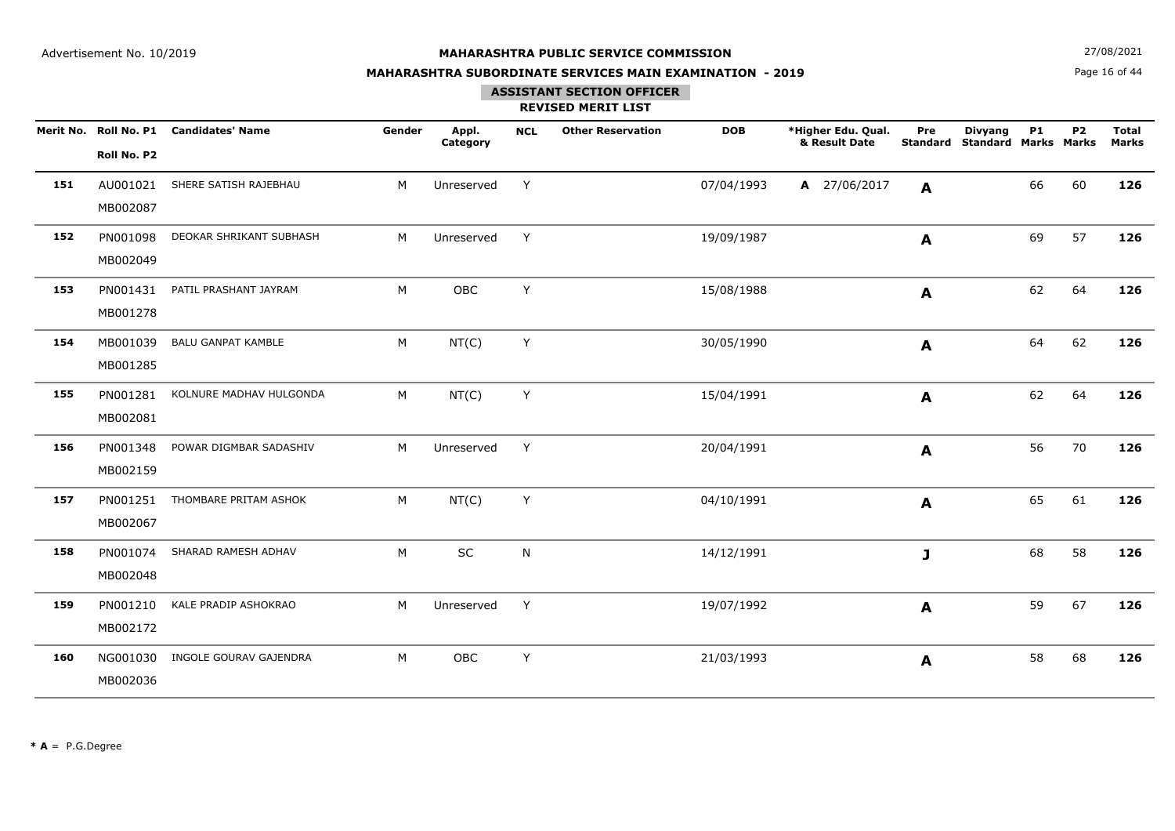**N**  $27/08/2021$ 

## **MAHARASHTRA SUBORDINATE SERVICES MAIN EXAMINATION - 2019**

Page 16 of 44

### **ASSISTANT SECTION OFFICER**

|     |             | Merit No. Roll No. P1 Candidates' Name | Gender | Appl.<br>Category | <b>NCL</b> | <b>Other Reservation</b> | <b>DOB</b> | *Higher Edu. Qual.<br>& Result Date | Pre<br>Standard | <b>Divyang</b><br><b>Standard Marks Marks</b> | <b>P1</b> | P <sub>2</sub> | <b>Total</b><br>Marks |
|-----|-------------|----------------------------------------|--------|-------------------|------------|--------------------------|------------|-------------------------------------|-----------------|-----------------------------------------------|-----------|----------------|-----------------------|
|     | Roll No. P2 |                                        |        |                   |            |                          |            |                                     |                 |                                               |           |                |                       |
| 151 | AU001021    | SHERE SATISH RAJEBHAU                  | M      | Unreserved        | Y          |                          | 07/04/1993 | A 27/06/2017                        | A               |                                               | 66        | 60             | 126                   |
|     | MB002087    |                                        |        |                   |            |                          |            |                                     |                 |                                               |           |                |                       |
| 152 | PN001098    | DEOKAR SHRIKANT SUBHASH                | М      | Unreserved        | Y          |                          | 19/09/1987 |                                     | A               |                                               | 69        | 57             | 126                   |
|     | MB002049    |                                        |        |                   |            |                          |            |                                     |                 |                                               |           |                |                       |
| 153 | PN001431    | PATIL PRASHANT JAYRAM                  | M      | OBC               | Y          |                          | 15/08/1988 |                                     | A               |                                               | 62        | 64             | 126                   |
|     | MB001278    |                                        |        |                   |            |                          |            |                                     |                 |                                               |           |                |                       |
| 154 | MB001039    | <b>BALU GANPAT KAMBLE</b>              | М      | NT(C)             | Y          |                          | 30/05/1990 |                                     | A               |                                               | 64        | 62             | 126                   |
|     | MB001285    |                                        |        |                   |            |                          |            |                                     |                 |                                               |           |                |                       |
| 155 | PN001281    | KOLNURE MADHAV HULGONDA                | М      | NT(C)             | Y          |                          | 15/04/1991 |                                     | A               |                                               | 62        | 64             | 126                   |
|     | MB002081    |                                        |        |                   |            |                          |            |                                     |                 |                                               |           |                |                       |
| 156 | PN001348    | POWAR DIGMBAR SADASHIV                 | M      | Unreserved        | Y          |                          | 20/04/1991 |                                     | A               |                                               | 56        | 70             | 126                   |
|     | MB002159    |                                        |        |                   |            |                          |            |                                     |                 |                                               |           |                |                       |
| 157 | PN001251    | THOMBARE PRITAM ASHOK                  | М      | NT(C)             | Y          |                          | 04/10/1991 |                                     | A               |                                               | 65        | 61             | 126                   |
|     | MB002067    |                                        |        |                   |            |                          |            |                                     |                 |                                               |           |                |                       |
| 158 | PN001074    | SHARAD RAMESH ADHAV                    | M      | <b>SC</b>         | N          |                          | 14/12/1991 |                                     | J               |                                               | 68        | 58             | 126                   |
|     | MB002048    |                                        |        |                   |            |                          |            |                                     |                 |                                               |           |                |                       |
| 159 | PN001210    | KALE PRADIP ASHOKRAO                   | М      | Unreserved        | Y          |                          | 19/07/1992 |                                     | A               |                                               | 59        | 67             | 126                   |
|     | MB002172    |                                        |        |                   |            |                          |            |                                     |                 |                                               |           |                |                       |
| 160 | NG001030    | INGOLE GOURAV GAJENDRA                 | M      | OBC               | Υ          |                          | 21/03/1993 |                                     | A               |                                               | 58        | 68             | 126                   |
|     | MB002036    |                                        |        |                   |            |                          |            |                                     |                 |                                               |           |                |                       |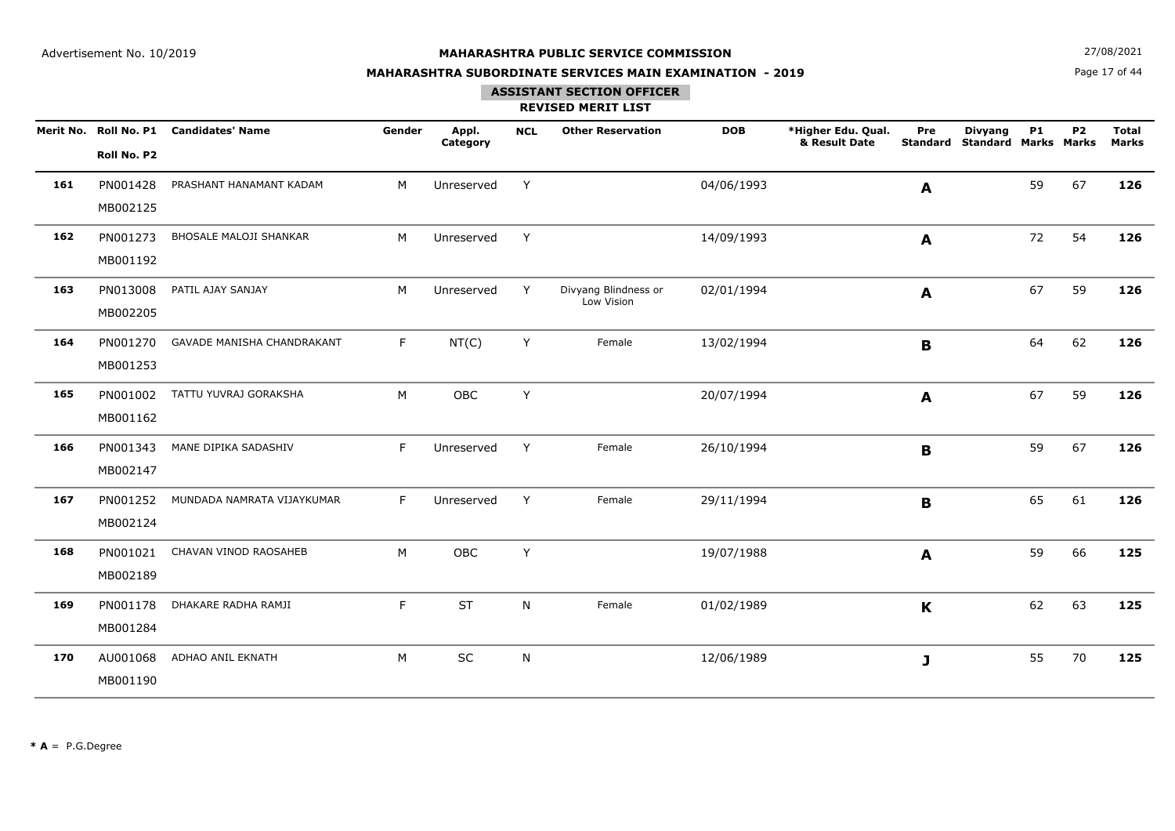**N**  $27/08/2021$ 

## **MAHARASHTRA SUBORDINATE SERVICES MAIN EXAMINATION - 2019**

Page 17 of 44

### **ASSISTANT SECTION OFFICER**

|     | Roll No. P2          | Merit No. Roll No. P1 Candidates' Name | Gender | Appl.<br>Category | <b>NCL</b> | <b>Other Reservation</b>           | <b>DOB</b> | *Higher Edu. Qual.<br>& Result Date | Pre<br><b>Standard</b> | <b>Divyang</b><br><b>Standard Marks Marks</b> | <b>P1</b> | P <sub>2</sub> | <b>Total</b><br><b>Marks</b> |
|-----|----------------------|----------------------------------------|--------|-------------------|------------|------------------------------------|------------|-------------------------------------|------------------------|-----------------------------------------------|-----------|----------------|------------------------------|
| 161 | PN001428<br>MB002125 | PRASHANT HANAMANT KADAM                | M      | Unreserved        | Y          |                                    | 04/06/1993 |                                     | A                      |                                               | 59        | 67             | 126                          |
| 162 | PN001273<br>MB001192 | <b>BHOSALE MALOJI SHANKAR</b>          | M      | Unreserved        | Y          |                                    | 14/09/1993 |                                     | A                      |                                               | 72        | 54             | 126                          |
| 163 | PN013008<br>MB002205 | PATIL AJAY SANJAY                      | M      | Unreserved        | Y          | Divyang Blindness or<br>Low Vision | 02/01/1994 |                                     | A                      |                                               | 67        | 59             | 126                          |
| 164 | PN001270<br>MB001253 | <b>GAVADE MANISHA CHANDRAKANT</b>      | F      | NT(C)             | Y          | Female                             | 13/02/1994 |                                     | B                      |                                               | 64        | 62             | 126                          |
| 165 | PN001002<br>MB001162 | TATTU YUVRAJ GORAKSHA                  | M      | OBC               | Y          |                                    | 20/07/1994 |                                     | A                      |                                               | 67        | 59             | 126                          |
| 166 | PN001343<br>MB002147 | MANE DIPIKA SADASHIV                   | F      | Unreserved        | Y          | Female                             | 26/10/1994 |                                     | B                      |                                               | 59        | 67             | 126                          |
| 167 | PN001252<br>MB002124 | MUNDADA NAMRATA VIJAYKUMAR             | F      | Unreserved        | Y          | Female                             | 29/11/1994 |                                     | B                      |                                               | 65        | 61             | 126                          |
| 168 | PN001021<br>MB002189 | CHAVAN VINOD RAOSAHEB                  | M      | OBC               | Y          |                                    | 19/07/1988 |                                     | A                      |                                               | 59        | 66             | 125                          |
| 169 | PN001178<br>MB001284 | DHAKARE RADHA RAMJI                    | F      | ST                | N          | Female                             | 01/02/1989 |                                     | $\mathbf K$            |                                               | 62        | 63             | 125                          |
| 170 | AU001068<br>MB001190 | ADHAO ANIL EKNATH                      | M      | SC                | N          |                                    | 12/06/1989 |                                     | J                      |                                               | 55        | 70             | 125                          |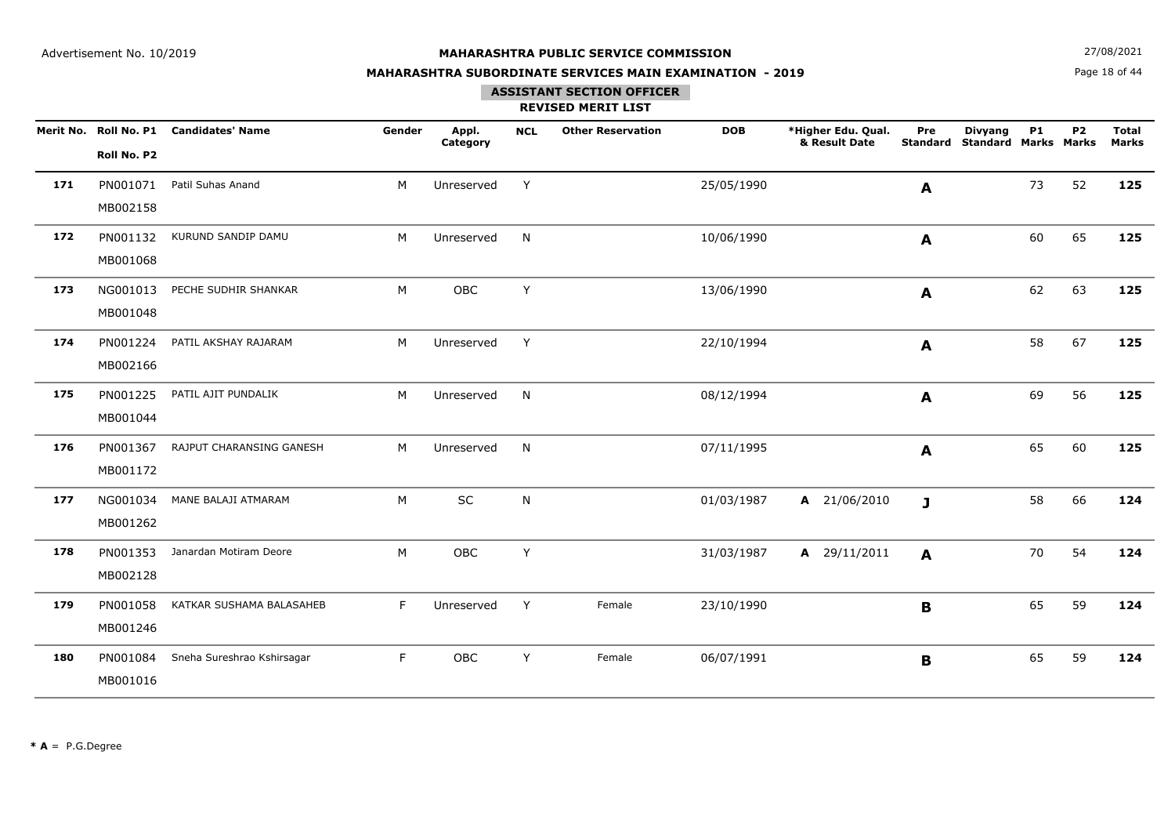**N**  $27/08/2021$ 

## **MAHARASHTRA SUBORDINATE SERVICES MAIN EXAMINATION - 2019**

Page 18 of 44

#### **ASSISTANT SECTION OFFICER**

|     | Roll No. P2          | Merit No. Roll No. P1 Candidates' Name | Gender | Appl.<br>Category | <b>NCL</b> | <b>Other Reservation</b> | <b>DOB</b> | *Higher Edu. Qual.<br>& Result Date | Pre<br><b>Standard</b> | <b>Divyang</b><br><b>Standard Marks Marks</b> | <b>P1</b> | P <sub>2</sub> | <b>Total</b><br><b>Marks</b> |
|-----|----------------------|----------------------------------------|--------|-------------------|------------|--------------------------|------------|-------------------------------------|------------------------|-----------------------------------------------|-----------|----------------|------------------------------|
| 171 | PN001071<br>MB002158 | Patil Suhas Anand                      | M      | Unreserved        | Y          |                          | 25/05/1990 |                                     | A                      |                                               | 73        | 52             | 125                          |
| 172 | PN001132<br>MB001068 | KURUND SANDIP DAMU                     | M      | Unreserved        | N          |                          | 10/06/1990 |                                     | A                      |                                               | 60        | 65             | 125                          |
| 173 | NG001013<br>MB001048 | PECHE SUDHIR SHANKAR                   | M      | OBC               | Y          |                          | 13/06/1990 |                                     | A                      |                                               | 62        | 63             | 125                          |
| 174 | PN001224<br>MB002166 | PATIL AKSHAY RAJARAM                   | M      | Unreserved        | Y          |                          | 22/10/1994 |                                     | A                      |                                               | 58        | 67             | 125                          |
| 175 | PN001225<br>MB001044 | PATIL AJIT PUNDALIK                    | M      | Unreserved        | N          |                          | 08/12/1994 |                                     | A                      |                                               | 69        | 56             | 125                          |
| 176 | PN001367<br>MB001172 | RAJPUT CHARANSING GANESH               | M      | Unreserved        | N          |                          | 07/11/1995 |                                     | A                      |                                               | 65        | 60             | 125                          |
| 177 | NG001034<br>MB001262 | MANE BALAJI ATMARAM                    | M      | $\sf SC$          | ${\sf N}$  |                          | 01/03/1987 | A 21/06/2010                        | $\mathbf{J}$           |                                               | 58        | 66             | 124                          |
| 178 | PN001353<br>MB002128 | Janardan Motiram Deore                 | M      | OBC               | Y          |                          | 31/03/1987 | A 29/11/2011                        | A                      |                                               | 70        | 54             | 124                          |
| 179 | PN001058<br>MB001246 | KATKAR SUSHAMA BALASAHEB               | F      | Unreserved        | Y          | Female                   | 23/10/1990 |                                     | $\mathbf B$            |                                               | 65        | 59             | 124                          |
| 180 | PN001084<br>MB001016 | Sneha Sureshrao Kshirsagar             | F      | OBC               | Y          | Female                   | 06/07/1991 |                                     | B                      |                                               | 65        | 59             | 124                          |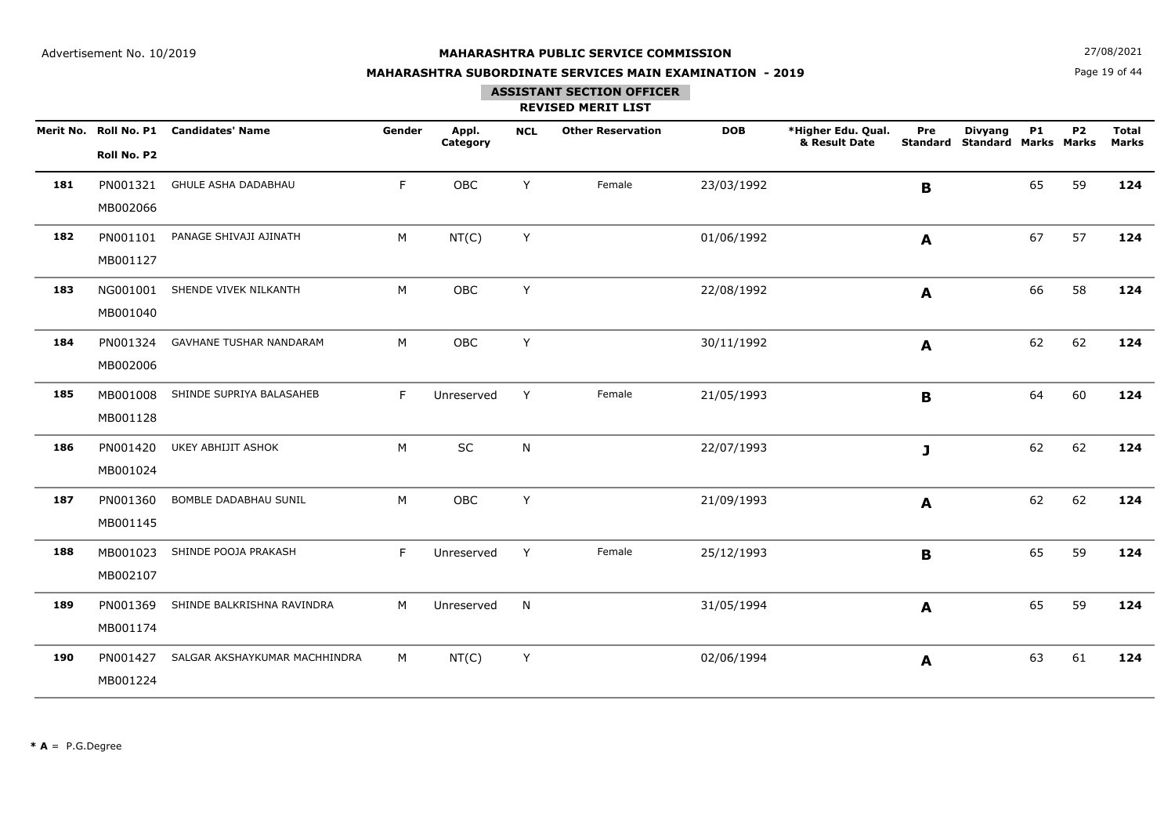**N**  $27/08/2021$ 

## **MAHARASHTRA SUBORDINATE SERVICES MAIN EXAMINATION - 2019**

Page 19 of 44

# **ASSISTANT SECTION OFFICER**

|     | Roll No. P2          | Merit No. Roll No. P1 Candidates' Name | Gender | Appl.<br>Category | <b>NCL</b> | <b>Other Reservation</b> | <b>DOB</b> | *Higher Edu. Qual.<br>& Result Date | Pre<br><b>Standard</b> | <b>Divyang</b><br><b>Standard Marks Marks</b> | <b>P1</b> | P <sub>2</sub> | <b>Total</b><br><b>Marks</b> |
|-----|----------------------|----------------------------------------|--------|-------------------|------------|--------------------------|------------|-------------------------------------|------------------------|-----------------------------------------------|-----------|----------------|------------------------------|
| 181 | PN001321<br>MB002066 | <b>GHULE ASHA DADABHAU</b>             | F.     | OBC               | Y          | Female                   | 23/03/1992 |                                     | B                      |                                               | 65        | 59             | 124                          |
| 182 | PN001101<br>MB001127 | PANAGE SHIVAJI AJINATH                 | M      | NT(C)             | Y          |                          | 01/06/1992 |                                     | A                      |                                               | 67        | 57             | 124                          |
| 183 | NG001001<br>MB001040 | SHENDE VIVEK NILKANTH                  | M      | OBC               | Y          |                          | 22/08/1992 |                                     | A                      |                                               | 66        | 58             | 124                          |
| 184 | PN001324<br>MB002006 | <b>GAVHANE TUSHAR NANDARAM</b>         | M      | OBC               | Y          |                          | 30/11/1992 |                                     | A                      |                                               | 62        | 62             | 124                          |
| 185 | MB001008<br>MB001128 | SHINDE SUPRIYA BALASAHEB               | F.     | Unreserved        | Y          | Female                   | 21/05/1993 |                                     | B                      |                                               | 64        | 60             | 124                          |
| 186 | PN001420<br>MB001024 | <b>UKEY ABHIJIT ASHOK</b>              | M      | SC                | N          |                          | 22/07/1993 |                                     | J                      |                                               | 62        | 62             | 124                          |
| 187 | PN001360<br>MB001145 | BOMBLE DADABHAU SUNIL                  | M      | OBC               | Y          |                          | 21/09/1993 |                                     | A                      |                                               | 62        | 62             | 124                          |
| 188 | MB001023<br>MB002107 | SHINDE POOJA PRAKASH                   | F      | Unreserved        | Y          | Female                   | 25/12/1993 |                                     | B                      |                                               | 65        | 59             | 124                          |
| 189 | PN001369<br>MB001174 | SHINDE BALKRISHNA RAVINDRA             | M      | Unreserved        | N          |                          | 31/05/1994 |                                     | A                      |                                               | 65        | 59             | 124                          |
| 190 | PN001427<br>MB001224 | SALGAR AKSHAYKUMAR MACHHINDRA          | M      | NT(C)             | Y          |                          | 02/06/1994 |                                     | A                      |                                               | 63        | 61             | 124                          |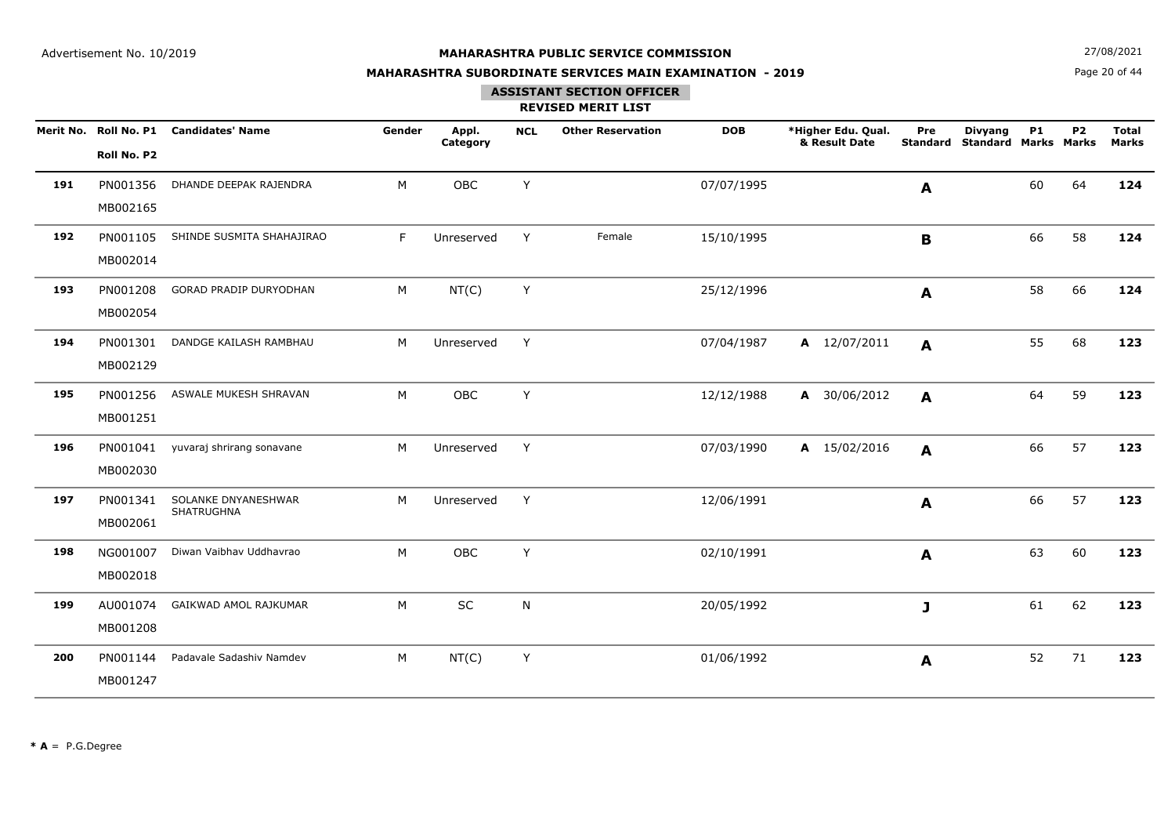**N**  $27/08/2021$ 

## **MAHARASHTRA SUBORDINATE SERVICES MAIN EXAMINATION - 2019**

Page 20 of 44

### **ASSISTANT SECTION OFFICER**

|     | Roll No. P2          | Merit No. Roll No. P1 Candidates' Name | Gender | Appl.<br>Category | <b>NCL</b> | <b>Other Reservation</b> | <b>DOB</b> | *Higher Edu. Qual.<br>& Result Date | Pre<br><b>Standard</b> | <b>Divyang</b><br><b>Standard Marks Marks</b> | <b>P1</b> | P <sub>2</sub> | <b>Total</b><br><b>Marks</b> |
|-----|----------------------|----------------------------------------|--------|-------------------|------------|--------------------------|------------|-------------------------------------|------------------------|-----------------------------------------------|-----------|----------------|------------------------------|
| 191 | PN001356<br>MB002165 | DHANDE DEEPAK RAJENDRA                 | M      | OBC               | Y          |                          | 07/07/1995 |                                     | A                      |                                               | 60        | 64             | 124                          |
| 192 | PN001105<br>MB002014 | SHINDE SUSMITA SHAHAJIRAO              | F      | Unreserved        | Y          | Female                   | 15/10/1995 |                                     | $\mathbf B$            |                                               | 66        | 58             | 124                          |
| 193 | PN001208<br>MB002054 | GORAD PRADIP DURYODHAN                 | M      | NT(C)             | Y          |                          | 25/12/1996 |                                     | A                      |                                               | 58        | 66             | 124                          |
| 194 | PN001301<br>MB002129 | DANDGE KAILASH RAMBHAU                 | M      | Unreserved        | Y          |                          | 07/04/1987 | A 12/07/2011                        | A                      |                                               | 55        | 68             | 123                          |
| 195 | PN001256<br>MB001251 | ASWALE MUKESH SHRAVAN                  | M      | OBC               | Y          |                          | 12/12/1988 | A 30/06/2012                        | A                      |                                               | 64        | 59             | 123                          |
| 196 | PN001041<br>MB002030 | yuvaraj shrirang sonavane              | M      | Unreserved        | Y          |                          | 07/03/1990 | A 15/02/2016                        | A                      |                                               | 66        | 57             | 123                          |
| 197 | PN001341<br>MB002061 | SOLANKE DNYANESHWAR<br>SHATRUGHNA      | M      | Unreserved        | Y          |                          | 12/06/1991 |                                     | A                      |                                               | 66        | 57             | 123                          |
| 198 | NG001007<br>MB002018 | Diwan Vaibhav Uddhavrao                | M      | OBC               | Y          |                          | 02/10/1991 |                                     | A                      |                                               | 63        | 60             | 123                          |
| 199 | AU001074<br>MB001208 | GAIKWAD AMOL RAJKUMAR                  | M      | SC                | N          |                          | 20/05/1992 |                                     | J                      |                                               | 61        | 62             | 123                          |
| 200 | PN001144<br>MB001247 | Padavale Sadashiv Namdev               | M      | NT(C)             | Y          |                          | 01/06/1992 |                                     | A                      |                                               | 52        | 71             | 123                          |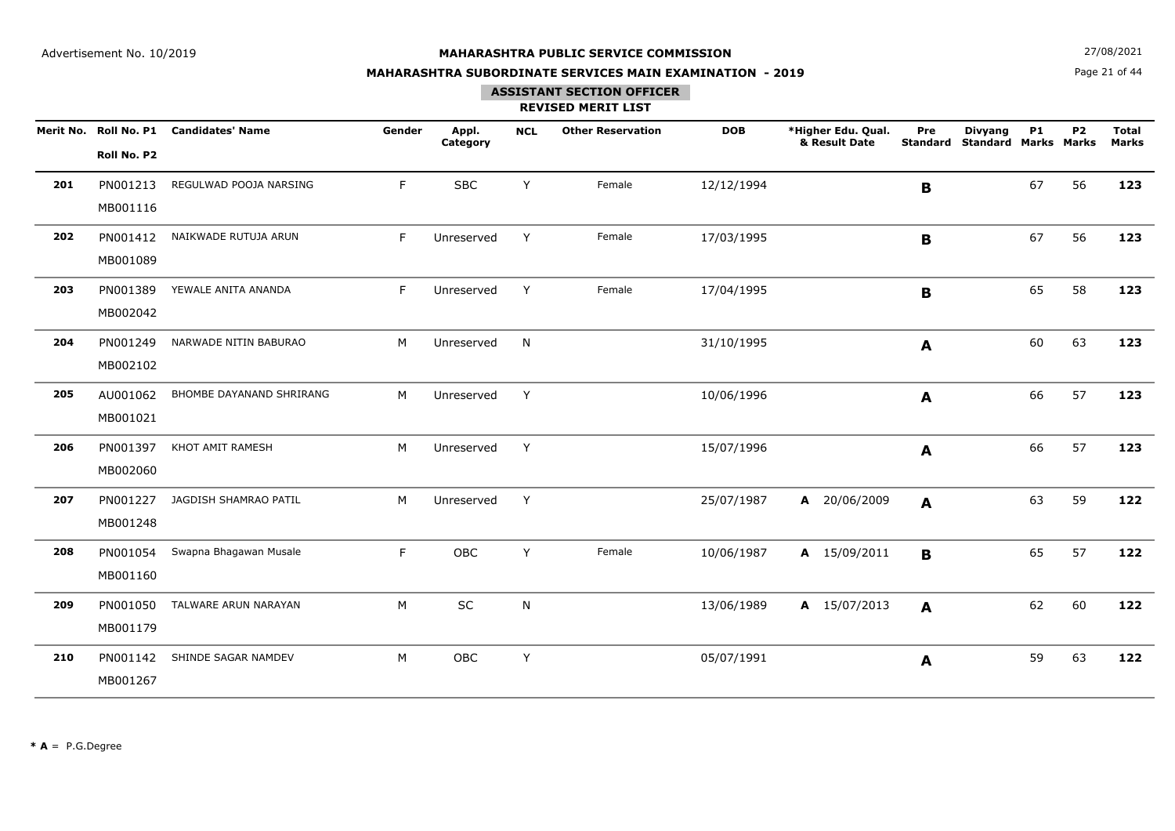**N**  $27/08/2021$ 

## **MAHARASHTRA SUBORDINATE SERVICES MAIN EXAMINATION - 2019**

Page 21 of 44

### **ASSISTANT SECTION OFFICER**

|     | Roll No. P2          | Merit No. Roll No. P1 Candidates' Name | Gender | Appl.<br>Category | <b>NCL</b> | <b>Other Reservation</b> | <b>DOB</b> | *Higher Edu. Qual.<br>& Result Date | Pre<br><b>Standard</b> | <b>Divyang</b><br><b>Standard Marks Marks</b> | <b>P1</b> | <b>P2</b> | <b>Total</b><br><b>Marks</b> |
|-----|----------------------|----------------------------------------|--------|-------------------|------------|--------------------------|------------|-------------------------------------|------------------------|-----------------------------------------------|-----------|-----------|------------------------------|
| 201 | PN001213<br>MB001116 | REGULWAD POOJA NARSING                 | F      | <b>SBC</b>        | Y          | Female                   | 12/12/1994 |                                     | B                      |                                               | 67        | 56        | 123                          |
| 202 | PN001412<br>MB001089 | NAIKWADE RUTUJA ARUN                   | F      | Unreserved        | Y          | Female                   | 17/03/1995 |                                     | $\mathbf B$            |                                               | 67        | 56        | 123                          |
| 203 | PN001389<br>MB002042 | YEWALE ANITA ANANDA                    | F      | Unreserved        | Y          | Female                   | 17/04/1995 |                                     | B                      |                                               | 65        | 58        | 123                          |
| 204 | PN001249<br>MB002102 | NARWADE NITIN BABURAO                  | M      | Unreserved        | N.         |                          | 31/10/1995 |                                     | A                      |                                               | 60        | 63        | 123                          |
| 205 | AU001062<br>MB001021 | BHOMBE DAYANAND SHRIRANG               | M      | Unreserved        | Y          |                          | 10/06/1996 |                                     | A                      |                                               | 66        | 57        | 123                          |
| 206 | PN001397<br>MB002060 | KHOT AMIT RAMESH                       | M      | Unreserved        | Y          |                          | 15/07/1996 |                                     | A                      |                                               | 66        | 57        | 123                          |
| 207 | PN001227<br>MB001248 | JAGDISH SHAMRAO PATIL                  | M      | Unreserved        | Y          |                          | 25/07/1987 | A 20/06/2009                        | A                      |                                               | 63        | 59        | 122                          |
| 208 | PN001054<br>MB001160 | Swapna Bhagawan Musale                 | F      | OBC               | Y          | Female                   | 10/06/1987 | A 15/09/2011                        | $\mathbf{B}$           |                                               | 65        | 57        | 122                          |
| 209 | PN001050<br>MB001179 | TALWARE ARUN NARAYAN                   | M      | $\sf SC$          | ${\sf N}$  |                          | 13/06/1989 | A 15/07/2013                        | A                      |                                               | 62        | 60        | 122                          |
| 210 | PN001142<br>MB001267 | SHINDE SAGAR NAMDEV                    | M      | OBC               | Y          |                          | 05/07/1991 |                                     | A                      |                                               | 59        | 63        | 122                          |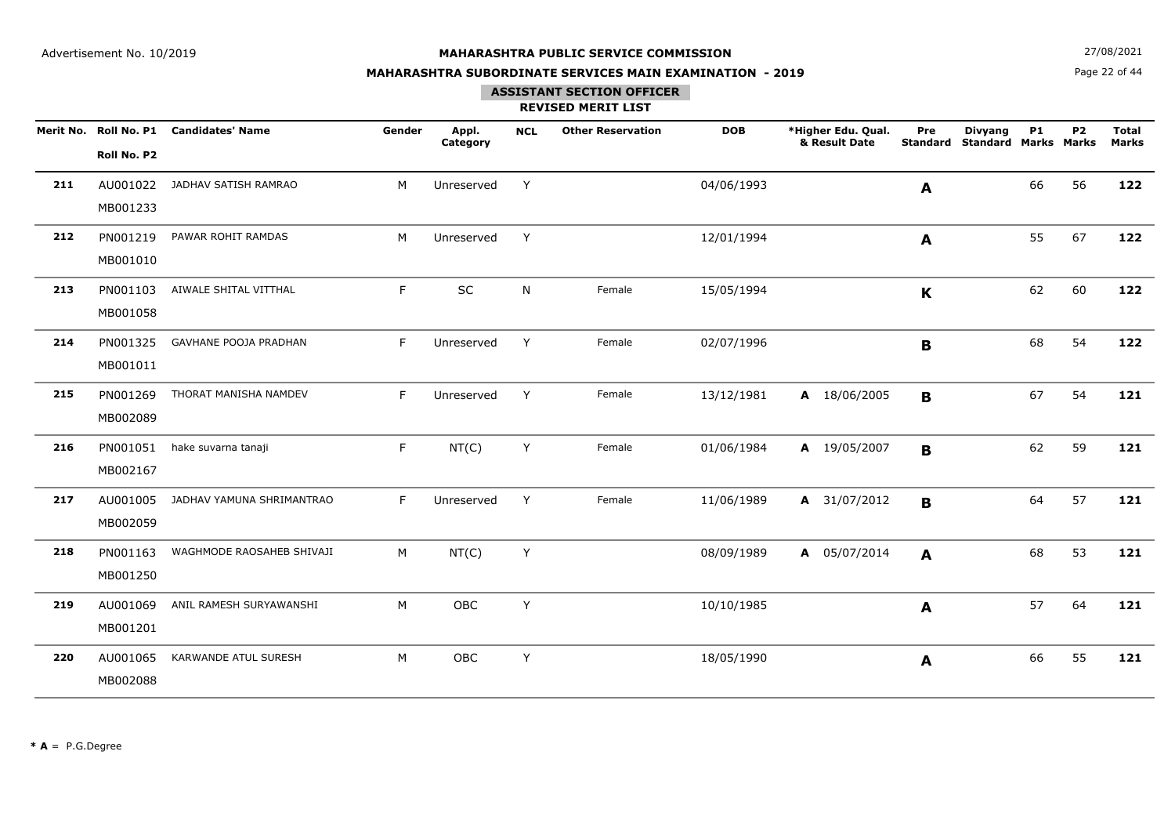**N**  $27/08/2021$ 

## **MAHARASHTRA SUBORDINATE SERVICES MAIN EXAMINATION - 2019**

Page 22 of 44

### **ASSISTANT SECTION OFFICER**

|     |             | Merit No. Roll No. P1 Candidates' Name | Gender | Appl.<br>Category | <b>NCL</b> | <b>Other Reservation</b> | <b>DOB</b> | *Higher Edu. Qual.<br>& Result Date | Pre<br><b>Standard</b> | <b>Divyang</b><br><b>Standard Marks Marks</b> | <b>P1</b> | P <sub>2</sub> | <b>Total</b><br><b>Marks</b> |
|-----|-------------|----------------------------------------|--------|-------------------|------------|--------------------------|------------|-------------------------------------|------------------------|-----------------------------------------------|-----------|----------------|------------------------------|
|     | Roll No. P2 |                                        |        |                   |            |                          |            |                                     |                        |                                               |           |                |                              |
| 211 | AU001022    | JADHAV SATISH RAMRAO                   | M      | Unreserved        | Y          |                          | 04/06/1993 |                                     | A                      |                                               | 66        | 56             | 122                          |
|     | MB001233    |                                        |        |                   |            |                          |            |                                     |                        |                                               |           |                |                              |
| 212 | PN001219    | PAWAR ROHIT RAMDAS                     | М      | Unreserved        | Y          |                          | 12/01/1994 |                                     | A                      |                                               | 55        | 67             | 122                          |
|     | MB001010    |                                        |        |                   |            |                          |            |                                     |                        |                                               |           |                |                              |
| 213 | PN001103    | AIWALE SHITAL VITTHAL                  | F.     | SC                | N          | Female                   | 15/05/1994 |                                     | $\mathbf K$            |                                               | 62        | 60             | 122                          |
|     | MB001058    |                                        |        |                   |            |                          |            |                                     |                        |                                               |           |                |                              |
| 214 | PN001325    | GAVHANE POOJA PRADHAN                  | F      | Unreserved        | Y          | Female                   | 02/07/1996 |                                     | B                      |                                               | 68        | 54             | 122                          |
|     | MB001011    |                                        |        |                   |            |                          |            |                                     |                        |                                               |           |                |                              |
| 215 | PN001269    | THORAT MANISHA NAMDEV                  | F.     | Unreserved        | Y          | Female                   | 13/12/1981 | A 18/06/2005                        | B                      |                                               | 67        | 54             | 121                          |
|     | MB002089    |                                        |        |                   |            |                          |            |                                     |                        |                                               |           |                |                              |
| 216 | PN001051    | hake suvarna tanaji                    | F.     | NT(C)             | Y          | Female                   | 01/06/1984 | A 19/05/2007                        | B                      |                                               | 62        | 59             | 121                          |
|     | MB002167    |                                        |        |                   |            |                          |            |                                     |                        |                                               |           |                |                              |
| 217 | AU001005    | JADHAV YAMUNA SHRIMANTRAO              | F      | Unreserved        | Y          | Female                   | 11/06/1989 | A 31/07/2012                        | B                      |                                               | 64        | 57             | 121                          |
|     | MB002059    |                                        |        |                   |            |                          |            |                                     |                        |                                               |           |                |                              |
| 218 | PN001163    | WAGHMODE RAOSAHEB SHIVAJI              | М      | NT(C)             | Y          |                          | 08/09/1989 | A 05/07/2014                        | $\mathbf{A}$           |                                               | 68        | 53             | 121                          |
|     | MB001250    |                                        |        |                   |            |                          |            |                                     |                        |                                               |           |                |                              |
| 219 | AU001069    | ANIL RAMESH SURYAWANSHI                | M      | OBC               | Y          |                          | 10/10/1985 |                                     | A                      |                                               | 57        | 64             | 121                          |
|     | MB001201    |                                        |        |                   |            |                          |            |                                     |                        |                                               |           |                |                              |
| 220 | AU001065    | KARWANDE ATUL SURESH                   | M      | OBC               | Υ          |                          | 18/05/1990 |                                     | A                      |                                               | 66        | 55             | 121                          |
|     | MB002088    |                                        |        |                   |            |                          |            |                                     |                        |                                               |           |                |                              |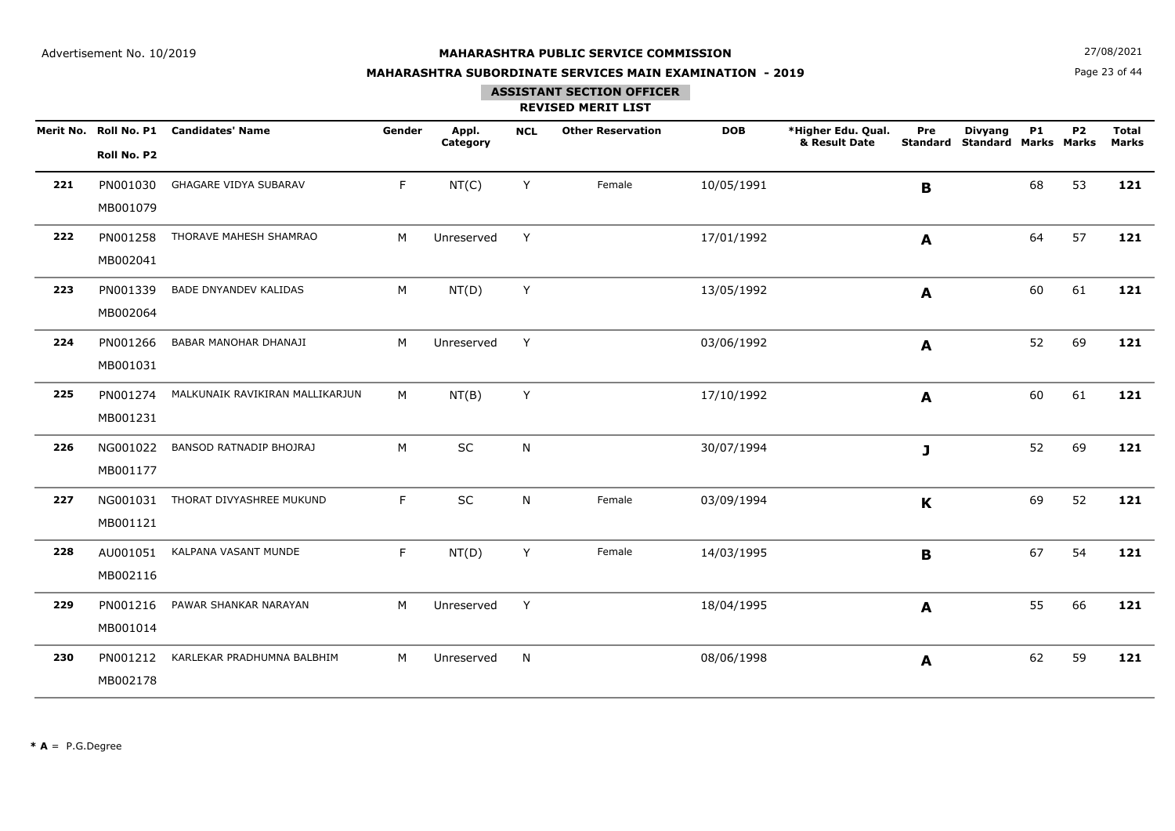**N**  $27/08/2021$ 

## **MAHARASHTRA SUBORDINATE SERVICES MAIN EXAMINATION - 2019**

Page 23 of 44

## **ASSISTANT SECTION OFFICER**

|     | Roll No. P2          | Merit No. Roll No. P1 Candidates' Name | Gender | Appl.<br>Category | <b>NCL</b> | <b>Other Reservation</b> | <b>DOB</b> | *Higher Edu. Qual.<br>& Result Date | Pre          | <b>Divyang</b><br><b>Standard Standard Marks Marks</b> | <b>P1</b> | P <sub>2</sub> | <b>Total</b><br><b>Marks</b> |
|-----|----------------------|----------------------------------------|--------|-------------------|------------|--------------------------|------------|-------------------------------------|--------------|--------------------------------------------------------|-----------|----------------|------------------------------|
| 221 | PN001030<br>MB001079 | GHAGARE VIDYA SUBARAV                  | F.     | NT(C)             | Y          | Female                   | 10/05/1991 |                                     | B            |                                                        | 68        | 53             | 121                          |
| 222 | PN001258<br>MB002041 | THORAVE MAHESH SHAMRAO                 | M      | Unreserved        | Y          |                          | 17/01/1992 |                                     | A            |                                                        | 64        | 57             | 121                          |
| 223 | PN001339<br>MB002064 | BADE DNYANDEV KALIDAS                  | M      | NT(D)             | Y          |                          | 13/05/1992 |                                     | $\mathbf{A}$ |                                                        | 60        | 61             | 121                          |
| 224 | PN001266<br>MB001031 | BABAR MANOHAR DHANAJI                  | M      | Unreserved        | Y          |                          | 03/06/1992 |                                     | A            |                                                        | 52        | 69             | 121                          |
| 225 | PN001274<br>MB001231 | MALKUNAIK RAVIKIRAN MALLIKARJUN        | M      | NT(B)             | Y          |                          | 17/10/1992 |                                     | A            |                                                        | 60        | 61             | 121                          |
| 226 | NG001022<br>MB001177 | BANSOD RATNADIP BHOJRAJ                | M      | SC                | N          |                          | 30/07/1994 |                                     | J            |                                                        | 52        | 69             | 121                          |
| 227 | NG001031<br>MB001121 | THORAT DIVYASHREE MUKUND               | F.     | SC                | N          | Female                   | 03/09/1994 |                                     | $\mathbf K$  |                                                        | 69        | 52             | 121                          |
| 228 | AU001051<br>MB002116 | KALPANA VASANT MUNDE                   | F.     | NT(D)             | Y          | Female                   | 14/03/1995 |                                     | B            |                                                        | 67        | 54             | 121                          |
| 229 | PN001216<br>MB001014 | PAWAR SHANKAR NARAYAN                  | M      | Unreserved        | Y          |                          | 18/04/1995 |                                     | A            |                                                        | 55        | 66             | 121                          |
| 230 | PN001212<br>MB002178 | KARLEKAR PRADHUMNA BALBHIM             | M      | Unreserved        | N          |                          | 08/06/1998 |                                     | $\mathbf{A}$ |                                                        | 62        | 59             | 121                          |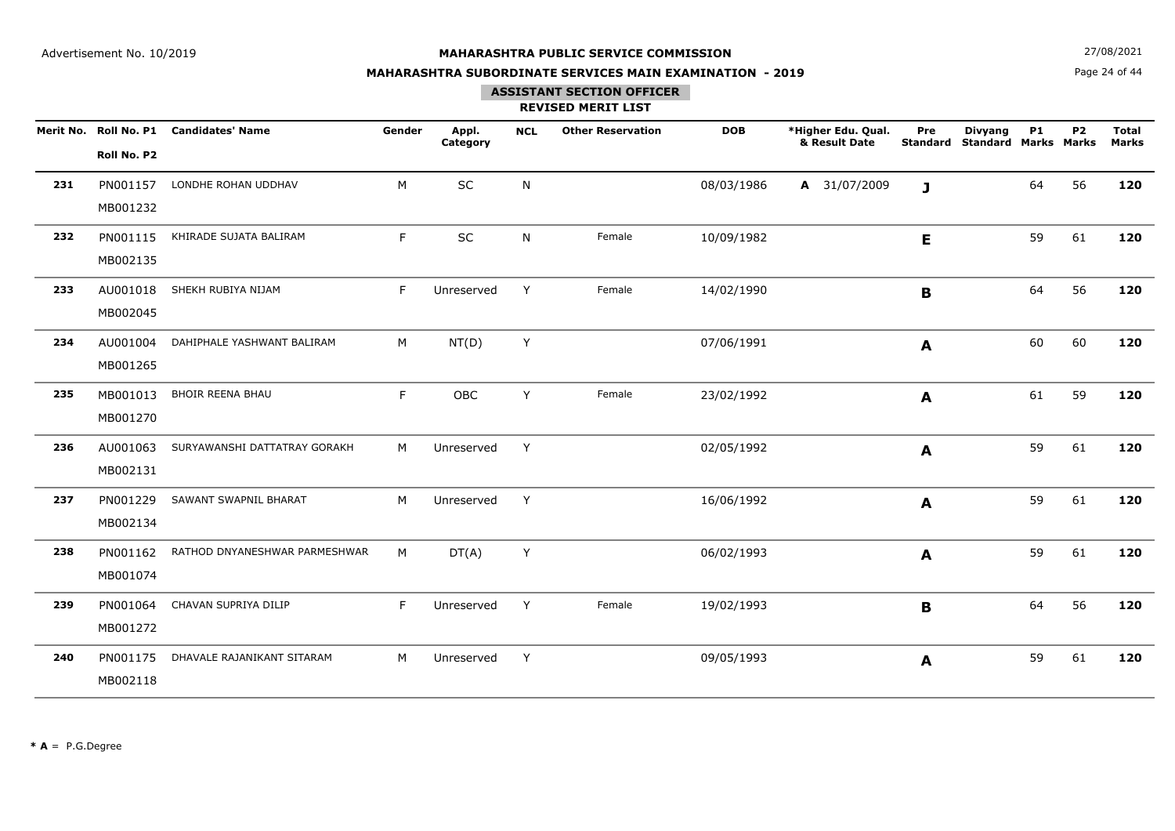**N**  $27/08/2021$ 

## **MAHARASHTRA SUBORDINATE SERVICES MAIN EXAMINATION - 2019**

Page 24 of 44

### **ASSISTANT SECTION OFFICER**

|     | Roll No. P2          | Merit No. Roll No. P1 Candidates' Name | Gender | Appl.<br>Category | <b>NCL</b> | <b>Other Reservation</b> | <b>DOB</b> | *Higher Edu. Qual.<br>& Result Date | Pre         | <b>Divyang</b><br><b>Standard Standard Marks Marks</b> | <b>P1</b> | <b>P2</b> | <b>Total</b><br><b>Marks</b> |
|-----|----------------------|----------------------------------------|--------|-------------------|------------|--------------------------|------------|-------------------------------------|-------------|--------------------------------------------------------|-----------|-----------|------------------------------|
| 231 | PN001157<br>MB001232 | LONDHE ROHAN UDDHAV                    | M      | SC                | N          |                          | 08/03/1986 | A 31/07/2009                        | J           |                                                        | 64        | 56        | 120                          |
| 232 | PN001115<br>MB002135 | KHIRADE SUJATA BALIRAM                 | F      | SC                | N          | Female                   | 10/09/1982 |                                     | E.          |                                                        | 59        | 61        | 120                          |
| 233 | AU001018<br>MB002045 | SHEKH RUBIYA NIJAM                     | F      | Unreserved        | Y          | Female                   | 14/02/1990 |                                     | $\mathbf B$ |                                                        | 64        | 56        | 120                          |
| 234 | AU001004<br>MB001265 | DAHIPHALE YASHWANT BALIRAM             | M      | NT(D)             | Y          |                          | 07/06/1991 |                                     | A           |                                                        | 60        | 60        | 120                          |
| 235 | MB001013<br>MB001270 | <b>BHOIR REENA BHAU</b>                | F.     | OBC               | Y          | Female                   | 23/02/1992 |                                     | A           |                                                        | 61        | 59        | 120                          |
| 236 | AU001063<br>MB002131 | SURYAWANSHI DATTATRAY GORAKH           | M      | Unreserved        | Y          |                          | 02/05/1992 |                                     | A           |                                                        | 59        | 61        | 120                          |
| 237 | PN001229<br>MB002134 | SAWANT SWAPNIL BHARAT                  | M      | Unreserved        | Y          |                          | 16/06/1992 |                                     | A           |                                                        | 59        | 61        | 120                          |
| 238 | PN001162<br>MB001074 | RATHOD DNYANESHWAR PARMESHWAR          | М      | DT(A)             | Y          |                          | 06/02/1993 |                                     | A           |                                                        | 59        | 61        | 120                          |
| 239 | PN001064<br>MB001272 | CHAVAN SUPRIYA DILIP                   | F      | Unreserved        | Y          | Female                   | 19/02/1993 |                                     | B           |                                                        | 64        | 56        | 120                          |
| 240 | PN001175<br>MB002118 | DHAVALE RAJANIKANT SITARAM             | M      | Unreserved        | Y          |                          | 09/05/1993 |                                     | A           |                                                        | 59        | 61        | 120                          |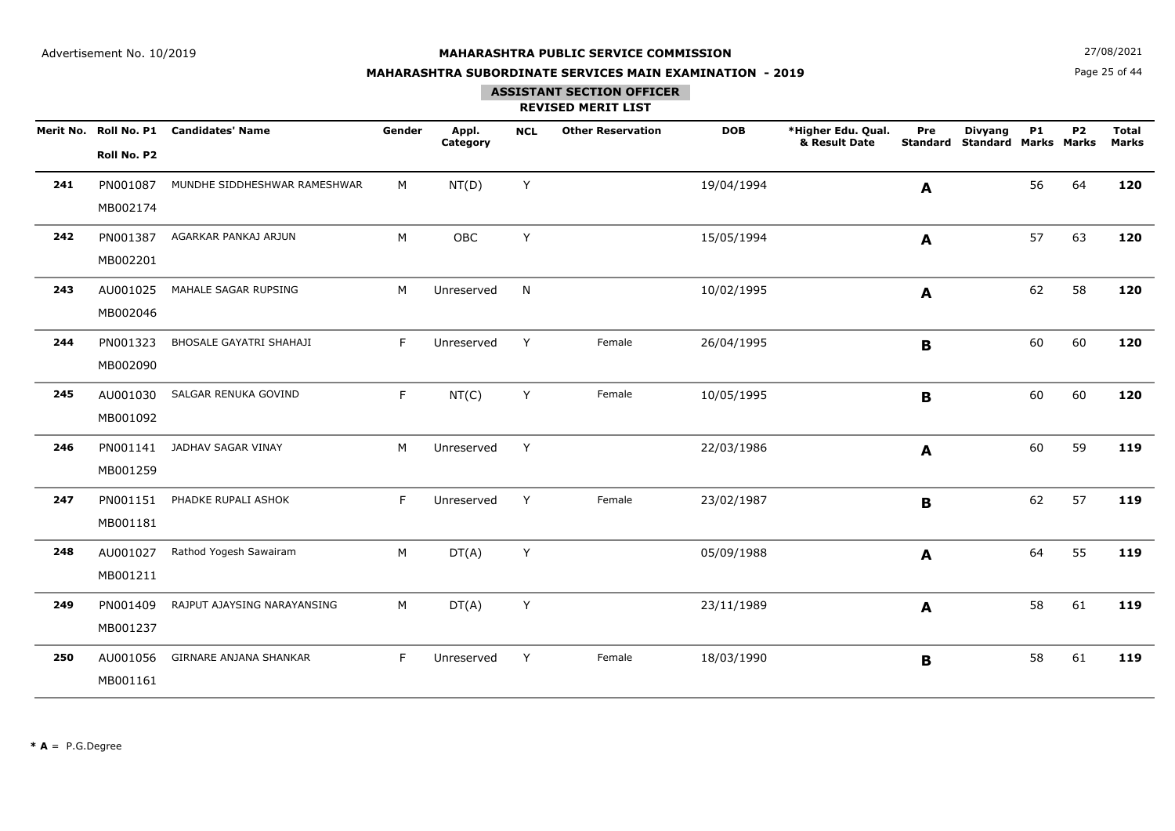**N**  $27/08/2021$ 

## **MAHARASHTRA SUBORDINATE SERVICES MAIN EXAMINATION - 2019**

Page 25 of 44

# **ASSISTANT SECTION OFFICER**

|     | Roll No. P2          | Merit No. Roll No. P1 Candidates' Name | Gender | Appl.<br>Category | <b>NCL</b> | <b>Other Reservation</b> | <b>DOB</b> | *Higher Edu. Qual.<br>& Result Date | Pre<br><b>Standard</b> | <b>Divyang</b><br><b>Standard Marks Marks</b> | <b>P1</b> | <b>P2</b> | <b>Total</b><br><b>Marks</b> |
|-----|----------------------|----------------------------------------|--------|-------------------|------------|--------------------------|------------|-------------------------------------|------------------------|-----------------------------------------------|-----------|-----------|------------------------------|
| 241 | PN001087<br>MB002174 | MUNDHE SIDDHESHWAR RAMESHWAR           | M      | NT(D)             | Y          |                          | 19/04/1994 |                                     | A                      |                                               | 56        | 64        | 120                          |
| 242 | PN001387<br>MB002201 | AGARKAR PANKAJ ARJUN                   | M      | OBC               | Y          |                          | 15/05/1994 |                                     | A                      |                                               | 57        | 63        | 120                          |
| 243 | AU001025<br>MB002046 | MAHALE SAGAR RUPSING                   | M      | Unreserved        | N          |                          | 10/02/1995 |                                     | A                      |                                               | 62        | 58        | 120                          |
| 244 | PN001323<br>MB002090 | BHOSALE GAYATRI SHAHAJI                | F      | Unreserved        | Y          | Female                   | 26/04/1995 |                                     | $\mathbf B$            |                                               | 60        | 60        | 120                          |
| 245 | AU001030<br>MB001092 | SALGAR RENUKA GOVIND                   | F      | NT(C)             | Y          | Female                   | 10/05/1995 |                                     | B                      |                                               | 60        | 60        | 120                          |
| 246 | PN001141<br>MB001259 | JADHAV SAGAR VINAY                     | M      | Unreserved        | Y          |                          | 22/03/1986 |                                     | A                      |                                               | 60        | 59        | 119                          |
| 247 | PN001151<br>MB001181 | PHADKE RUPALI ASHOK                    | F      | Unreserved        | Y          | Female                   | 23/02/1987 |                                     | $\mathbf B$            |                                               | 62        | 57        | 119                          |
| 248 | AU001027<br>MB001211 | Rathod Yogesh Sawairam                 | M      | DT(A)             | Y          |                          | 05/09/1988 |                                     | A                      |                                               | 64        | 55        | 119                          |
| 249 | PN001409<br>MB001237 | RAJPUT AJAYSING NARAYANSING            | M      | DT(A)             | Y          |                          | 23/11/1989 |                                     | A                      |                                               | 58        | 61        | 119                          |
| 250 | AU001056<br>MB001161 | GIRNARE ANJANA SHANKAR                 | F      | Unreserved        | Y          | Female                   | 18/03/1990 |                                     | $\mathbf B$            |                                               | 58        | 61        | 119                          |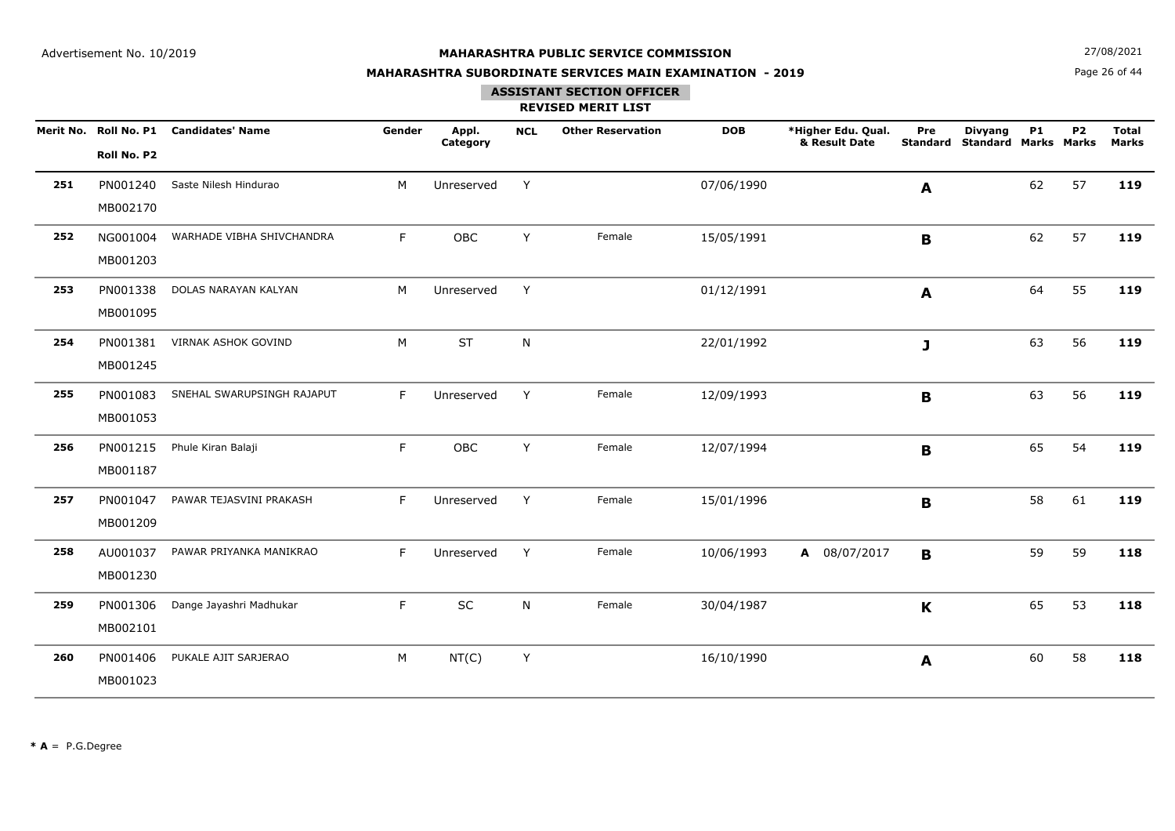**N**  $27/08/2021$ 

## **MAHARASHTRA SUBORDINATE SERVICES MAIN EXAMINATION - 2019**

Page 26 of 44

#### **ASSISTANT SECTION OFFICER**

|     | Roll No. P2          | Merit No. Roll No. P1 Candidates' Name | Gender | Appl.<br>Category | <b>NCL</b> | <b>Other Reservation</b> | <b>DOB</b> | *Higher Edu. Qual.<br>& Result Date | Pre<br><b>Standard</b> | <b>Divyang</b><br><b>Standard Marks Marks</b> | <b>P1</b> | <b>P2</b> | <b>Total</b><br><b>Marks</b> |
|-----|----------------------|----------------------------------------|--------|-------------------|------------|--------------------------|------------|-------------------------------------|------------------------|-----------------------------------------------|-----------|-----------|------------------------------|
| 251 | PN001240<br>MB002170 | Saste Nilesh Hindurao                  | M      | Unreserved        | Y          |                          | 07/06/1990 |                                     | A                      |                                               | 62        | 57        | 119                          |
| 252 | NG001004<br>MB001203 | WARHADE VIBHA SHIVCHANDRA              | F      | OBC               | Y          | Female                   | 15/05/1991 |                                     | $\mathbf B$            |                                               | 62        | 57        | 119                          |
| 253 | PN001338<br>MB001095 | DOLAS NARAYAN KALYAN                   | M      | Unreserved        | Y          |                          | 01/12/1991 |                                     | A                      |                                               | 64        | 55        | 119                          |
| 254 | PN001381<br>MB001245 | VIRNAK ASHOK GOVIND                    | M      | <b>ST</b>         | N          |                          | 22/01/1992 |                                     | J                      |                                               | 63        | 56        | 119                          |
| 255 | PN001083<br>MB001053 | SNEHAL SWARUPSINGH RAJAPUT             | F      | Unreserved        | Y          | Female                   | 12/09/1993 |                                     | B                      |                                               | 63        | 56        | 119                          |
| 256 | PN001215<br>MB001187 | Phule Kiran Balaji                     | F      | OBC               | Y          | Female                   | 12/07/1994 |                                     | $\mathbf B$            |                                               | 65        | 54        | 119                          |
| 257 | PN001047<br>MB001209 | PAWAR TEJASVINI PRAKASH                | F      | Unreserved        | Y          | Female                   | 15/01/1996 |                                     | $\mathbf B$            |                                               | 58        | 61        | 119                          |
| 258 | AU001037<br>MB001230 | PAWAR PRIYANKA MANIKRAO                | F      | Unreserved        | Y          | Female                   | 10/06/1993 | A 08/07/2017                        | B                      |                                               | 59        | 59        | 118                          |
| 259 | PN001306<br>MB002101 | Dange Jayashri Madhukar                | F      | $\sf SC$          | N          | Female                   | 30/04/1987 |                                     | K                      |                                               | 65        | 53        | 118                          |
| 260 | PN001406<br>MB001023 | PUKALE AJIT SARJERAO                   | M      | NT(C)             | Y          |                          | 16/10/1990 |                                     | A                      |                                               | 60        | 58        | 118                          |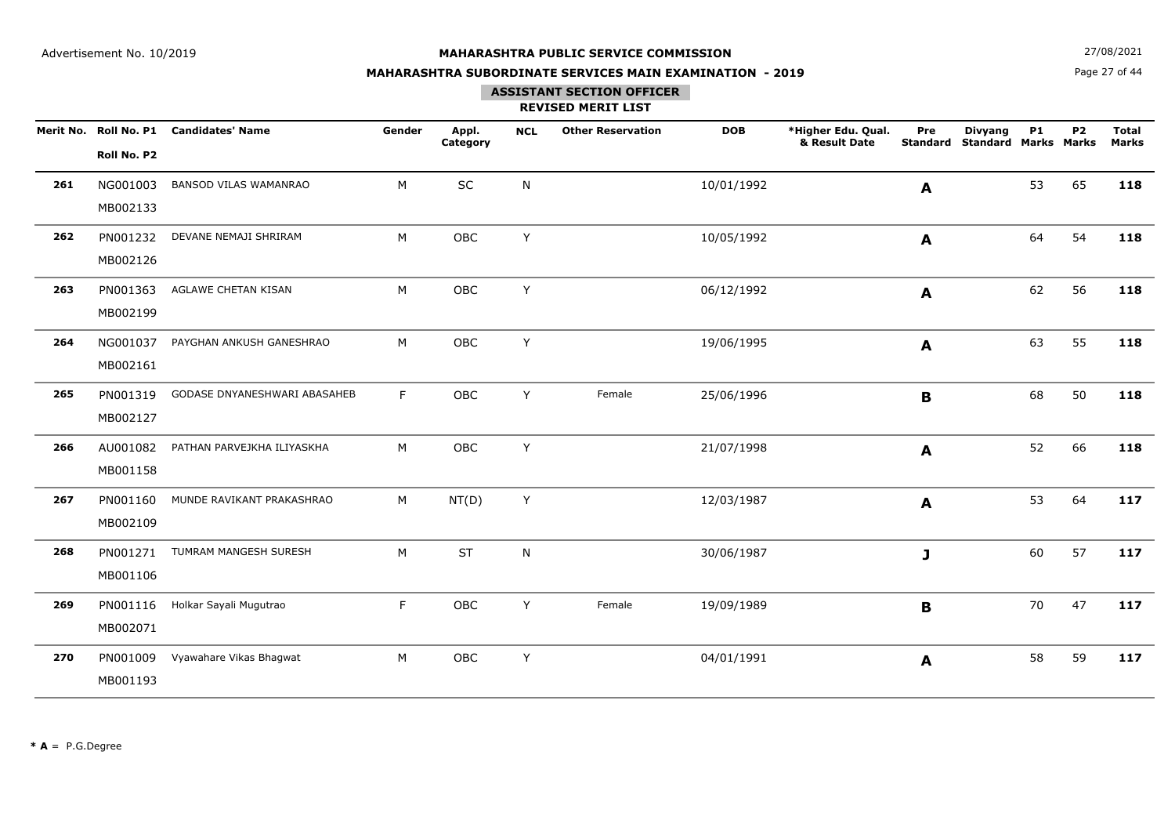**N**  $27/08/2021$ 

## **MAHARASHTRA SUBORDINATE SERVICES MAIN EXAMINATION - 2019**

Page 27 of 44

# **ASSISTANT SECTION OFFICER**

|     | Roll No. P2          | Merit No. Roll No. P1 Candidates' Name | Gender | Appl.<br>Category | <b>NCL</b> | <b>Other Reservation</b> | <b>DOB</b> | *Higher Edu. Qual.<br>& Result Date | Pre<br><b>Standard</b> | <b>Divyang</b><br><b>Standard Marks Marks</b> | <b>P1</b> | P <sub>2</sub> | <b>Total</b><br><b>Marks</b> |
|-----|----------------------|----------------------------------------|--------|-------------------|------------|--------------------------|------------|-------------------------------------|------------------------|-----------------------------------------------|-----------|----------------|------------------------------|
| 261 | NG001003<br>MB002133 | <b>BANSOD VILAS WAMANRAO</b>           | M      | SC                | N          |                          | 10/01/1992 |                                     | A                      |                                               | 53        | 65             | 118                          |
| 262 | PN001232<br>MB002126 | DEVANE NEMAJI SHRIRAM                  | M      | OBC               | Y          |                          | 10/05/1992 |                                     | A                      |                                               | 64        | 54             | 118                          |
| 263 | PN001363<br>MB002199 | AGLAWE CHETAN KISAN                    | M      | OBC               | Y          |                          | 06/12/1992 |                                     | A                      |                                               | 62        | 56             | 118                          |
| 264 | NG001037<br>MB002161 | PAYGHAN ANKUSH GANESHRAO               | M      | OBC               | Y          |                          | 19/06/1995 |                                     | A                      |                                               | 63        | 55             | 118                          |
| 265 | PN001319<br>MB002127 | GODASE DNYANESHWARI ABASAHEB           | F      | OBC               | Y          | Female                   | 25/06/1996 |                                     | B                      |                                               | 68        | 50             | 118                          |
| 266 | AU001082<br>MB001158 | PATHAN PARVEJKHA ILIYASKHA             | M      | OBC               | Y          |                          | 21/07/1998 |                                     | A                      |                                               | 52        | 66             | 118                          |
| 267 | PN001160<br>MB002109 | MUNDE RAVIKANT PRAKASHRAO              | M      | NT(D)             | Y          |                          | 12/03/1987 |                                     | $\mathbf{A}$           |                                               | 53        | 64             | 117                          |
| 268 | PN001271<br>MB001106 | TUMRAM MANGESH SURESH                  | M      | <b>ST</b>         | N          |                          | 30/06/1987 |                                     | J                      |                                               | 60        | 57             | 117                          |
| 269 | PN001116<br>MB002071 | Holkar Sayali Mugutrao                 | F      | OBC               | Y          | Female                   | 19/09/1989 |                                     | B                      |                                               | 70        | 47             | 117                          |
| 270 | PN001009<br>MB001193 | Vyawahare Vikas Bhagwat                | M      | OBC               | Y          |                          | 04/01/1991 |                                     | A                      |                                               | 58        | 59             | 117                          |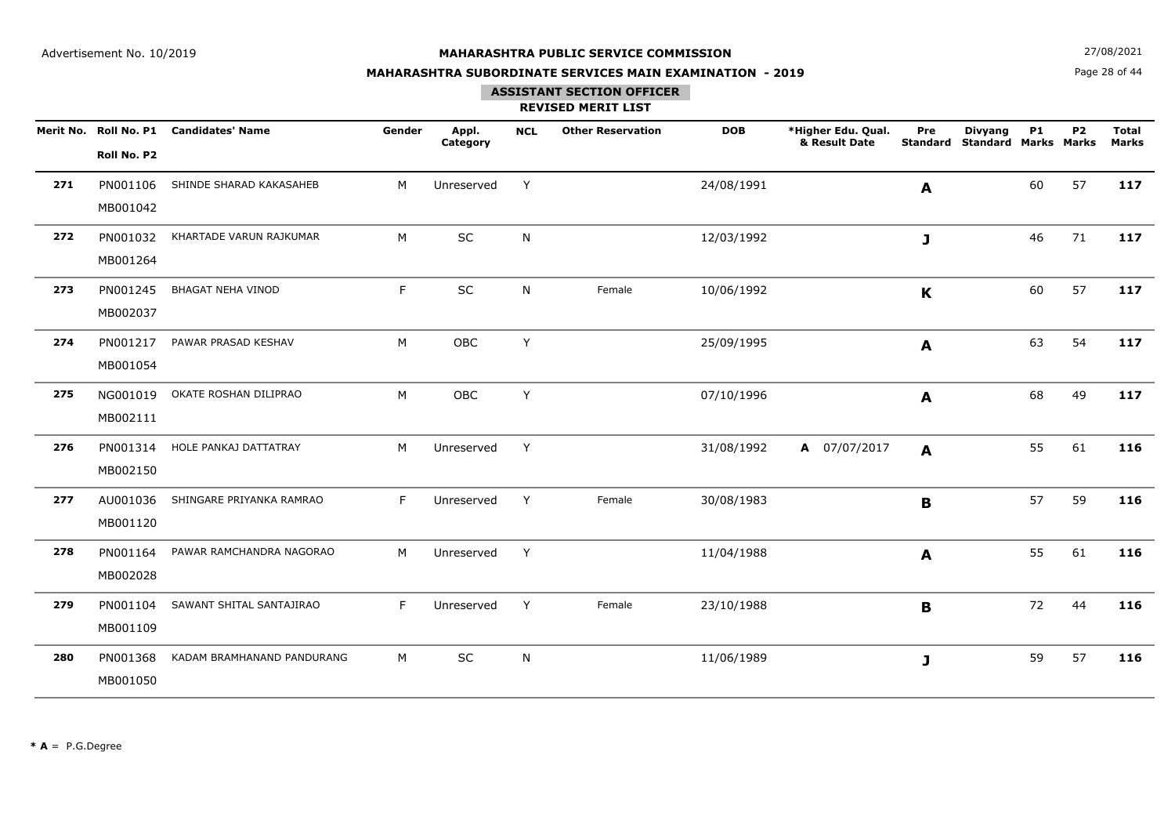**N**  $27/08/2021$ 

## **MAHARASHTRA SUBORDINATE SERVICES MAIN EXAMINATION - 2019**

Page 28 of 44

### **ASSISTANT SECTION OFFICER**

|     |             | Merit No. Roll No. P1 Candidates' Name | Gender | Appl.<br>Category | <b>NCL</b>   | <b>Other Reservation</b> | <b>DOB</b> | *Higher Edu. Qual.<br>& Result Date | Pre<br>Standard  | <b>Divyang</b><br><b>Standard Marks Marks</b> | <b>P1</b> | P <sub>2</sub> | <b>Total</b><br><b>Marks</b> |
|-----|-------------|----------------------------------------|--------|-------------------|--------------|--------------------------|------------|-------------------------------------|------------------|-----------------------------------------------|-----------|----------------|------------------------------|
|     | Roll No. P2 |                                        |        |                   |              |                          |            |                                     |                  |                                               |           |                |                              |
| 271 | PN001106    | SHINDE SHARAD KAKASAHEB                | M      | Unreserved        | Y            |                          | 24/08/1991 |                                     | $\boldsymbol{A}$ |                                               | 60        | 57             | 117                          |
|     | MB001042    |                                        |        |                   |              |                          |            |                                     |                  |                                               |           |                |                              |
| 272 | PN001032    | KHARTADE VARUN RAJKUMAR                | M      | SC                | ${\sf N}$    |                          | 12/03/1992 |                                     | J.               |                                               | 46        | 71             | 117                          |
|     | MB001264    |                                        |        |                   |              |                          |            |                                     |                  |                                               |           |                |                              |
| 273 | PN001245    | BHAGAT NEHA VINOD                      | F      | $\sf SC$          | N            | Female                   | 10/06/1992 |                                     | $\mathbf K$      |                                               | 60        | 57             | 117                          |
|     | MB002037    |                                        |        |                   |              |                          |            |                                     |                  |                                               |           |                |                              |
| 274 | PN001217    | PAWAR PRASAD KESHAV                    | M      | OBC               | Y            |                          | 25/09/1995 |                                     | A                |                                               | 63        | 54             | 117                          |
|     | MB001054    |                                        |        |                   |              |                          |            |                                     |                  |                                               |           |                |                              |
| 275 |             | NG001019 OKATE ROSHAN DILIPRAO         | M      | OBC               | Y            |                          | 07/10/1996 |                                     | A                |                                               | 68        | 49             | 117                          |
|     | MB002111    |                                        |        |                   |              |                          |            |                                     |                  |                                               |           |                |                              |
| 276 | PN001314    | HOLE PANKAJ DATTATRAY                  | M      | Unreserved        | Y            |                          | 31/08/1992 | A 07/07/2017                        | A                |                                               | 55        | 61             | 116                          |
|     | MB002150    |                                        |        |                   |              |                          |            |                                     |                  |                                               |           |                |                              |
| 277 | AU001036    | SHINGARE PRIYANKA RAMRAO               | F      | Unreserved        | Y            | Female                   | 30/08/1983 |                                     | B                |                                               | 57        | 59             | 116                          |
|     | MB001120    |                                        |        |                   |              |                          |            |                                     |                  |                                               |           |                |                              |
| 278 | PN001164    | PAWAR RAMCHANDRA NAGORAO               | M      | Unreserved        | Y            |                          | 11/04/1988 |                                     | A                |                                               | 55        | 61             | 116                          |
|     | MB002028    |                                        |        |                   |              |                          |            |                                     |                  |                                               |           |                |                              |
| 279 | PN001104    | SAWANT SHITAL SANTAJIRAO               | F      | Unreserved        | Y            | Female                   | 23/10/1988 |                                     | B                |                                               | 72        | 44             | 116                          |
|     | MB001109    |                                        |        |                   |              |                          |            |                                     |                  |                                               |           |                |                              |
| 280 | PN001368    | KADAM BRAMHANAND PANDURANG             | M      | SC                | $\mathsf{N}$ |                          | 11/06/1989 |                                     | J                |                                               | 59        | 57             | 116                          |
|     | MB001050    |                                        |        |                   |              |                          |            |                                     |                  |                                               |           |                |                              |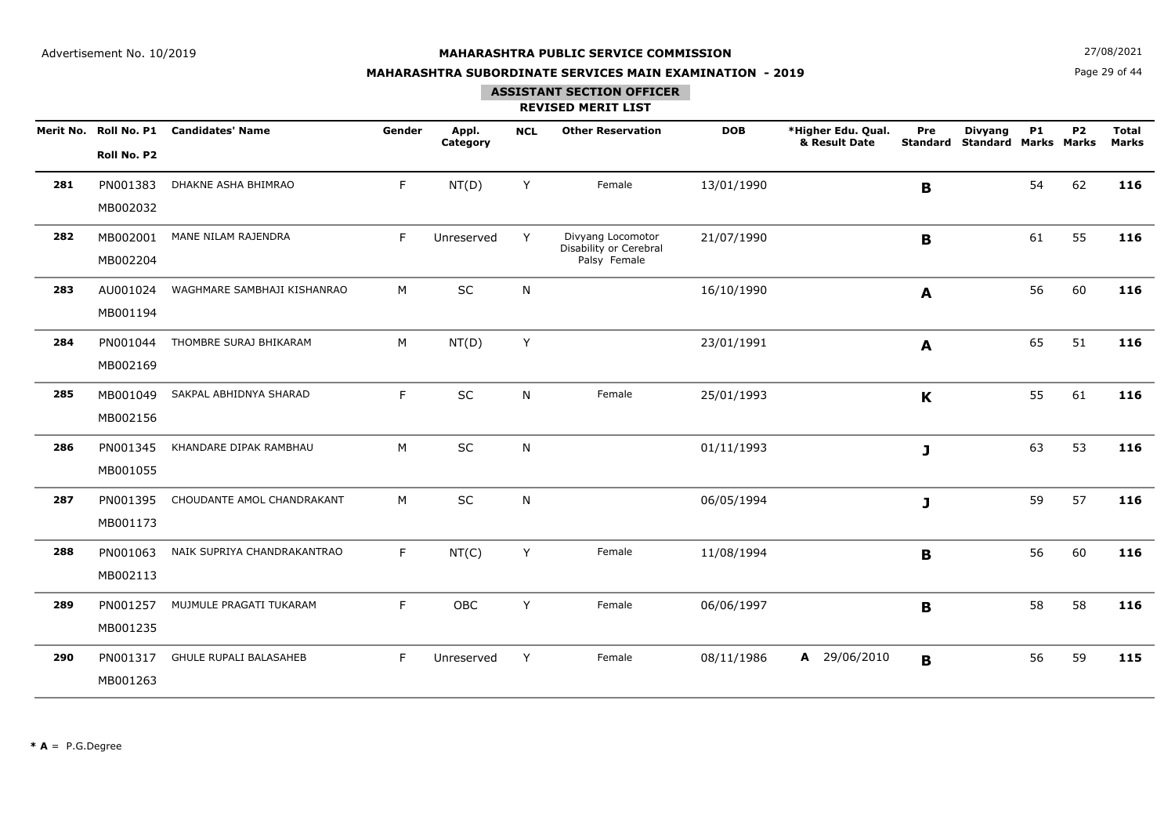**N**  $27/08/2021$ 

## **MAHARASHTRA SUBORDINATE SERVICES MAIN EXAMINATION - 2019**

Page 29 of 44

#### **ASSISTANT SECTION OFFICER**

|     | Merit No. Roll No. P1<br>Roll No. P2 | <b>Candidates' Name</b>       | Gender | Appl.<br>Category | <b>NCL</b> | <b>Other Reservation</b>                                    | <b>DOB</b> | *Higher Edu. Qual.<br>& Result Date | Pre | <b>Divyang</b><br><b>Standard Standard Marks Marks</b> | <b>P1</b> | P <sub>2</sub> | <b>Total</b><br><b>Marks</b> |
|-----|--------------------------------------|-------------------------------|--------|-------------------|------------|-------------------------------------------------------------|------------|-------------------------------------|-----|--------------------------------------------------------|-----------|----------------|------------------------------|
| 281 | PN001383<br>MB002032                 | DHAKNE ASHA BHIMRAO           | F      | NT(D)             | Y          | Female                                                      | 13/01/1990 |                                     | B   |                                                        | 54        | 62             | 116                          |
| 282 | MB002001<br>MB002204                 | MANE NILAM RAJENDRA           | F      | Unreserved        | Y          | Divyang Locomotor<br>Disability or Cerebral<br>Palsy Female | 21/07/1990 |                                     | B   |                                                        | 61        | 55             | 116                          |
| 283 | AU001024<br>MB001194                 | WAGHMARE SAMBHAJI KISHANRAO   | M      | SC                | N          |                                                             | 16/10/1990 |                                     | A   |                                                        | 56        | 60             | 116                          |
| 284 | PN001044<br>MB002169                 | THOMBRE SURAJ BHIKARAM        | M      | NT(D)             | Y          |                                                             | 23/01/1991 |                                     | A   |                                                        | 65        | 51             | 116                          |
| 285 | MB001049<br>MB002156                 | SAKPAL ABHIDNYA SHARAD        | F      | SC                | N          | Female                                                      | 25/01/1993 |                                     | K   |                                                        | 55        | 61             | 116                          |
| 286 | PN001345<br>MB001055                 | KHANDARE DIPAK RAMBHAU        | M      | SC                | N          |                                                             | 01/11/1993 |                                     | J   |                                                        | 63        | 53             | 116                          |
| 287 | PN001395<br>MB001173                 | CHOUDANTE AMOL CHANDRAKANT    | M      | SC                | N          |                                                             | 06/05/1994 |                                     | J   |                                                        | 59        | 57             | 116                          |
| 288 | PN001063<br>MB002113                 | NAIK SUPRIYA CHANDRAKANTRAO   | F      | NT(C)             | Y          | Female                                                      | 11/08/1994 |                                     | B   |                                                        | 56        | 60             | 116                          |
| 289 | PN001257<br>MB001235                 | MUJMULE PRAGATI TUKARAM       | F      | OBC               | Y          | Female                                                      | 06/06/1997 |                                     | B   |                                                        | 58        | 58             | 116                          |
| 290 | PN001317<br>MB001263                 | <b>GHULE RUPALI BALASAHEB</b> | F      | Unreserved        | Y          | Female                                                      | 08/11/1986 | A 29/06/2010                        | B   |                                                        | 56        | 59             | 115                          |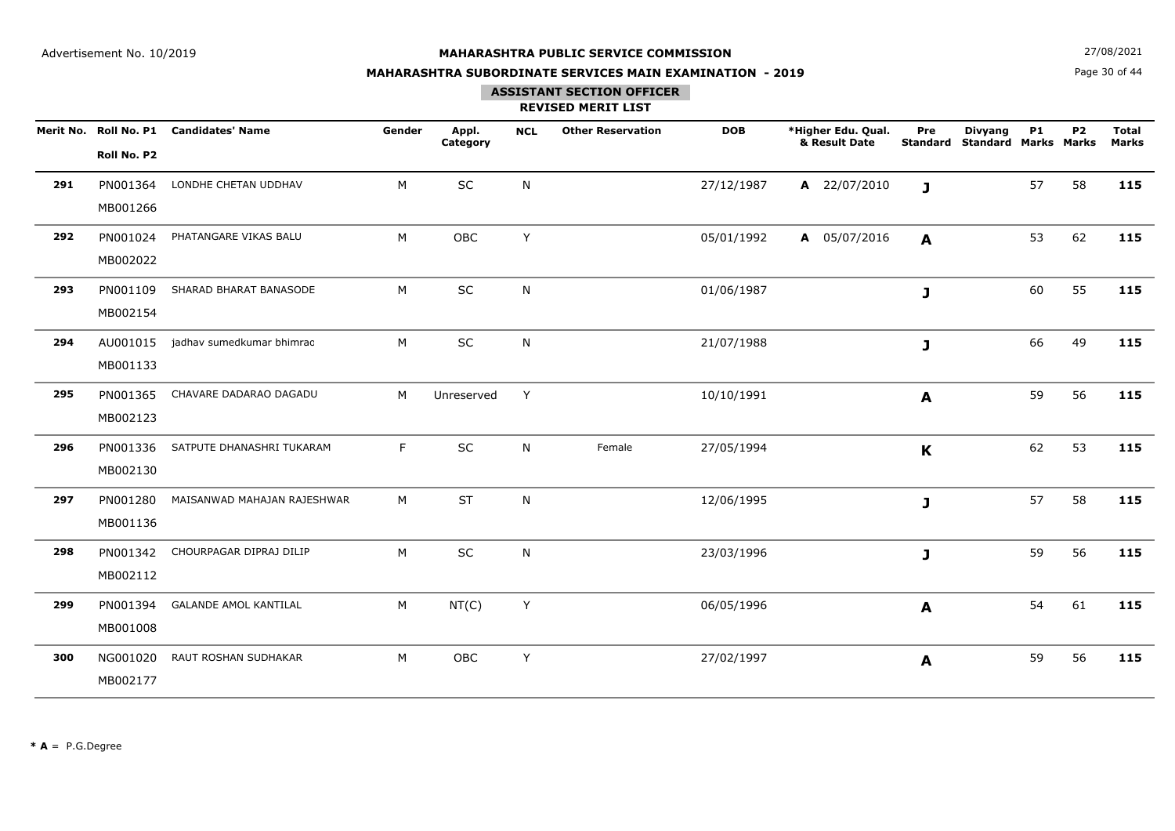**N**  $27/08/2021$ 

## **MAHARASHTRA SUBORDINATE SERVICES MAIN EXAMINATION - 2019**

Page 30 of 44

## **ASSISTANT SECTION OFFICER**

|     | Roll No. P2          | Merit No. Roll No. P1 Candidates' Name | Gender | Appl.<br>Category | <b>NCL</b> | <b>Other Reservation</b> | <b>DOB</b> | *Higher Edu. Qual.<br>& Result Date | Pre<br><b>Standard</b> | <b>Divyang</b><br><b>Standard Marks Marks</b> | <b>P1</b> | P <sub>2</sub> | <b>Total</b><br><b>Marks</b> |
|-----|----------------------|----------------------------------------|--------|-------------------|------------|--------------------------|------------|-------------------------------------|------------------------|-----------------------------------------------|-----------|----------------|------------------------------|
| 291 | PN001364<br>MB001266 | LONDHE CHETAN UDDHAV                   | M      | SC                | N          |                          | 27/12/1987 | A 22/07/2010                        | $\mathbf{J}$           |                                               | 57        | 58             | 115                          |
| 292 | PN001024<br>MB002022 | PHATANGARE VIKAS BALU                  | M      | OBC               | Y          |                          | 05/01/1992 | A 05/07/2016                        | A                      |                                               | 53        | 62             | 115                          |
| 293 | PN001109<br>MB002154 | SHARAD BHARAT BANASODE                 | M      | SC                | N          |                          | 01/06/1987 |                                     | J                      |                                               | 60        | 55             | 115                          |
| 294 | AU001015<br>MB001133 | jadhav sumedkumar bhimrao              | M      | SC                | N          |                          | 21/07/1988 |                                     | J                      |                                               | 66        | 49             | 115                          |
| 295 | PN001365<br>MB002123 | CHAVARE DADARAO DAGADU                 | M      | Unreserved        | Y          |                          | 10/10/1991 |                                     | A                      |                                               | 59        | 56             | 115                          |
| 296 | PN001336<br>MB002130 | SATPUTE DHANASHRI TUKARAM              | F      | SC                | N          | Female                   | 27/05/1994 |                                     | $\mathbf K$            |                                               | 62        | 53             | 115                          |
| 297 | PN001280<br>MB001136 | MAISANWAD MAHAJAN RAJESHWAR            | M      | <b>ST</b>         | N          |                          | 12/06/1995 |                                     | J                      |                                               | 57        | 58             | 115                          |
| 298 | PN001342<br>MB002112 | CHOURPAGAR DIPRAJ DILIP                | M      | <b>SC</b>         | N          |                          | 23/03/1996 |                                     | J                      |                                               | 59        | 56             | 115                          |
| 299 | PN001394<br>MB001008 | <b>GALANDE AMOL KANTILAL</b>           | M      | NT(C)             | Y          |                          | 06/05/1996 |                                     | A                      |                                               | 54        | 61             | 115                          |
| 300 | NG001020<br>MB002177 | RAUT ROSHAN SUDHAKAR                   | M      | OBC               | Y          |                          | 27/02/1997 |                                     | A                      |                                               | 59        | 56             | 115                          |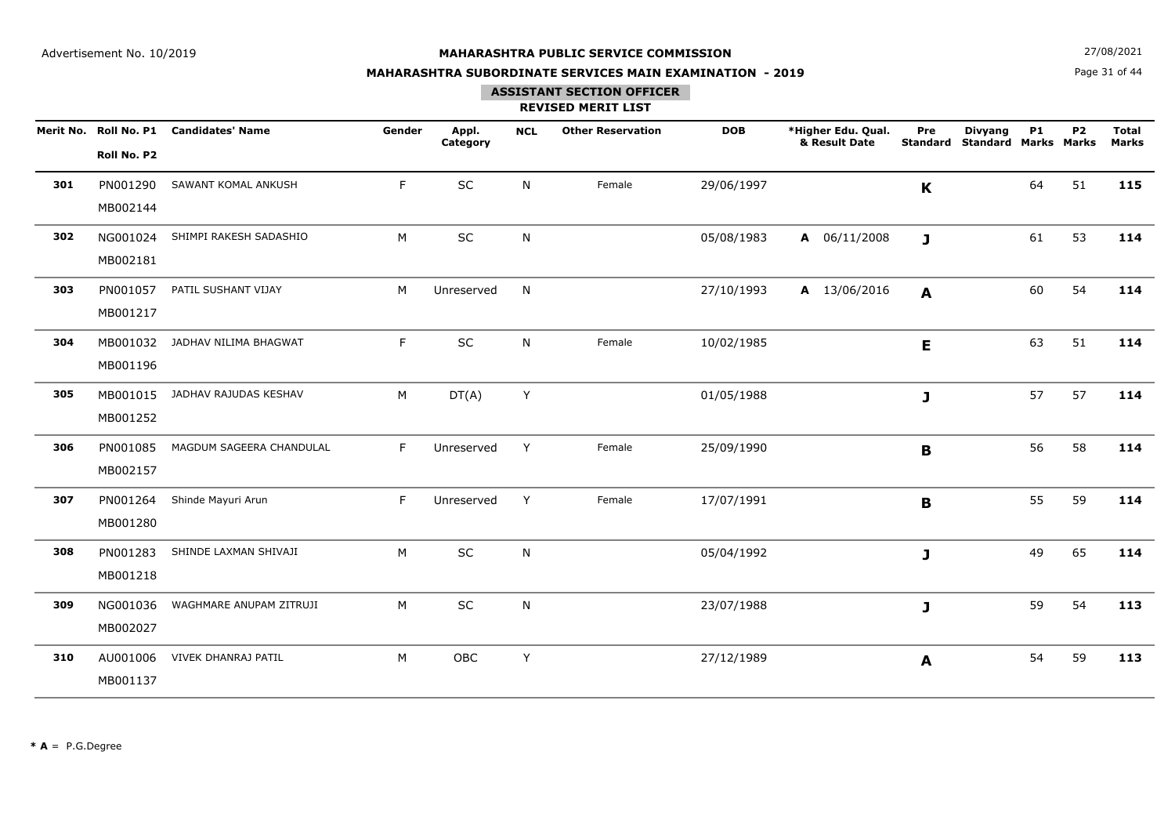**N**  $27/08/2021$ 

## **MAHARASHTRA SUBORDINATE SERVICES MAIN EXAMINATION - 2019**

Page 31 of 44

## **ASSISTANT SECTION OFFICER**

|     | Roll No. P2          | Merit No. Roll No. P1 Candidates' Name | Gender | Appl.<br>Category | <b>NCL</b> | <b>Other Reservation</b> | <b>DOB</b> | *Higher Edu. Qual.<br>& Result Date | Pre<br><b>Standard</b> | <b>Divyang</b><br><b>Standard Marks Marks</b> | <b>P1</b> | P <sub>2</sub> | <b>Total</b><br><b>Marks</b> |
|-----|----------------------|----------------------------------------|--------|-------------------|------------|--------------------------|------------|-------------------------------------|------------------------|-----------------------------------------------|-----------|----------------|------------------------------|
| 301 | PN001290<br>MB002144 | SAWANT KOMAL ANKUSH                    | F      | SC                | N          | Female                   | 29/06/1997 |                                     | $\mathbf K$            |                                               | 64        | 51             | 115                          |
| 302 | NG001024<br>MB002181 | SHIMPI RAKESH SADASHIO                 | M      | SC                | N          |                          | 05/08/1983 | $A$ 06/11/2008                      | J                      |                                               | 61        | 53             | 114                          |
| 303 | PN001057<br>MB001217 | PATIL SUSHANT VIJAY                    | M      | Unreserved        | N.         |                          | 27/10/1993 | A 13/06/2016                        | A                      |                                               | 60        | 54             | 114                          |
| 304 | MB001196             | MB001032 JADHAV NILIMA BHAGWAT         | F      | $\sf SC$          | N          | Female                   | 10/02/1985 |                                     | E.                     |                                               | 63        | 51             | 114                          |
| 305 | MB001252             | MB001015 JADHAV RAJUDAS KESHAV         | M      | DT(A)             | Y          |                          | 01/05/1988 |                                     | $\mathbf{J}$           |                                               | 57        | 57             | 114                          |
| 306 | PN001085<br>MB002157 | MAGDUM SAGEERA CHANDULAL               | F      | Unreserved        | Y          | Female                   | 25/09/1990 |                                     | B                      |                                               | 56        | 58             | 114                          |
| 307 | PN001264<br>MB001280 | Shinde Mayuri Arun                     | F      | Unreserved        | Y          | Female                   | 17/07/1991 |                                     | $\mathbf B$            |                                               | 55        | 59             | 114                          |
| 308 | PN001283<br>MB001218 | SHINDE LAXMAN SHIVAJI                  | M      | <b>SC</b>         | N          |                          | 05/04/1992 |                                     | J                      |                                               | 49        | 65             | 114                          |
| 309 | NG001036<br>MB002027 | WAGHMARE ANUPAM ZITRUJI                | M      | SC                | N          |                          | 23/07/1988 |                                     | J                      |                                               | 59        | 54             | 113                          |
| 310 | AU001006<br>MB001137 | VIVEK DHANRAJ PATIL                    | M      | OBC               | Y          |                          | 27/12/1989 |                                     | A                      |                                               | 54        | 59             | 113                          |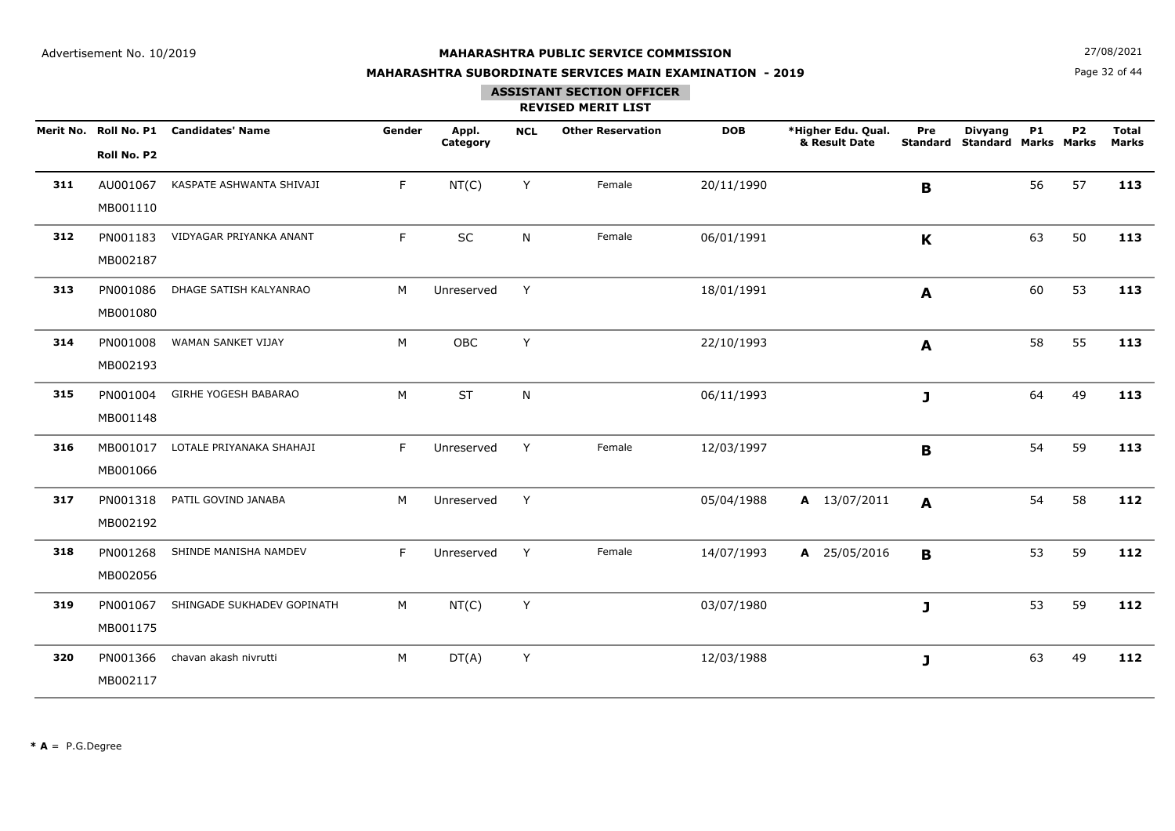**N**  $27/08/2021$ 

## **MAHARASHTRA SUBORDINATE SERVICES MAIN EXAMINATION - 2019**

Page 32 of 44

## **ASSISTANT SECTION OFFICER**

|     | Roll No. P2          | Merit No. Roll No. P1 Candidates' Name | Gender | Appl.<br>Category | <b>NCL</b> | <b>Other Reservation</b> | <b>DOB</b> | *Higher Edu. Qual.<br>& Result Date | Pre<br><b>Standard</b> | <b>Divyang</b><br><b>Standard Marks Marks</b> | <b>P1</b> | P <sub>2</sub> | <b>Total</b><br><b>Marks</b> |
|-----|----------------------|----------------------------------------|--------|-------------------|------------|--------------------------|------------|-------------------------------------|------------------------|-----------------------------------------------|-----------|----------------|------------------------------|
| 311 | AU001067<br>MB001110 | KASPATE ASHWANTA SHIVAJI               | F.     | NT(C)             | Y          | Female                   | 20/11/1990 |                                     | B                      |                                               | 56        | 57             | 113                          |
| 312 | PN001183<br>MB002187 | VIDYAGAR PRIYANKA ANANT                | F.     | SC                | N          | Female                   | 06/01/1991 |                                     | $\mathbf K$            |                                               | 63        | 50             | 113                          |
| 313 | PN001086<br>MB001080 | DHAGE SATISH KALYANRAO                 | M      | Unreserved        | Y          |                          | 18/01/1991 |                                     | A                      |                                               | 60        | 53             | 113                          |
| 314 | PN001008<br>MB002193 | WAMAN SANKET VIJAY                     | M      | OBC               | Y          |                          | 22/10/1993 |                                     | A                      |                                               | 58        | 55             | 113                          |
| 315 | PN001004<br>MB001148 | GIRHE YOGESH BABARAO                   | M      | <b>ST</b>         | N          |                          | 06/11/1993 |                                     | $\mathbf{J}$           |                                               | 64        | 49             | 113                          |
| 316 | MB001017<br>MB001066 | LOTALE PRIYANAKA SHAHAJI               | F.     | Unreserved        | Y          | Female                   | 12/03/1997 |                                     | $\mathbf B$            |                                               | 54        | 59             | 113                          |
| 317 | PN001318<br>MB002192 | PATIL GOVIND JANABA                    | M      | Unreserved        | Y          |                          | 05/04/1988 | A 13/07/2011                        | A                      |                                               | 54        | 58             | 112                          |
| 318 | PN001268<br>MB002056 | SHINDE MANISHA NAMDEV                  | F      | Unreserved        | Y          | Female                   | 14/07/1993 | A 25/05/2016                        | B                      |                                               | 53        | 59             | 112                          |
| 319 | PN001067<br>MB001175 | SHINGADE SUKHADEV GOPINATH             | М      | NT(C)             | Y          |                          | 03/07/1980 |                                     | J                      |                                               | 53        | 59             | 112                          |
| 320 | PN001366<br>MB002117 | chavan akash nivrutti                  | M      | DT(A)             | Y          |                          | 12/03/1988 |                                     | J                      |                                               | 63        | 49             | 112                          |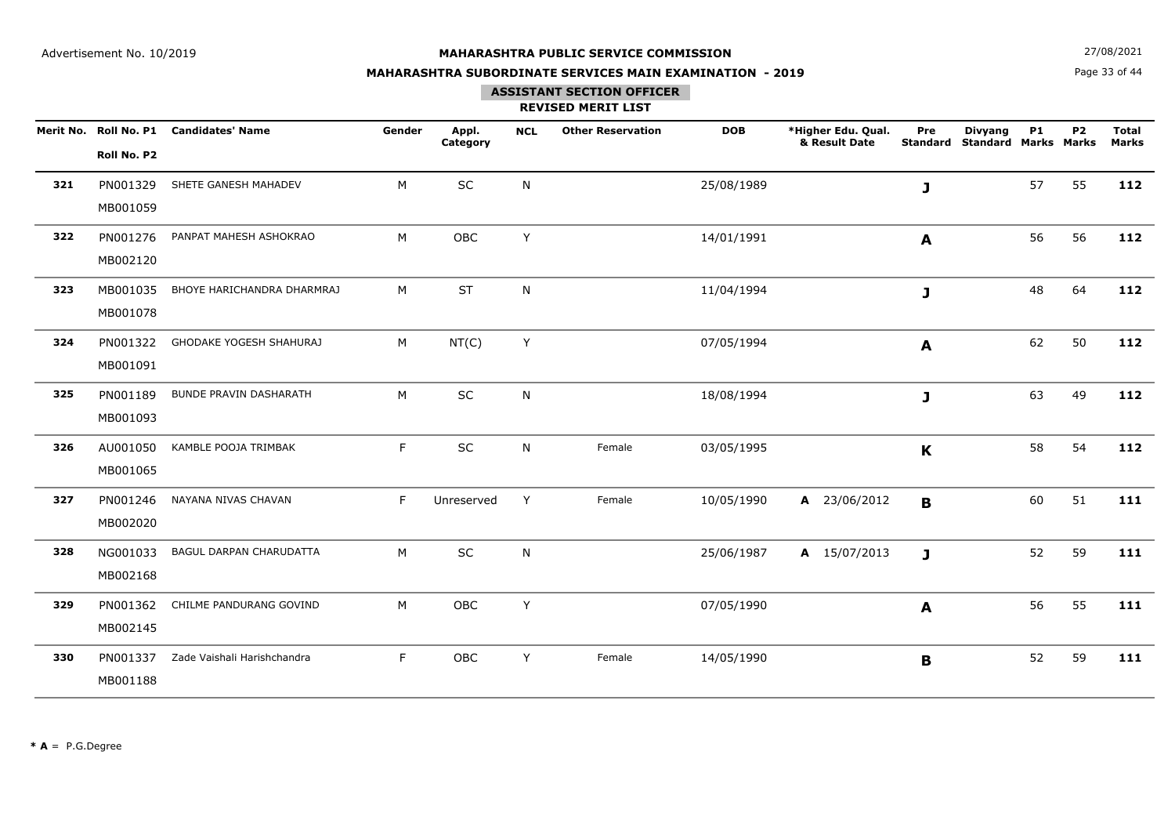**N**  $27/08/2021$ 

## **MAHARASHTRA SUBORDINATE SERVICES MAIN EXAMINATION - 2019**

Page 33 of 44

## **ASSISTANT SECTION OFFICER**

|     | Roll No. P2          | Merit No. Roll No. P1 Candidates' Name | Gender | Appl.<br>Category | <b>NCL</b>   | <b>Other Reservation</b> | <b>DOB</b> | *Higher Edu. Qual.<br>& Result Date | Pre<br><b>Standard</b> | <b>Divyang</b><br><b>Standard Marks Marks</b> | <b>P1</b> | P <sub>2</sub> | <b>Total</b><br><b>Marks</b> |
|-----|----------------------|----------------------------------------|--------|-------------------|--------------|--------------------------|------------|-------------------------------------|------------------------|-----------------------------------------------|-----------|----------------|------------------------------|
| 321 | PN001329<br>MB001059 | SHETE GANESH MAHADEV                   | M      | SC                | $\mathsf{N}$ |                          | 25/08/1989 |                                     | J                      |                                               | 57        | 55             | 112                          |
| 322 | PN001276<br>MB002120 | PANPAT MAHESH ASHOKRAO                 | M      | OBC               | Y            |                          | 14/01/1991 |                                     | A                      |                                               | 56        | 56             | 112                          |
| 323 | MB001035<br>MB001078 | BHOYE HARICHANDRA DHARMRAJ             | M      | <b>ST</b>         | N            |                          | 11/04/1994 |                                     | J                      |                                               | 48        | 64             | 112                          |
| 324 | PN001322<br>MB001091 | GHODAKE YOGESH SHAHURAJ                | М      | NT(C)             | Y            |                          | 07/05/1994 |                                     | A                      |                                               | 62        | 50             | 112                          |
| 325 | PN001189<br>MB001093 | <b>BUNDE PRAVIN DASHARATH</b>          | M      | SC                | $\mathsf{N}$ |                          | 18/08/1994 |                                     | J                      |                                               | 63        | 49             | 112                          |
| 326 | AU001050<br>MB001065 | KAMBLE POOJA TRIMBAK                   | F      | SC                | N            | Female                   | 03/05/1995 |                                     | $\mathbf K$            |                                               | 58        | 54             | 112                          |
| 327 | PN001246<br>MB002020 | NAYANA NIVAS CHAVAN                    | F      | Unreserved        | Y            | Female                   | 10/05/1990 | A 23/06/2012                        | $\mathbf B$            |                                               | 60        | 51             | 111                          |
| 328 | NG001033<br>MB002168 | BAGUL DARPAN CHARUDATTA                | M      | SC                | $\mathsf{N}$ |                          | 25/06/1987 | A 15/07/2013                        | $\mathbf{J}$           |                                               | 52        | 59             | 111                          |
| 329 | PN001362<br>MB002145 | CHILME PANDURANG GOVIND                | M      | OBC               | Y            |                          | 07/05/1990 |                                     | A                      |                                               | 56        | 55             | 111                          |
| 330 | PN001337<br>MB001188 | Zade Vaishali Harishchandra            | F      | OBC               | Y            | Female                   | 14/05/1990 |                                     | B                      |                                               | 52        | 59             | 111                          |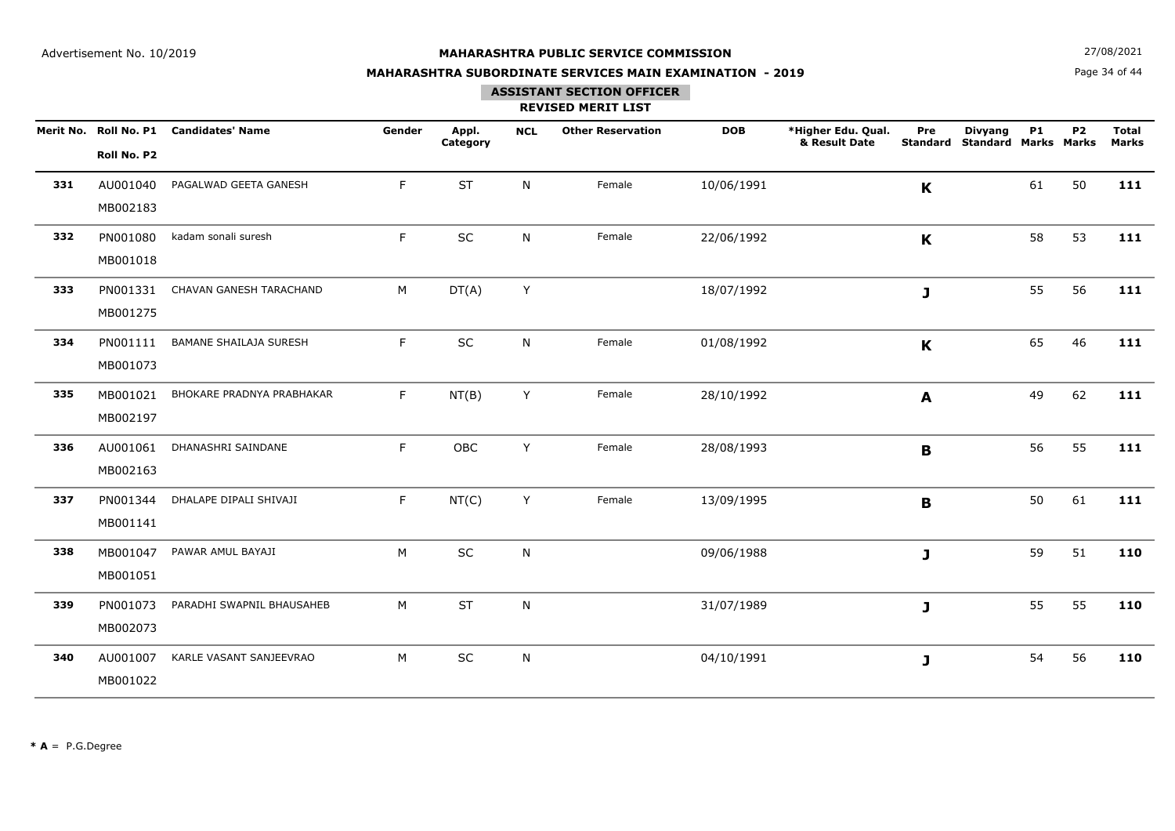**N**  $27/08/2021$ 

## **MAHARASHTRA SUBORDINATE SERVICES MAIN EXAMINATION - 2019**

Page 34 of 44

## **ASSISTANT SECTION OFFICER**

|     | Roll No. P2          | Merit No. Roll No. P1 Candidates' Name | Gender | Appl.<br>Category | <b>NCL</b> | <b>Other Reservation</b> | <b>DOB</b> | *Higher Edu. Qual.<br>& Result Date | Pre<br><b>Standard</b> | <b>Divyang</b><br><b>Standard Marks Marks</b> | <b>P1</b> | P <sub>2</sub> | <b>Total</b><br><b>Marks</b> |
|-----|----------------------|----------------------------------------|--------|-------------------|------------|--------------------------|------------|-------------------------------------|------------------------|-----------------------------------------------|-----------|----------------|------------------------------|
| 331 | AU001040<br>MB002183 | PAGALWAD GEETA GANESH                  | F.     | <b>ST</b>         | N          | Female                   | 10/06/1991 |                                     | K                      |                                               | 61        | 50             | 111                          |
| 332 | PN001080<br>MB001018 | kadam sonali suresh                    | F      | $\sf SC$          | N          | Female                   | 22/06/1992 |                                     | $\mathbf K$            |                                               | 58        | 53             | 111                          |
| 333 | PN001331<br>MB001275 | CHAVAN GANESH TARACHAND                | м      | DT(A)             | Y          |                          | 18/07/1992 |                                     | J                      |                                               | 55        | 56             | 111                          |
| 334 | PN001111<br>MB001073 | <b>BAMANE SHAILAJA SURESH</b>          | F.     | SC                | N          | Female                   | 01/08/1992 |                                     | $\mathbf K$            |                                               | 65        | 46             | 111                          |
| 335 | MB001021<br>MB002197 | BHOKARE PRADNYA PRABHAKAR              | F      | NT(B)             | Y          | Female                   | 28/10/1992 |                                     | A                      |                                               | 49        | 62             | 111                          |
| 336 | AU001061<br>MB002163 | DHANASHRI SAINDANE                     | F.     | OBC               | Y          | Female                   | 28/08/1993 |                                     | В                      |                                               | 56        | 55             | 111                          |
| 337 | PN001344<br>MB001141 | DHALAPE DIPALI SHIVAJI                 | F.     | NT(C)             | Y          | Female                   | 13/09/1995 |                                     | B                      |                                               | 50        | 61             | 111                          |
| 338 | MB001047<br>MB001051 | PAWAR AMUL BAYAJI                      | M      | SC                | N          |                          | 09/06/1988 |                                     | $\mathbf{J}$           |                                               | 59        | 51             | 110                          |
| 339 | PN001073<br>MB002073 | PARADHI SWAPNIL BHAUSAHEB              | M      | ST                | N          |                          | 31/07/1989 |                                     | J                      |                                               | 55        | 55             | 110                          |
| 340 | AU001007<br>MB001022 | KARLE VASANT SANJEEVRAO                | M      | SC                | N          |                          | 04/10/1991 |                                     | J                      |                                               | 54        | 56             | 110                          |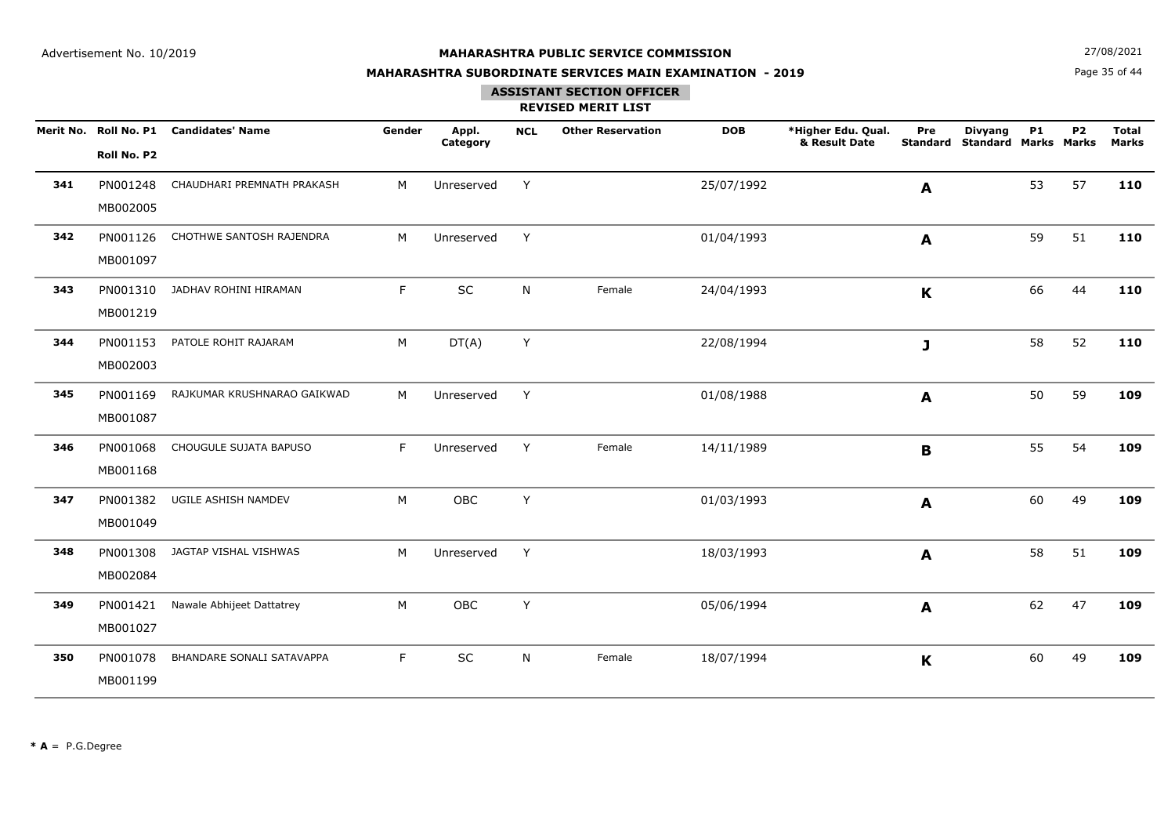**N**  $27/08/2021$ 

## **MAHARASHTRA SUBORDINATE SERVICES MAIN EXAMINATION - 2019**

Page 35 of 44

## **ASSISTANT SECTION OFFICER**

|     | Roll No. P2          | Merit No. Roll No. P1 Candidates' Name | Gender | Appl.<br>Category | <b>NCL</b> | <b>Other Reservation</b> | <b>DOB</b> | *Higher Edu. Qual.<br>& Result Date | Pre<br><b>Standard</b> | <b>Divyang</b><br><b>Standard Marks Marks</b> | <b>P1</b> | P <sub>2</sub> | <b>Total</b><br><b>Marks</b> |
|-----|----------------------|----------------------------------------|--------|-------------------|------------|--------------------------|------------|-------------------------------------|------------------------|-----------------------------------------------|-----------|----------------|------------------------------|
| 341 | PN001248<br>MB002005 | CHAUDHARI PREMNATH PRAKASH             | M      | Unreserved        | Y          |                          | 25/07/1992 |                                     | A                      |                                               | 53        | 57             | 110                          |
| 342 | PN001126<br>MB001097 | CHOTHWE SANTOSH RAJENDRA               | M      | Unreserved        | Y          |                          | 01/04/1993 |                                     | A                      |                                               | 59        | 51             | 110                          |
| 343 | PN001310<br>MB001219 | JADHAV ROHINI HIRAMAN                  | F      | SC                | N          | Female                   | 24/04/1993 |                                     | $\mathbf K$            |                                               | 66        | 44             | 110                          |
| 344 | PN001153<br>MB002003 | PATOLE ROHIT RAJARAM                   | M      | DT(A)             | Y          |                          | 22/08/1994 |                                     | J                      |                                               | 58        | 52             | 110                          |
| 345 | PN001169<br>MB001087 | RAJKUMAR KRUSHNARAO GAIKWAD            | M      | Unreserved        | Y          |                          | 01/08/1988 |                                     | A                      |                                               | 50        | 59             | 109                          |
| 346 | PN001068<br>MB001168 | CHOUGULE SUJATA BAPUSO                 | F      | Unreserved        | Y          | Female                   | 14/11/1989 |                                     | B                      |                                               | 55        | 54             | 109                          |
| 347 | PN001382<br>MB001049 | UGILE ASHISH NAMDEV                    | M      | OBC               | Y          |                          | 01/03/1993 |                                     | $\mathbf{A}$           |                                               | 60        | 49             | 109                          |
| 348 | PN001308<br>MB002084 | JAGTAP VISHAL VISHWAS                  | M      | Unreserved        | Y          |                          | 18/03/1993 |                                     | A                      |                                               | 58        | 51             | 109                          |
| 349 | PN001421<br>MB001027 | Nawale Abhijeet Dattatrey              | M      | OBC               | Y          |                          | 05/06/1994 |                                     | A                      |                                               | 62        | 47             | 109                          |
| 350 | PN001078<br>MB001199 | BHANDARE SONALI SATAVAPPA              | F      | SC                | N.         | Female                   | 18/07/1994 |                                     | $\mathbf K$            |                                               | 60        | 49             | 109                          |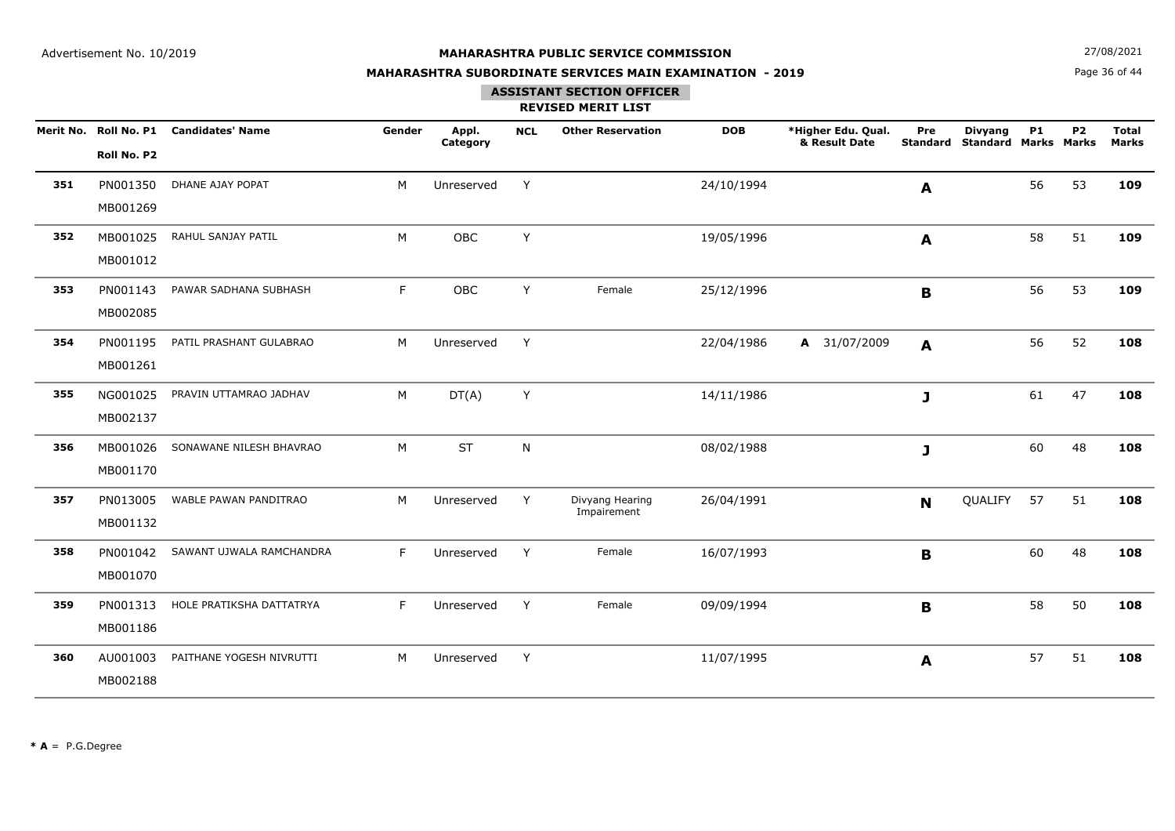**N**  $27/08/2021$ 

## **MAHARASHTRA SUBORDINATE SERVICES MAIN EXAMINATION - 2019**

Page 36 of 44

## **ASSISTANT SECTION OFFICER**

|     | Merit No. Roll No. P1<br>Roll No. P2 | <b>Candidates' Name</b>  | Gender | Appl.<br>Category | <b>NCL</b> | <b>Other Reservation</b>       | <b>DOB</b> | *Higher Edu. Qual.<br>& Result Date | Pre<br><b>Standard</b> | <b>Divyang</b><br><b>Standard Marks Marks</b> | <b>P1</b> | P <sub>2</sub> | <b>Total</b><br><b>Marks</b> |
|-----|--------------------------------------|--------------------------|--------|-------------------|------------|--------------------------------|------------|-------------------------------------|------------------------|-----------------------------------------------|-----------|----------------|------------------------------|
| 351 | PN001350<br>MB001269                 | DHANE AJAY POPAT         | M      | Unreserved        | Y          |                                | 24/10/1994 |                                     | A                      |                                               | 56        | 53             | 109                          |
| 352 | MB001025<br>MB001012                 | RAHUL SANJAY PATIL       | M      | OBC               | Y          |                                | 19/05/1996 |                                     | A                      |                                               | 58        | 51             | 109                          |
| 353 | PN001143<br>MB002085                 | PAWAR SADHANA SUBHASH    | F      | OBC               | Y          | Female                         | 25/12/1996 |                                     | B                      |                                               | 56        | 53             | 109                          |
| 354 | PN001195<br>MB001261                 | PATIL PRASHANT GULABRAO  | M      | Unreserved        | Y          |                                | 22/04/1986 | A 31/07/2009                        | A                      |                                               | 56        | 52             | 108                          |
| 355 | NG001025<br>MB002137                 | PRAVIN UTTAMRAO JADHAV   | M      | DT(A)             | Y          |                                | 14/11/1986 |                                     | J                      |                                               | 61        | 47             | 108                          |
| 356 | MB001026<br>MB001170                 | SONAWANE NILESH BHAVRAO  | M      | <b>ST</b>         | N          |                                | 08/02/1988 |                                     | J                      |                                               | 60        | 48             | 108                          |
| 357 | PN013005<br>MB001132                 | WABLE PAWAN PANDITRAO    | M      | Unreserved        | Y          | Divyang Hearing<br>Impairement | 26/04/1991 |                                     | $\mathbf N$            | QUALIFY                                       | 57        | 51             | 108                          |
| 358 | PN001042<br>MB001070                 | SAWANT UJWALA RAMCHANDRA | F      | Unreserved        | Y          | Female                         | 16/07/1993 |                                     | B                      |                                               | 60        | 48             | 108                          |
| 359 | PN001313<br>MB001186                 | HOLE PRATIKSHA DATTATRYA | F      | Unreserved        | Y          | Female                         | 09/09/1994 |                                     | B                      |                                               | 58        | 50             | 108                          |
| 360 | AU001003<br>MB002188                 | PAITHANE YOGESH NIVRUTTI | M      | Unreserved        | Y          |                                | 11/07/1995 |                                     | A                      |                                               | 57        | 51             | 108                          |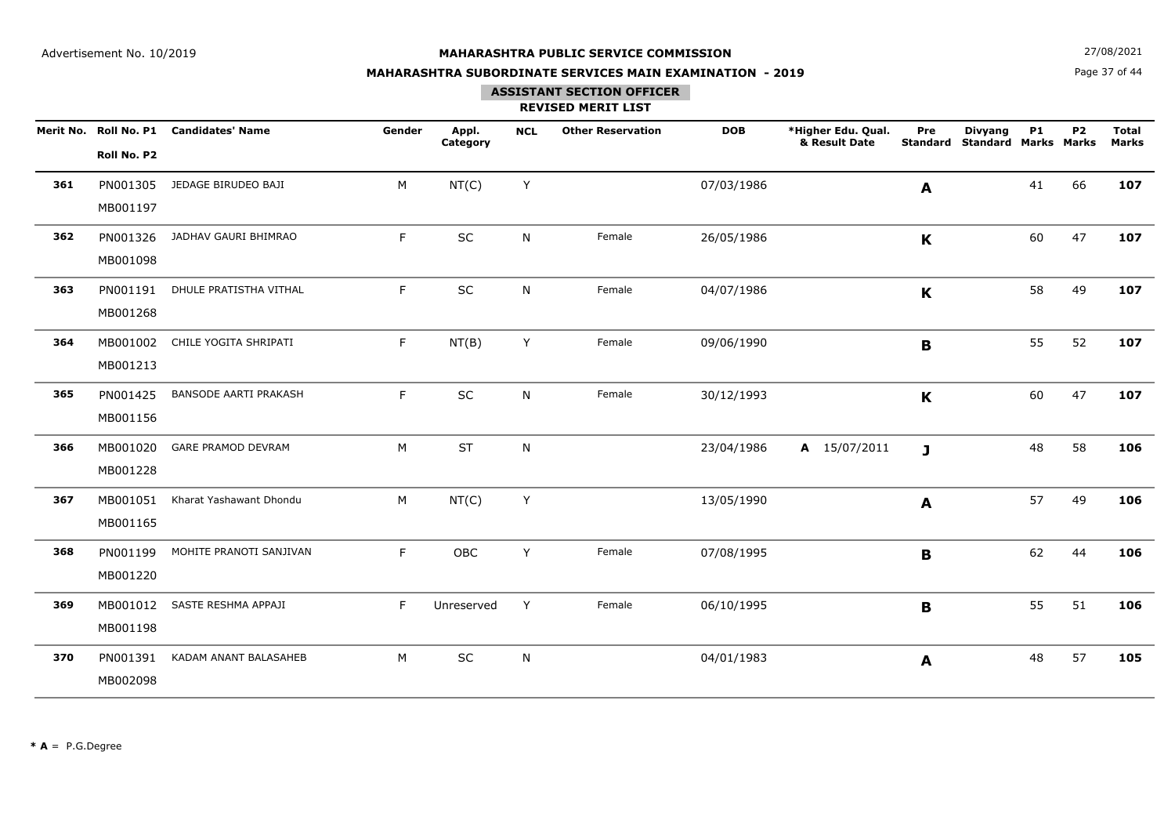**N**  $27/08/2021$ 

## **MAHARASHTRA SUBORDINATE SERVICES MAIN EXAMINATION - 2019**

Page 37 of 44

## **ASSISTANT SECTION OFFICER**

|     | Roll No. P2          | Merit No. Roll No. P1 Candidates' Name | Gender | Appl.<br>Category | <b>NCL</b> | <b>Other Reservation</b> | <b>DOB</b> | *Higher Edu. Qual.<br>& Result Date | Pre<br><b>Standard</b>    | <b>Divyang</b><br><b>Standard Marks Marks</b> | <b>P1</b> | <b>P2</b> | <b>Total</b><br><b>Marks</b> |
|-----|----------------------|----------------------------------------|--------|-------------------|------------|--------------------------|------------|-------------------------------------|---------------------------|-----------------------------------------------|-----------|-----------|------------------------------|
| 361 | PN001305<br>MB001197 | JEDAGE BIRUDEO BAJI                    | M      | NT(C)             | Y          |                          | 07/03/1986 |                                     | A                         |                                               | 41        | 66        | 107                          |
| 362 | PN001326<br>MB001098 | JADHAV GAURI BHIMRAO                   | F      | SC                | N          | Female                   | 26/05/1986 |                                     | $\boldsymbol{\mathsf{K}}$ |                                               | 60        | 47        | 107                          |
| 363 | PN001191<br>MB001268 | DHULE PRATISTHA VITHAL                 | F.     | SC                | N          | Female                   | 04/07/1986 |                                     | $\mathbf K$               |                                               | 58        | 49        | 107                          |
| 364 | MB001213             | MB001002 CHILE YOGITA SHRIPATI         | F      | NT(B)             | Y          | Female                   | 09/06/1990 |                                     | B                         |                                               | 55        | 52        | 107                          |
| 365 | PN001425<br>MB001156 | <b>BANSODE AARTI PRAKASH</b>           | F      | SC                | N          | Female                   | 30/12/1993 |                                     | $\mathbf K$               |                                               | 60        | 47        | 107                          |
| 366 | MB001020<br>MB001228 | <b>GARE PRAMOD DEVRAM</b>              | M      | <b>ST</b>         | N          |                          | 23/04/1986 | A 15/07/2011                        | J                         |                                               | 48        | 58        | 106                          |
| 367 | MB001051<br>MB001165 | Kharat Yashawant Dhondu                | M      | NT(C)             | Y          |                          | 13/05/1990 |                                     | $\mathbf{A}$              |                                               | 57        | 49        | 106                          |
| 368 | PN001199<br>MB001220 | MOHITE PRANOTI SANJIVAN                | F      | OBC               | Y          | Female                   | 07/08/1995 |                                     | B                         |                                               | 62        | 44        | 106                          |
| 369 | MB001012<br>MB001198 | SASTE RESHMA APPAJI                    | F      | Unreserved        | Y          | Female                   | 06/10/1995 |                                     | B                         |                                               | 55        | 51        | 106                          |
| 370 | PN001391<br>MB002098 | KADAM ANANT BALASAHEB                  | M      | SC                | ${\sf N}$  |                          | 04/01/1983 |                                     | A                         |                                               | 48        | 57        | 105                          |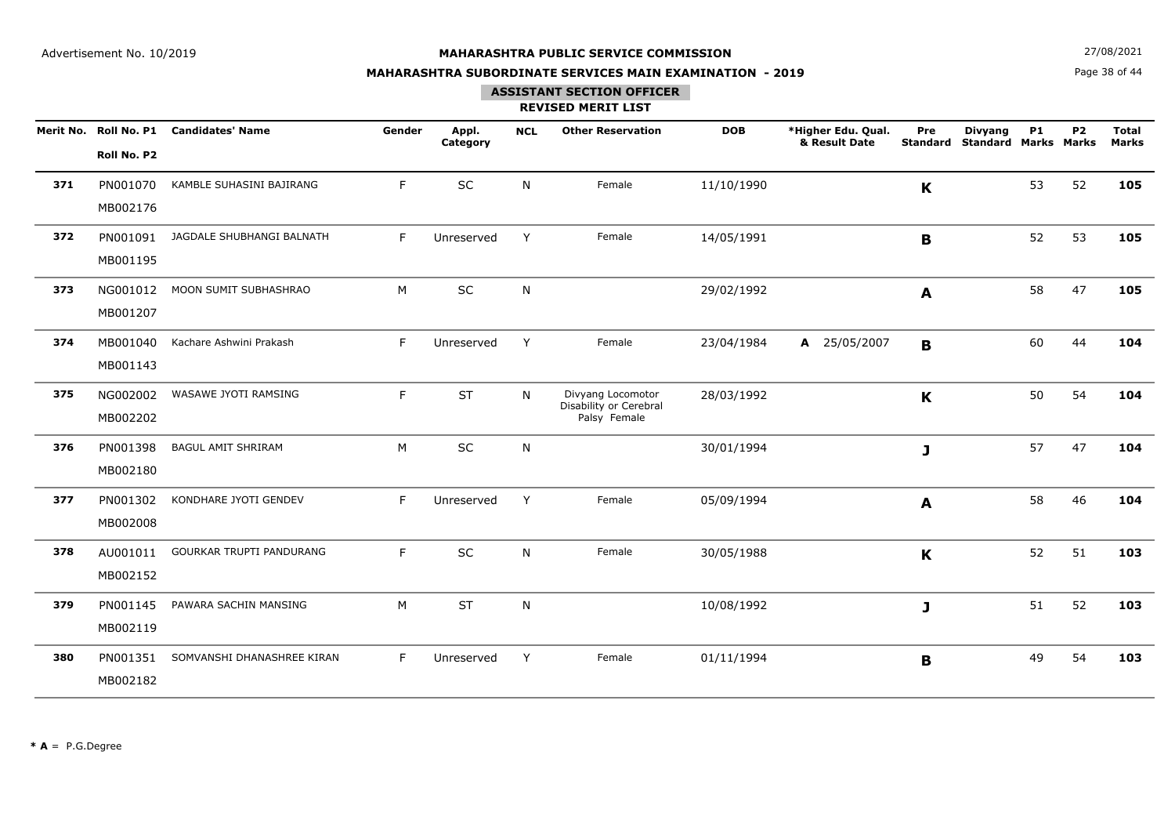**N**  $27/08/2021$ 

## **MAHARASHTRA SUBORDINATE SERVICES MAIN EXAMINATION - 2019**

Page 38 of 44

### **ASSISTANT SECTION OFFICER**

|     | Roll No. P2          | Merit No. Roll No. P1 Candidates' Name | Gender | Appl.<br>Category | <b>NCL</b> | <b>Other Reservation</b>                                    | <b>DOB</b> | *Higher Edu. Qual.<br>& Result Date | Pre<br><b>Standard</b> | <b>Divyang</b><br><b>Standard Marks Marks</b> | <b>P1</b> | <b>P2</b> | <b>Total</b><br><b>Marks</b> |
|-----|----------------------|----------------------------------------|--------|-------------------|------------|-------------------------------------------------------------|------------|-------------------------------------|------------------------|-----------------------------------------------|-----------|-----------|------------------------------|
| 371 | PN001070<br>MB002176 | KAMBLE SUHASINI BAJIRANG               | F      | SC                | N          | Female                                                      | 11/10/1990 |                                     | K                      |                                               | 53        | 52        | 105                          |
| 372 | PN001091<br>MB001195 | JAGDALE SHUBHANGI BALNATH              | F      | Unreserved        | Y          | Female                                                      | 14/05/1991 |                                     | $\mathbf{B}$           |                                               | 52        | 53        | 105                          |
| 373 | NG001012<br>MB001207 | MOON SUMIT SUBHASHRAO                  | M      | SC                | N          |                                                             | 29/02/1992 |                                     | A                      |                                               | 58        | 47        | 105                          |
| 374 | MB001040<br>MB001143 | Kachare Ashwini Prakash                | F      | Unreserved        | Y          | Female                                                      | 23/04/1984 | A 25/05/2007                        | B                      |                                               | 60        | 44        | 104                          |
| 375 | NG002002<br>MB002202 | WASAWE JYOTI RAMSING                   | F      | <b>ST</b>         | N          | Divyang Locomotor<br>Disability or Cerebral<br>Palsy Female | 28/03/1992 |                                     | $\mathbf K$            |                                               | 50        | 54        | 104                          |
| 376 | PN001398<br>MB002180 | <b>BAGUL AMIT SHRIRAM</b>              | M      | <b>SC</b>         | N          |                                                             | 30/01/1994 |                                     | J                      |                                               | 57        | 47        | 104                          |
| 377 | PN001302<br>MB002008 | KONDHARE JYOTI GENDEV                  | F      | Unreserved        | Y          | Female                                                      | 05/09/1994 |                                     | A                      |                                               | 58        | 46        | 104                          |
| 378 | AU001011<br>MB002152 | GOURKAR TRUPTI PANDURANG               | F      | <b>SC</b>         | N          | Female                                                      | 30/05/1988 |                                     | K                      |                                               | 52        | 51        | 103                          |
| 379 | PN001145<br>MB002119 | PAWARA SACHIN MANSING                  | M      | <b>ST</b>         | N          |                                                             | 10/08/1992 |                                     | J                      |                                               | 51        | 52        | 103                          |
| 380 | PN001351<br>MB002182 | SOMVANSHI DHANASHREE KIRAN             | F      | Unreserved        | Y          | Female                                                      | 01/11/1994 |                                     | B                      |                                               | 49        | 54        | 103                          |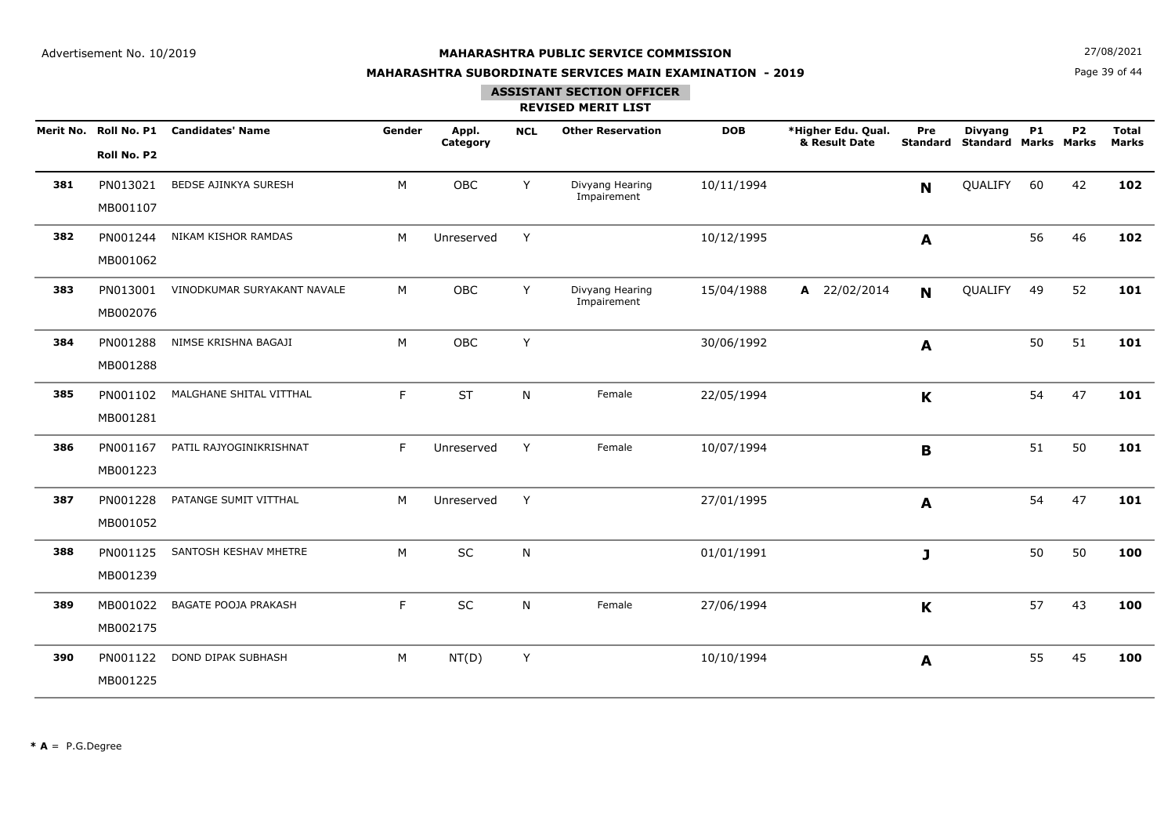**N**  $27/08/2021$ 

## **MAHARASHTRA SUBORDINATE SERVICES MAIN EXAMINATION - 2019**

Page 39 of 44

### **ASSISTANT SECTION OFFICER**

|     | Merit No. Roll No. P1<br>Roll No. P2 | <b>Candidates' Name</b>     | Gender | Appl.<br>Category | <b>NCL</b> | <b>Other Reservation</b>       | <b>DOB</b> | *Higher Edu. Qual.<br>& Result Date | Pre<br><b>Standard</b> | <b>Divyang</b><br><b>Standard Marks Marks</b> | <b>P1</b> | <b>P2</b> | <b>Total</b><br><b>Marks</b> |
|-----|--------------------------------------|-----------------------------|--------|-------------------|------------|--------------------------------|------------|-------------------------------------|------------------------|-----------------------------------------------|-----------|-----------|------------------------------|
| 381 | PN013021<br>MB001107                 | BEDSE AJINKYA SURESH        | M      | OBC               | Y          | Divyang Hearing<br>Impairement | 10/11/1994 |                                     | N                      | QUALIFY                                       | 60        | 42        | 102                          |
| 382 | PN001244<br>MB001062                 | NIKAM KISHOR RAMDAS         | M      | Unreserved        | Y          |                                | 10/12/1995 |                                     | A                      |                                               | 56        | 46        | 102                          |
| 383 | PN013001<br>MB002076                 | VINODKUMAR SURYAKANT NAVALE | M      | OBC               | Y          | Divyang Hearing<br>Impairement | 15/04/1988 | A 22/02/2014                        | N                      | QUALIFY                                       | 49        | 52        | 101                          |
| 384 | PN001288<br>MB001288                 | NIMSE KRISHNA BAGAJI        | M      | OBC               | Y          |                                | 30/06/1992 |                                     | A                      |                                               | 50        | 51        | 101                          |
| 385 | PN001102<br>MB001281                 | MALGHANE SHITAL VITTHAL     | F      | <b>ST</b>         | N          | Female                         | 22/05/1994 |                                     | K                      |                                               | 54        | 47        | 101                          |
| 386 | PN001167<br>MB001223                 | PATIL RAJYOGINIKRISHNAT     | F      | Unreserved        | Y          | Female                         | 10/07/1994 |                                     | $\mathbf B$            |                                               | 51        | 50        | 101                          |
| 387 | PN001228<br>MB001052                 | PATANGE SUMIT VITTHAL       | M      | Unreserved        | Y          |                                | 27/01/1995 |                                     | A                      |                                               | 54        | 47        | 101                          |
| 388 | PN001125<br>MB001239                 | SANTOSH KESHAV MHETRE       | M      | SC                | N          |                                | 01/01/1991 |                                     | J                      |                                               | 50        | 50        | 100                          |
| 389 | MB001022<br>MB002175                 | <b>BAGATE POOJA PRAKASH</b> | F      | SC                | N          | Female                         | 27/06/1994 |                                     | K                      |                                               | 57        | 43        | 100                          |
| 390 | PN001122<br>MB001225                 | <b>DOND DIPAK SUBHASH</b>   | M      | NT(D)             | Y          |                                | 10/10/1994 |                                     | A                      |                                               | 55        | 45        | 100                          |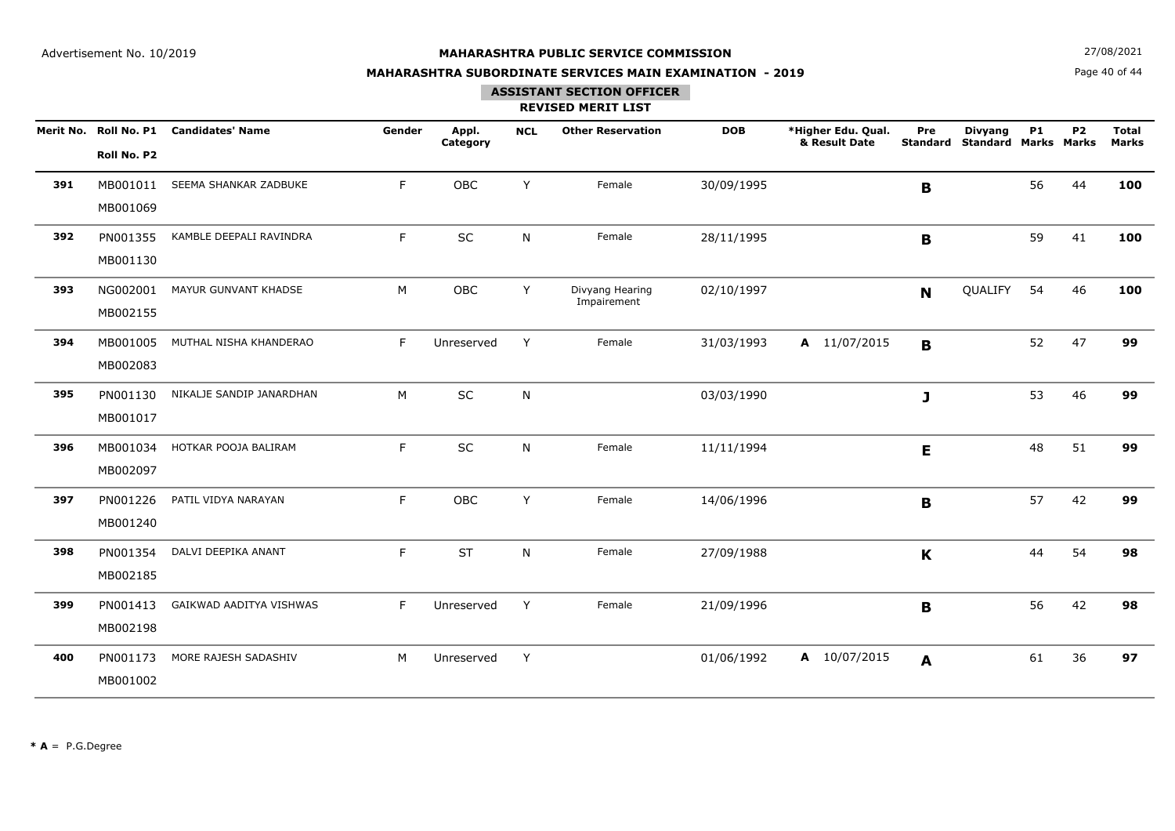**N**  $27/08/2021$ 

## **MAHARASHTRA SUBORDINATE SERVICES MAIN EXAMINATION - 2019**

Page 40 of 44

## **ASSISTANT SECTION OFFICER**

|     |             | Merit No. Roll No. P1 Candidates' Name | Gender | Appl.<br>Category | <b>NCL</b> | <b>Other Reservation</b>       | <b>DOB</b> | *Higher Edu. Qual.<br>& Result Date | Pre         | <b>Divyang</b><br><b>Standard Standard Marks Marks</b> | P1 | <b>P2</b> | <b>Total</b><br><b>Marks</b> |
|-----|-------------|----------------------------------------|--------|-------------------|------------|--------------------------------|------------|-------------------------------------|-------------|--------------------------------------------------------|----|-----------|------------------------------|
|     | Roll No. P2 |                                        |        |                   |            |                                |            |                                     |             |                                                        |    |           |                              |
| 391 | MB001011    | SEEMA SHANKAR ZADBUKE                  | F.     | OBC               | Y          | Female                         | 30/09/1995 |                                     | B           |                                                        | 56 | 44        | 100                          |
|     | MB001069    |                                        |        |                   |            |                                |            |                                     |             |                                                        |    |           |                              |
| 392 | PN001355    | KAMBLE DEEPALI RAVINDRA                | F      | SC                | N          | Female                         | 28/11/1995 |                                     | B           |                                                        | 59 | 41        | 100                          |
|     | MB001130    |                                        |        |                   |            |                                |            |                                     |             |                                                        |    |           |                              |
| 393 | NG002001    | MAYUR GUNVANT KHADSE                   | M      | OBC               | Y          | Divyang Hearing<br>Impairement | 02/10/1997 |                                     | $\mathbf N$ | QUALIFY                                                | 54 | 46        | 100                          |
|     | MB002155    |                                        |        |                   |            |                                |            |                                     |             |                                                        |    |           |                              |
| 394 | MB001005    | MUTHAL NISHA KHANDERAO                 | F      | Unreserved        | Y          | Female                         | 31/03/1993 | A 11/07/2015                        | $\mathbf B$ |                                                        | 52 | 47        | 99                           |
|     | MB002083    |                                        |        |                   |            |                                |            |                                     |             |                                                        |    |           |                              |
| 395 | PN001130    | NIKALJE SANDIP JANARDHAN               | M      | SC                | N          |                                | 03/03/1990 |                                     | J           |                                                        | 53 | 46        | 99                           |
|     | MB001017    |                                        |        |                   |            |                                |            |                                     |             |                                                        |    |           |                              |
| 396 | MB001034    | HOTKAR POOJA BALIRAM                   | F.     | SC                | N          | Female                         | 11/11/1994 |                                     | E           |                                                        | 48 | 51        | 99                           |
|     | MB002097    |                                        |        |                   |            |                                |            |                                     |             |                                                        |    |           |                              |
| 397 | PN001226    | PATIL VIDYA NARAYAN                    | F.     | OBC               | Y          | Female                         | 14/06/1996 |                                     | B           |                                                        | 57 | 42        | 99                           |
|     | MB001240    |                                        |        |                   |            |                                |            |                                     |             |                                                        |    |           |                              |
| 398 | PN001354    | DALVI DEEPIKA ANANT                    | F.     | <b>ST</b>         | N          | Female                         | 27/09/1988 |                                     | K           |                                                        | 44 | 54        | 98                           |
|     | MB002185    |                                        |        |                   |            |                                |            |                                     |             |                                                        |    |           |                              |
| 399 | PN001413    | GAIKWAD AADITYA VISHWAS                | F      | Unreserved        | Y          | Female                         | 21/09/1996 |                                     | B           |                                                        | 56 | 42        | 98                           |
|     | MB002198    |                                        |        |                   |            |                                |            |                                     |             |                                                        |    |           |                              |
| 400 | PN001173    | MORE RAJESH SADASHIV                   | M      | Unreserved        | Y          |                                | 01/06/1992 | A 10/07/2015                        | A           |                                                        | 61 | 36        | 97                           |
|     | MB001002    |                                        |        |                   |            |                                |            |                                     |             |                                                        |    |           |                              |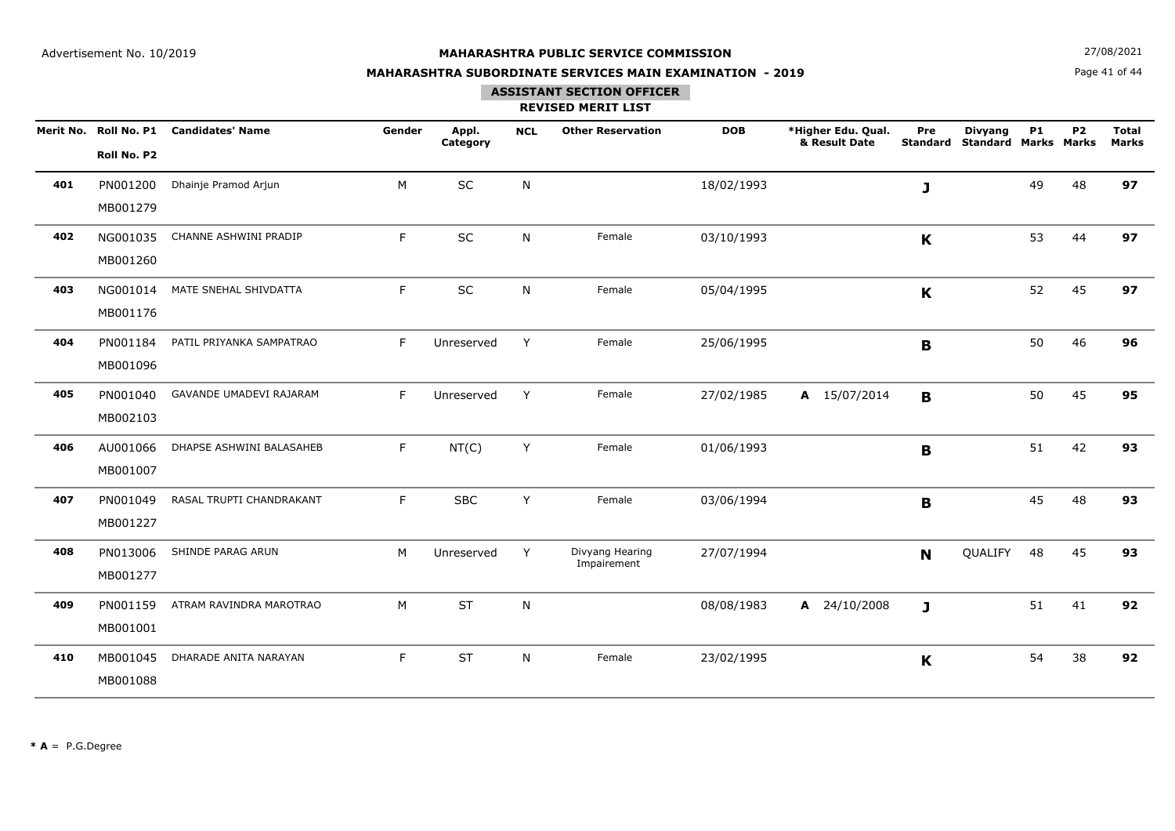**N**  $27/08/2021$ 

## **MAHARASHTRA SUBORDINATE SERVICES MAIN EXAMINATION - 2019**

Page 41 of 44

### **ASSISTANT SECTION OFFICER**

|     | Roll No. P2          | Merit No. Roll No. P1 Candidates' Name | Gender | Appl.<br>Category | <b>NCL</b> | <b>Other Reservation</b>       | <b>DOB</b> | *Higher Edu. Qual.<br>& Result Date | Pre<br><b>Standard</b> | <b>Divyang</b><br><b>Standard Marks Marks</b> | <b>P1</b> | <b>P2</b> | <b>Total</b><br><b>Marks</b> |
|-----|----------------------|----------------------------------------|--------|-------------------|------------|--------------------------------|------------|-------------------------------------|------------------------|-----------------------------------------------|-----------|-----------|------------------------------|
| 401 | PN001200<br>MB001279 | Dhainje Pramod Arjun                   | M      | SC                | N          |                                | 18/02/1993 |                                     | J                      |                                               | 49        | 48        | 97                           |
| 402 | NG001035<br>MB001260 | CHANNE ASHWINI PRADIP                  | F      | SC                | N          | Female                         | 03/10/1993 |                                     | $\mathbf K$            |                                               | 53        | 44        | 97                           |
| 403 | NG001014<br>MB001176 | MATE SNEHAL SHIVDATTA                  | F      | SC                | N          | Female                         | 05/04/1995 |                                     | K                      |                                               | 52        | 45        | 97                           |
| 404 | PN001184<br>MB001096 | PATIL PRIYANKA SAMPATRAO               | F      | Unreserved        | Y          | Female                         | 25/06/1995 |                                     | $\mathbf B$            |                                               | 50        | 46        | 96                           |
| 405 | PN001040<br>MB002103 | GAVANDE UMADEVI RAJARAM                | F      | Unreserved        | Y          | Female                         | 27/02/1985 | A 15/07/2014                        | $\mathbf B$            |                                               | 50        | 45        | 95                           |
| 406 | AU001066<br>MB001007 | DHAPSE ASHWINI BALASAHEB               | F      | NT(C)             | Y          | Female                         | 01/06/1993 |                                     | $\mathbf B$            |                                               | 51        | 42        | 93                           |
| 407 | PN001049<br>MB001227 | RASAL TRUPTI CHANDRAKANT               | F      | <b>SBC</b>        | Y          | Female                         | 03/06/1994 |                                     | $\mathbf B$            |                                               | 45        | 48        | 93                           |
| 408 | PN013006<br>MB001277 | SHINDE PARAG ARUN                      | M      | Unreserved        | Y          | Divyang Hearing<br>Impairement | 27/07/1994 |                                     | <b>N</b>               | QUALIFY                                       | 48        | 45        | 93                           |
| 409 | PN001159<br>MB001001 | ATRAM RAVINDRA MAROTRAO                | M      | <b>ST</b>         | N          |                                | 08/08/1983 | A 24/10/2008                        | J                      |                                               | 51        | 41        | 92                           |
| 410 | MB001045<br>MB001088 | DHARADE ANITA NARAYAN                  | F      | <b>ST</b>         | N          | Female                         | 23/02/1995 |                                     | $\mathbf K$            |                                               | 54        | 38        | 92                           |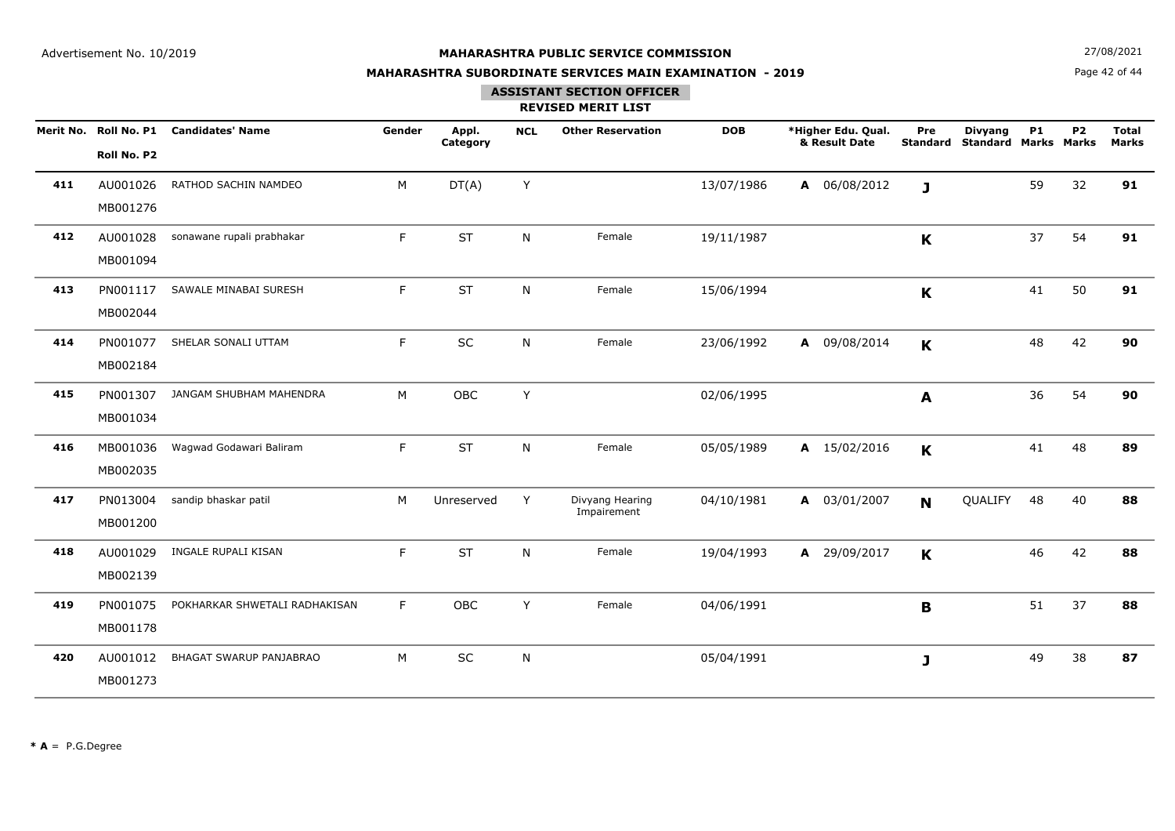**N**  $27/08/2021$ 

## **MAHARASHTRA SUBORDINATE SERVICES MAIN EXAMINATION - 2019**

Page 42 of 44

## **ASSISTANT SECTION OFFICER**

|     | Merit No. Roll No. P1<br>Roll No. P2 | <b>Candidates' Name</b>       | Gender | Appl.<br>Category | <b>NCL</b> | <b>Other Reservation</b>       | <b>DOB</b> | *Higher Edu. Qual.<br>& Result Date | Pre<br><b>Standard</b> | <b>Divyang</b><br><b>Standard Marks Marks</b> | <b>P1</b> | P <sub>2</sub> | <b>Total</b><br><b>Marks</b> |
|-----|--------------------------------------|-------------------------------|--------|-------------------|------------|--------------------------------|------------|-------------------------------------|------------------------|-----------------------------------------------|-----------|----------------|------------------------------|
| 411 | AU001026<br>MB001276                 | RATHOD SACHIN NAMDEO          | M      | DT(A)             | Y          |                                | 13/07/1986 | A 06/08/2012                        | $\mathbf{J}$           |                                               | 59        | 32             | 91                           |
| 412 | AU001028<br>MB001094                 | sonawane rupali prabhakar     | F      | <b>ST</b>         | N          | Female                         | 19/11/1987 |                                     | K                      |                                               | 37        | 54             | 91                           |
| 413 | PN001117<br>MB002044                 | SAWALE MINABAI SURESH         | F      | <b>ST</b>         | N          | Female                         | 15/06/1994 |                                     | K                      |                                               | 41        | 50             | 91                           |
| 414 | PN001077<br>MB002184                 | SHELAR SONALI UTTAM           | F      | SC                | N          | Female                         | 23/06/1992 | A 09/08/2014                        | K                      |                                               | 48        | 42             | 90                           |
| 415 | PN001307<br>MB001034                 | JANGAM SHUBHAM MAHENDRA       | M      | OBC               | Y          |                                | 02/06/1995 |                                     | A                      |                                               | 36        | 54             | 90                           |
| 416 | MB001036<br>MB002035                 | Wagwad Godawari Baliram       | F      | <b>ST</b>         | N          | Female                         | 05/05/1989 | A 15/02/2016                        | K                      |                                               | 41        | 48             | 89                           |
| 417 | PN013004<br>MB001200                 | sandip bhaskar patil          | M      | Unreserved        | Y          | Divyang Hearing<br>Impairement | 04/10/1981 | A 03/01/2007                        | N                      | QUALIFY                                       | 48        | 40             | 88                           |
| 418 | AU001029<br>MB002139                 | INGALE RUPALI KISAN           | F      | <b>ST</b>         | N          | Female                         | 19/04/1993 | $\mathbf{A}$<br>29/09/2017          | K                      |                                               | 46        | 42             | 88                           |
| 419 | PN001075<br>MB001178                 | POKHARKAR SHWETALI RADHAKISAN | F      | OBC               | Y          | Female                         | 04/06/1991 |                                     | B                      |                                               | 51        | 37             | 88                           |
| 420 | AU001012<br>MB001273                 | BHAGAT SWARUP PANJABRAO       | M      | SC                | N          |                                | 05/04/1991 |                                     | J                      |                                               | 49        | 38             | 87                           |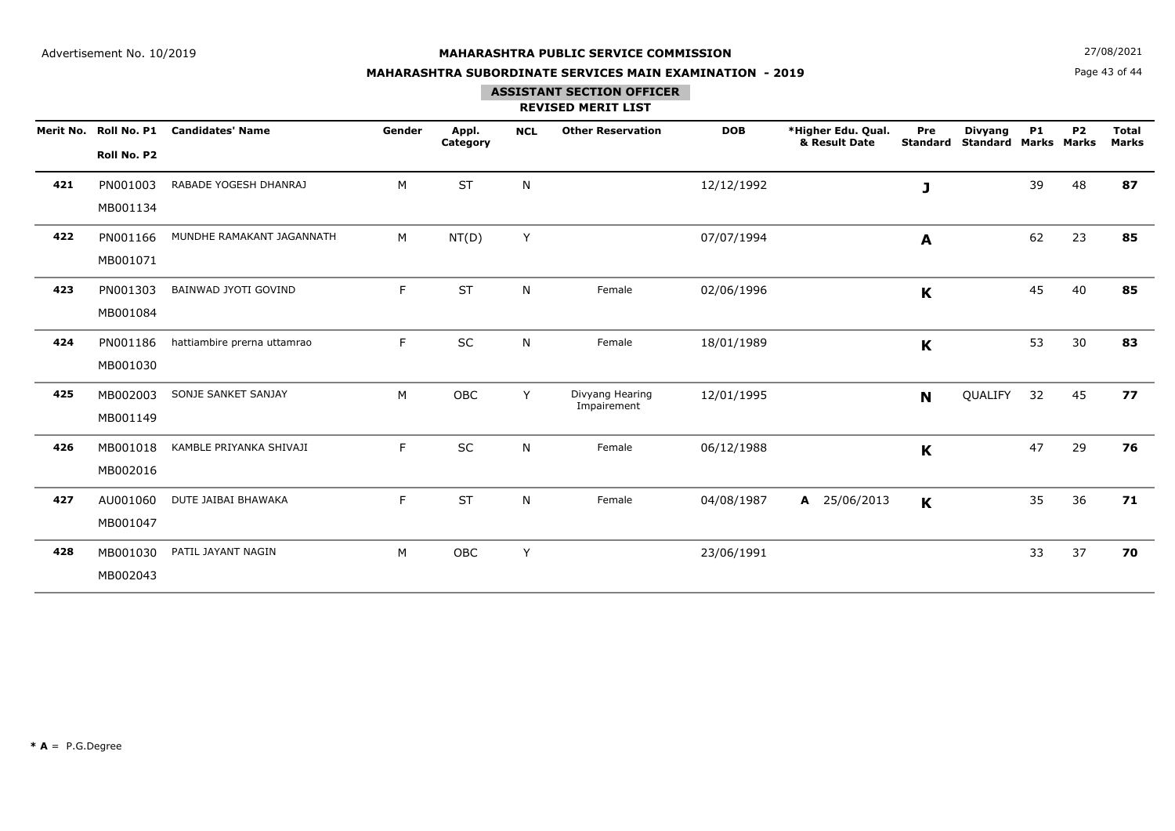**N**  $27/08/2021$ 

## **MAHARASHTRA SUBORDINATE SERVICES MAIN EXAMINATION - 2019**

Page 43 of 44

## **ASSISTANT SECTION OFFICER**

|     | Merit No. Roll No. P1<br>Roll No. P2 | <b>Candidates' Name</b>     | Gender | Appl.<br>Category | <b>NCL</b>   | <b>Other Reservation</b>       | <b>DOB</b> | *Higher Edu. Qual.<br>& Result Date | Pre<br><b>Standard</b> | <b>Divyang</b><br><b>Standard Marks Marks</b> | <b>P1</b> | <b>P2</b> | <b>Total</b><br><b>Marks</b> |
|-----|--------------------------------------|-----------------------------|--------|-------------------|--------------|--------------------------------|------------|-------------------------------------|------------------------|-----------------------------------------------|-----------|-----------|------------------------------|
| 421 | PN001003<br>MB001134                 | RABADE YOGESH DHANRAJ       | M      | <b>ST</b>         | ${\sf N}$    |                                | 12/12/1992 |                                     | J                      |                                               | 39        | 48        | 87                           |
| 422 | PN001166<br>MB001071                 | MUNDHE RAMAKANT JAGANNATH   | M      | NT(D)             | Y            |                                | 07/07/1994 |                                     | A                      |                                               | 62        | 23        | 85                           |
| 423 | PN001303<br>MB001084                 | BAINWAD JYOTI GOVIND        | F      | <b>ST</b>         | N            | Female                         | 02/06/1996 |                                     | K                      |                                               | 45        | 40        | 85                           |
| 424 | PN001186<br>MB001030                 | hattiambire prerna uttamrao | F.     | SC                | N            | Female                         | 18/01/1989 |                                     | $\mathbf K$            |                                               | 53        | 30        | 83                           |
| 425 | MB002003<br>MB001149                 | SONJE SANKET SANJAY         | M      | OBC               | Y            | Divyang Hearing<br>Impairement | 12/01/1995 |                                     | N                      | QUALIFY                                       | 32        | 45        | 77                           |
| 426 | MB001018<br>MB002016                 | KAMBLE PRIYANKA SHIVAJI     | F.     | <b>SC</b>         | $\mathsf{N}$ | Female                         | 06/12/1988 |                                     | K                      |                                               | 47        | 29        | 76                           |
| 427 | AU001060<br>MB001047                 | DUTE JAIBAI BHAWAKA         | F.     | <b>ST</b>         | N            | Female                         | 04/08/1987 | 25/06/2013<br>$\mathbf{A}$          | $\mathbf K$            |                                               | 35        | 36        | 71                           |
| 428 | MB001030<br>MB002043                 | PATIL JAYANT NAGIN          | M      | OBC               | Y            |                                | 23/06/1991 |                                     |                        |                                               | 33        | 37        | 70                           |